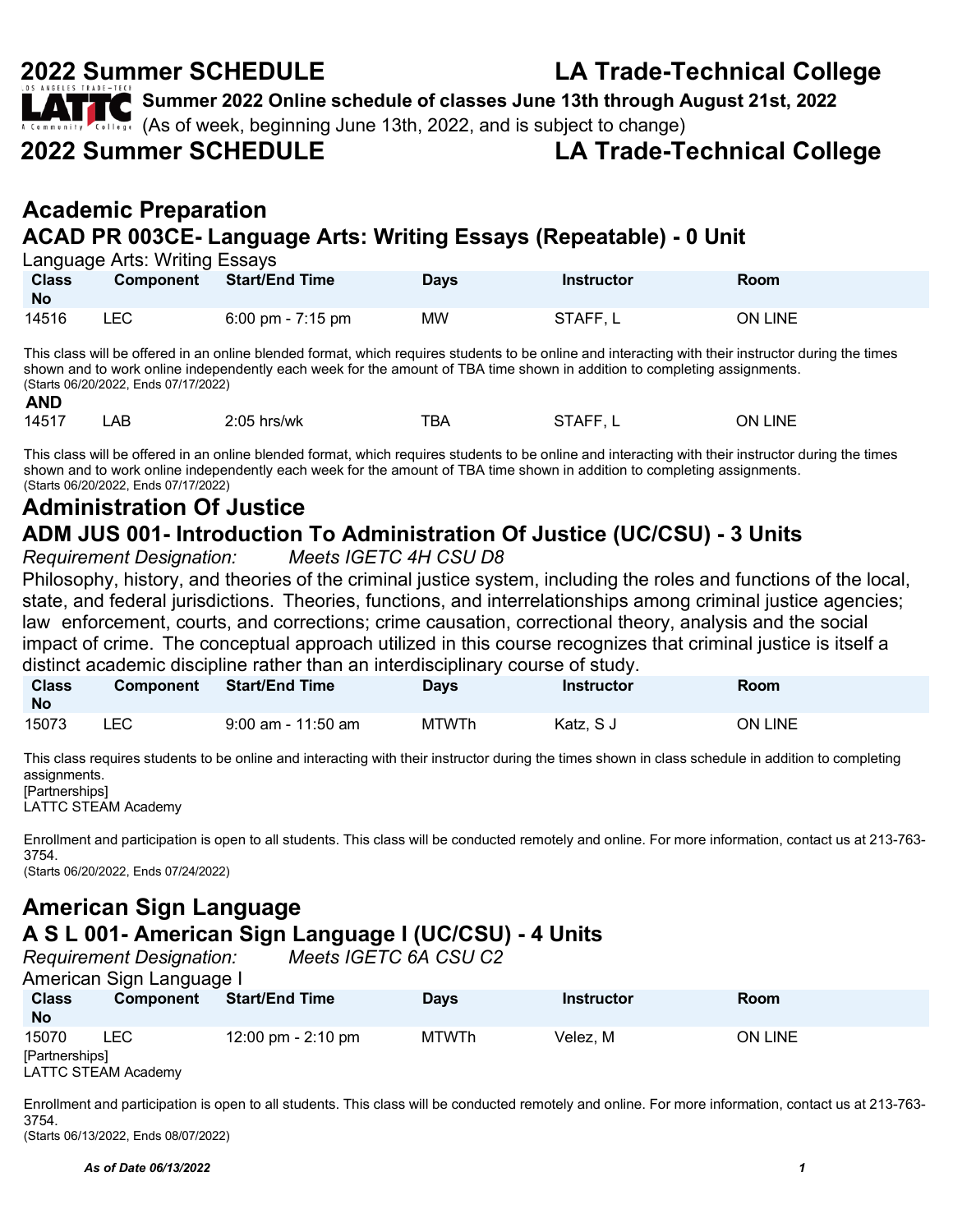| <b>LATTE</b> Summer 2022 Online schedule of classes June 13th through August 21st, 2022<br>A Consity College (As of week, beginning June 13th, 2022, and is subject to change) |                                   |
|--------------------------------------------------------------------------------------------------------------------------------------------------------------------------------|-----------------------------------|
|                                                                                                                                                                                |                                   |
| <b>2022 Summer SCHEDULE</b>                                                                                                                                                    | <b>LA Trade-Technical College</b> |
| <b>Academic Preparation</b><br>ACAD PR 003CE- Language Arts: Writing Essays (Repeatable) - 0 Unit                                                                              |                                   |
| Language Arts: Writing Essays                                                                                                                                                  |                                   |

| <b>Class</b><br><b>No</b> |     | Component Start/End Time    | Days | Instructor | Room           |
|---------------------------|-----|-----------------------------|------|------------|----------------|
| 14516                     | ∟EC | $6:00 \text{ pm}$ - 7:15 pm | MW   | STAFF, L   | <b>ON LINE</b> |

This class will be offered in an online blended format, which requires students to be online and interacting with their instructor during the times shown and to work online independently each week for the amount of TBA time shown in addition to completing assignments. (Starts 06/20/2022, Ends 07/17/2022) **AND**

| <b>AIV</b> |    |               |     |          |                   |
|------------|----|---------------|-----|----------|-------------------|
| 14517      | AB | $2:05$ hrs/wk | TBA | STAFF, L | <b>LINE</b><br>ОN |

This class will be offered in an online blended format, which requires students to be online and interacting with their instructor during the times shown and to work online independently each week for the amount of TBA time shown in addition to completing assignments. (Starts 06/20/2022, Ends 07/17/2022)

### **Administration Of Justice ADM JUS 001- Introduction To Administration Of Justice (UC/CSU) - 3 Units**

*Requirement Designation: Meets IGETC 4H CSU D8*

Philosophy, history, and theories of the criminal justice system, including the roles and functions of the local, state, and federal jurisdictions. Theories, functions, and interrelationships among criminal justice agencies; law enforcement, courts, and corrections; crime causation, correctional theory, analysis and the social impact of crime. The conceptual approach utilized in this course recognizes that criminal justice is itself a distinct academic discipline rather than an interdisciplinary course of study.

| <u>uisuriot academic uiscipiire ratrier triair arritteruiscipiiriary course or stuuy.</u> |                  |                      |              |                   |                |  |  |
|-------------------------------------------------------------------------------------------|------------------|----------------------|--------------|-------------------|----------------|--|--|
| <b>Class</b><br><b>No</b>                                                                 | <b>Component</b> | Start/End Time       | <b>Davs</b>  | <b>Instructor</b> | Room           |  |  |
| 15073                                                                                     | LEC.             | $9:00$ am - 11:50 am | <b>MTWTh</b> | Katz. S J         | <b>ON LINE</b> |  |  |

This class requires students to be online and interacting with their instructor during the times shown in class schedule in addition to completing assignments. [Partnerships]

LATTC STEAM Academy

Enrollment and participation is open to all students. This class will be conducted remotely and online. For more information, contact us at 213-763- 3754. (Starts 06/20/2022, Ends 07/24/2022)

### **American Sign Language A S L 001- American Sign Language I (UC/CSU) - 4 Units** *Requirement Designation:*

| American Sign Language I              |            |                      |             |            |                |  |  |
|---------------------------------------|------------|----------------------|-------------|------------|----------------|--|--|
| <b>Class</b><br><b>No</b>             | Component  | Start/End Time       | <b>Days</b> | Instructor | Room           |  |  |
| 15070                                 | <b>LEC</b> | 12:00 pm - $2:10$ pm | MTWTh       | Velez. M   | <b>ON LINE</b> |  |  |
| [Partnerships]<br>LATTC STEAM Academy |            |                      |             |            |                |  |  |

Enrollment and participation is open to all students. This class will be conducted remotely and online. For more information, contact us at 213-763- 3754. (Starts 06/13/2022, Ends 08/07/2022)

*As of Date 06/13/2022 1*

## **2022 Summer SCHEDULE LA Trade-Technical College**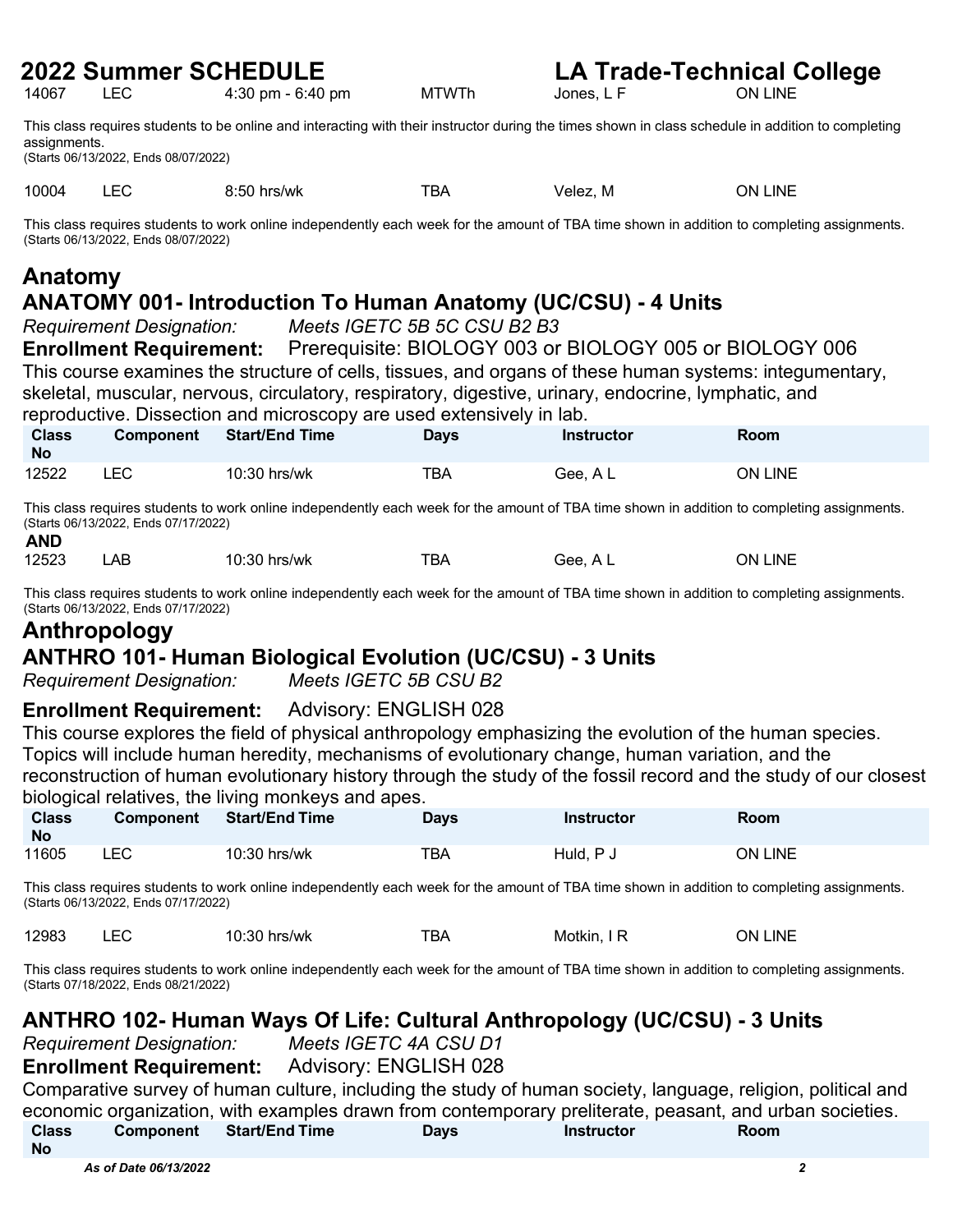4:30 pm - 6:40 pm

**2022 Summer SCHEDULE**<br>14067 LEC 4:30 pm - 6:40 pm<br>MTWTh Jones. L.F ON LINE

This class requires students to be online and interacting with their instructor during the times shown in class schedule in addition to completing assignments.

(Starts 06/13/2022, Ends 08/07/2022)

10004 LEC 8:50 hrs/wk TBA Velez, M ON LINE

This class requires students to work online independently each week for the amount of TBA time shown in addition to completing assignments. (Starts 06/13/2022, Ends 08/07/2022)

## **Anatomy**

### **ANATOMY 001- Introduction To Human Anatomy (UC/CSU) - 4 Units**

*Requirement Designation: Meets IGETC 5B 5C CSU B2 B3*

**Enrollment Requirement:** Prerequisite: BIOLOGY 003 or BIOLOGY 005 or BIOLOGY 006 This course examines the structure of cells, tissues, and organs of these human systems: integumentary, skeletal, muscular, nervous, circulatory, respiratory, digestive, urinary, endocrine, lymphatic, and reproductive. Dissection and microscopy are used extensively in lab.

| <b>Class</b><br><b>No</b> | <b>Component</b> | <b>Start/End Time</b> | Days | <b>Instructor</b> | Room           |
|---------------------------|------------------|-----------------------|------|-------------------|----------------|
| 12522                     | LEC              | 10:30 hrs/wk          | TBA  | Gee, A L          | <b>ON LINE</b> |

This class requires students to work online independently each week for the amount of TBA time shown in addition to completing assignments. (Starts 06/13/2022, Ends 07/17/2022) **AND**

| AND   |    |              |     |          |         |
|-------|----|--------------|-----|----------|---------|
| 12523 | ΑB | 10:30 hrs/wk | TBA | Gee, A L | ON LINE |

This class requires students to work online independently each week for the amount of TBA time shown in addition to completing assignments. (Starts 06/13/2022, Ends 07/17/2022)

### **Anthropology**

### **ANTHRO 101- Human Biological Evolution (UC/CSU) - 3 Units**

*Requirement Designation: Meets IGETC 5B CSU B2*

### **Enrollment Requirement:** Advisory: ENGLISH 028

This course explores the field of physical anthropology emphasizing the evolution of the human species. Topics will include human heredity, mechanisms of evolutionary change, human variation, and the reconstruction of human evolutionary history through the study of the fossil record and the study of our closest biological relatives, the living monkeys and apes.

| <b>Class</b><br><b>No</b> | <b>Component</b> | <b>Start/End Time</b> | Days | <b>Instructor</b> | Room    |
|---------------------------|------------------|-----------------------|------|-------------------|---------|
| 11605                     | ∟EC              | 10:30 hrs/wk          | TBA  | Huld, P J         | ON LINE |

This class requires students to work online independently each week for the amount of TBA time shown in addition to completing assignments. (Starts 06/13/2022, Ends 07/17/2022)

| 12983 | ᅩ | 10:30<br>hrs/wk | тва | Motkin. | LINE<br>DN. |
|-------|---|-----------------|-----|---------|-------------|
|-------|---|-----------------|-----|---------|-------------|

This class requires students to work online independently each week for the amount of TBA time shown in addition to completing assignments. (Starts 07/18/2022, Ends 08/21/2022)

### **ANTHRO 102- Human Ways Of Life: Cultural Anthropology (UC/CSU) - 3 Units**

*Requirement Designation: Meets IGETC 4A CSU D1*

**Enrollment Requirement:** Advisory: ENGLISH 028

Comparative survey of human culture, including the study of human society, language, religion, political and economic organization, with examples drawn from contemporary preliterate, peasant, and urban societies.

| <b>Class</b> | <b>Component</b> | <b>Start/End Time</b> | <b>Days</b> | Instructor | Room |
|--------------|------------------|-----------------------|-------------|------------|------|
| <b>No</b>    |                  |                       |             |            |      |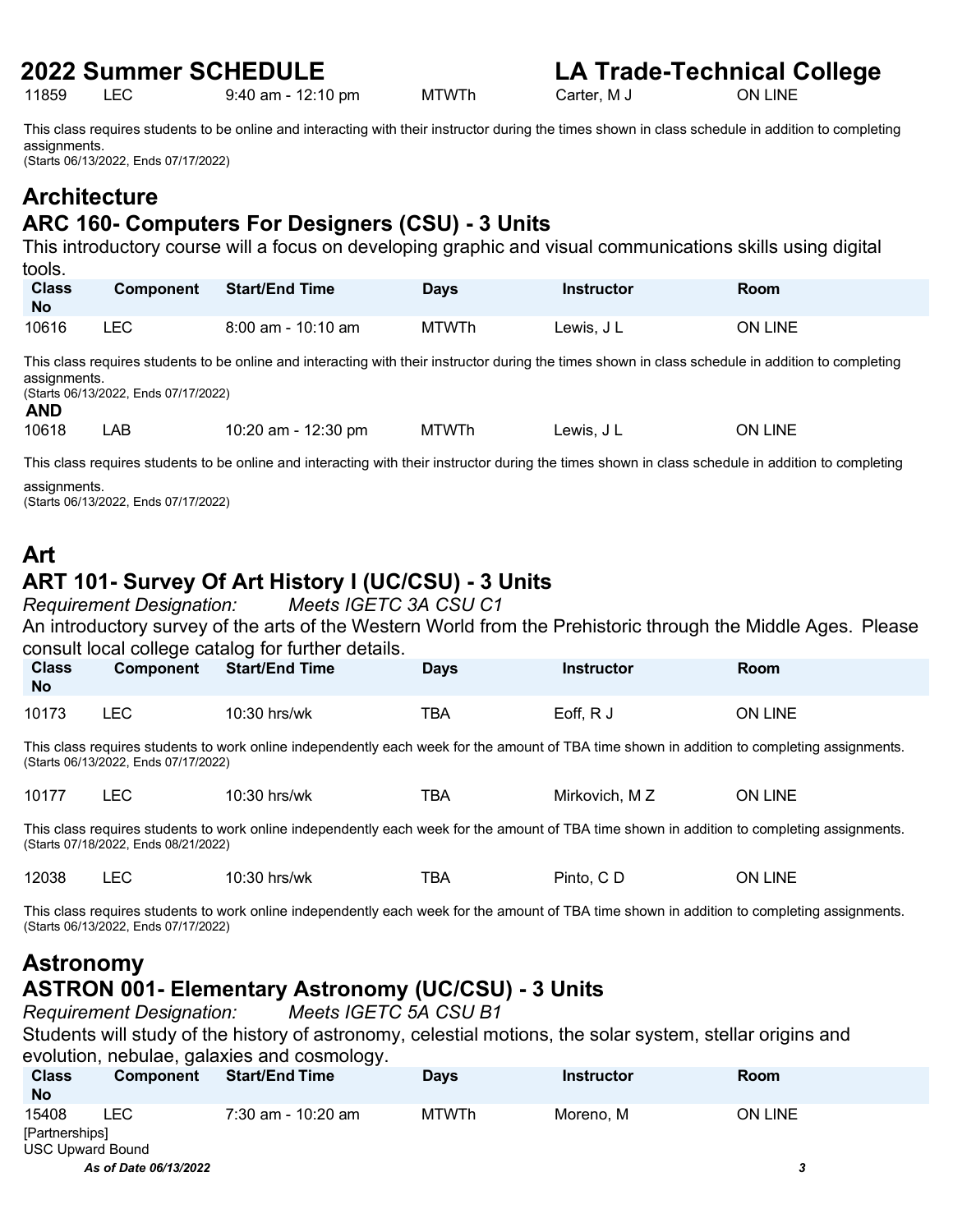9:40 am - 12:10 pm

**2022 Summer SCHEDULE**<br>11859 LEC 9:40 am - 12:10 pm MTWTh Carter, M J ON LINE ON LINE

This class requires students to be online and interacting with their instructor during the times shown in class schedule in addition to completing

assignments. (Starts 06/13/2022, Ends 07/17/2022)

### **Architecture ARC 160- Computers For Designers (CSU) - 3 Units**

This introductory course will a focus on developing graphic and visual communications skills using digital tools.

| <b>Class</b><br><b>No</b> | <b>Component</b> | <b>Start/End Time</b> | Days         | Instructor | Room           |
|---------------------------|------------------|-----------------------|--------------|------------|----------------|
| 10616                     | _EC_             | $8:00$ am - 10:10 am  | <b>MTWTh</b> | Lewis, J L | <b>ON LINE</b> |

This class requires students to be online and interacting with their instructor during the times shown in class schedule in addition to completing assignments.

(Starts 06/13/2022, Ends 07/17/2022)

**AND**<br>10618 LAB 10:20 am - 12:30 pm MTWTh Lewis, J L CN LINE

This class requires students to be online and interacting with their instructor during the times shown in class schedule in addition to completing

assignments. (Starts 06/13/2022, Ends 07/17/2022)

# **Art**

### **ART 101- Survey Of Art History I (UC/CSU) - 3 Units**

*Requirement Designation: Meets IGETC 3A CSU C1* An introductory survey of the arts of the Western World from the Prehistoric through the Middle Ages. Please consult local college catalog for further details.

| <b>Class</b><br><b>No</b> | Component | <b>Start/End Time</b> | <b>Days</b> | <b>Instructor</b> | <b>Room</b>    |
|---------------------------|-----------|-----------------------|-------------|-------------------|----------------|
| 10173                     | LEC.      | 10:30 hrs/wk          | TBA         | Eoff, R J         | <b>ON LINE</b> |

This class requires students to work online independently each week for the amount of TBA time shown in addition to completing assignments. (Starts 06/13/2022, Ends 07/17/2022)

| 10177 | $ \sim$<br>_______ | 10:30<br>∖ hrs/wk | -- -<br>BΑ | мz<br>Mirkovich. | <b>INE</b><br>7N. |
|-------|--------------------|-------------------|------------|------------------|-------------------|
|       |                    |                   |            |                  |                   |

This class requires students to work online independently each week for the amount of TBA time shown in addition to completing assignments. (Starts 07/18/2022, Ends 08/21/2022)

| 12038 | $10:30$ hrs/wk | TBA | Pinto, C D | <b>LINE</b><br>ON. |
|-------|----------------|-----|------------|--------------------|
|       |                |     |            |                    |

This class requires students to work online independently each week for the amount of TBA time shown in addition to completing assignments. (Starts 06/13/2022, Ends 07/17/2022)

### **Astronomy ASTRON 001- Elementary Astronomy (UC/CSU) - 3 Units**

*Requirement Designation: Meets IGETC 5A CSU B1*

Students will study of the history of astronomy, celestial motions, the solar system, stellar origins and evolution, nebulae, galaxies and cosmology.

| <b>Class</b><br><b>No</b>                   | <b>Component</b> | <b>Start/End Time</b> | <b>Days</b>  | <b>Instructor</b> | Room    |
|---------------------------------------------|------------------|-----------------------|--------------|-------------------|---------|
| 15408<br>[Partnerships]<br>USC Upward Bound | LEC              | 7:30 am - 10:20 am    | <b>MTWTh</b> | Moreno. M         | ON LINE |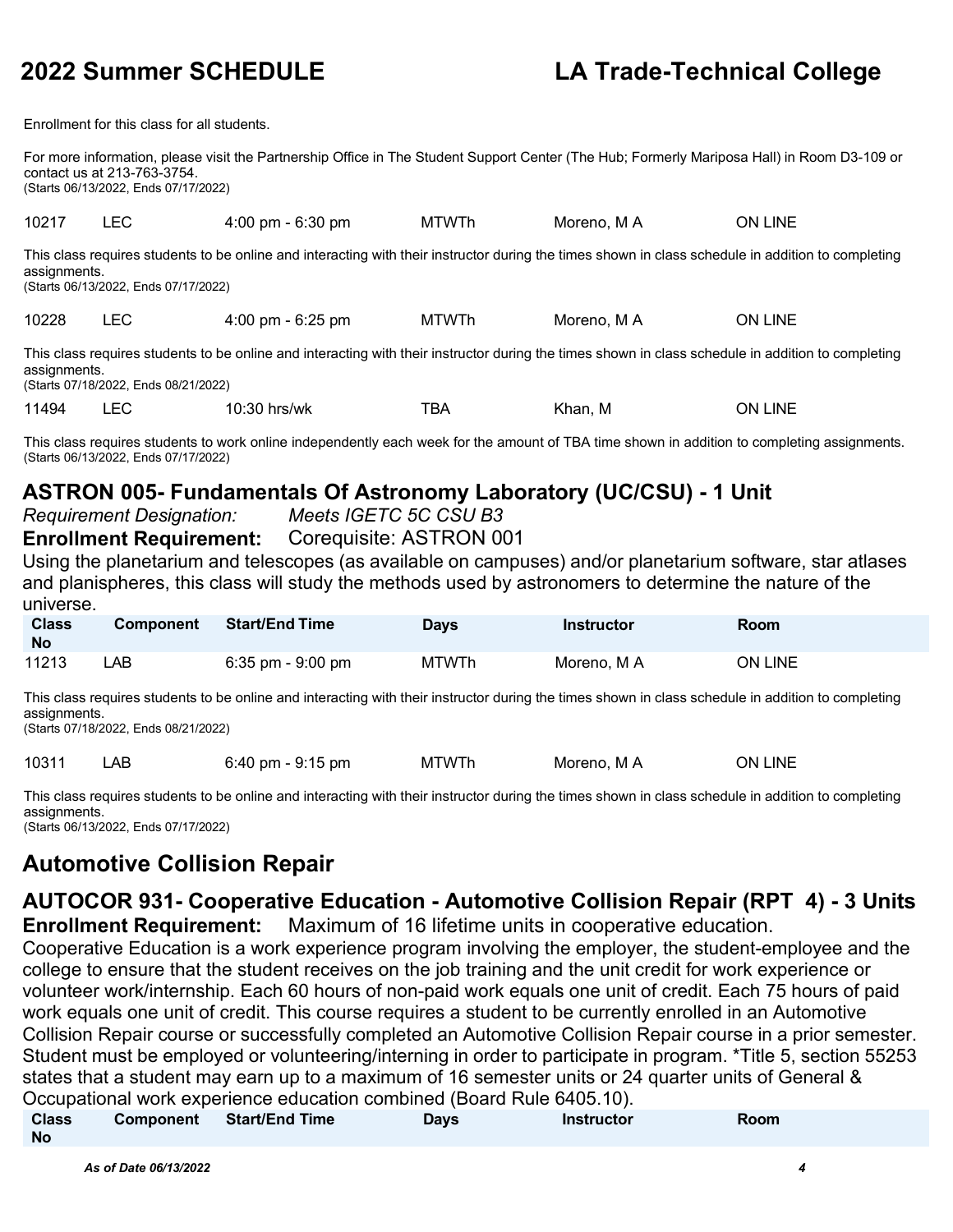Enrollment for this class for all students.

For more information, please visit the Partnership Office in The Student Support Center (The Hub; Formerly Mariposa Hall) in Room D3-109 or contact us at 213-763-3754. (Starts 06/13/2022, Ends 07/17/2022)

10217 LEC 4:00 pm - 6:30 pm MTWTh Moreno, M A ON LINE This class requires students to be online and interacting with their instructor during the times shown in class schedule in addition to completing assignments. (Starts 06/13/2022, Ends 07/17/2022) 10228 LEC 4:00 pm - 6:25 pm MTWTh Moreno, M A ON LINE This class requires students to be online and interacting with their instructor during the times shown in class schedule in addition to completing assignments.

(Starts 07/18/2022, Ends 08/21/2022)

11494 LEC 10:30 hrs/wk TBA Khan, M ON LINE

This class requires students to work online independently each week for the amount of TBA time shown in addition to completing assignments. (Starts 06/13/2022, Ends 07/17/2022)

### **ASTRON 005- Fundamentals Of Astronomy Laboratory (UC/CSU) - 1 Unit**

*Requirement Designation: Meets IGETC 5C CSU B3*

**Enrollment Requirement:** Corequisite: ASTRON 001

Using the planetarium and telescopes (as available on campuses) and/or planetarium software, star atlases and planispheres, this class will study the methods used by astronomers to determine the nature of the universe.

| <b>Class</b><br><b>No</b> | <b>Component</b> | <b>Start/End Time</b> | Days         | Instructor  | Room    |
|---------------------------|------------------|-----------------------|--------------|-------------|---------|
| 11213                     | ∟AB              | $6:35$ pm - $9:00$ pm | <b>MTWTh</b> | Moreno. M A | ON LINE |

This class requires students to be online and interacting with their instructor during the times shown in class schedule in addition to completing assignments.

(Starts 07/18/2022, Ends 08/21/2022)

| 10311 | AB | :40د<br>om - 9:15 pm | MTWTh | Moreno.<br>M, | .INE<br>DИ |
|-------|----|----------------------|-------|---------------|------------|
|       |    |                      |       |               |            |

This class requires students to be online and interacting with their instructor during the times shown in class schedule in addition to completing assignments.

(Starts 06/13/2022, Ends 07/17/2022)

### **Automotive Collision Repair**

## **AUTOCOR 931- Cooperative Education - Automotive Collision Repair (RPT 4) - 3 Units**

**Enrollment Requirement:** Maximum of 16 lifetime units in cooperative education.

Cooperative Education is a work experience program involving the employer, the student-employee and the college to ensure that the student receives on the job training and the unit credit for work experience or volunteer work/internship. Each 60 hours of non-paid work equals one unit of credit. Each 75 hours of paid work equals one unit of credit. This course requires a student to be currently enrolled in an Automotive Collision Repair course or successfully completed an Automotive Collision Repair course in a prior semester. Student must be employed or volunteering/interning in order to participate in program. \*Title 5, section 55253 states that a student may earn up to a maximum of 16 semester units or 24 quarter units of General & Occupational work experience education combined (Board Rule 6405.10).

| <b>Class</b> | Component | <b>Start/End Time</b> | Days | Instructor | Room |
|--------------|-----------|-----------------------|------|------------|------|
| <b>No</b>    |           |                       |      |            |      |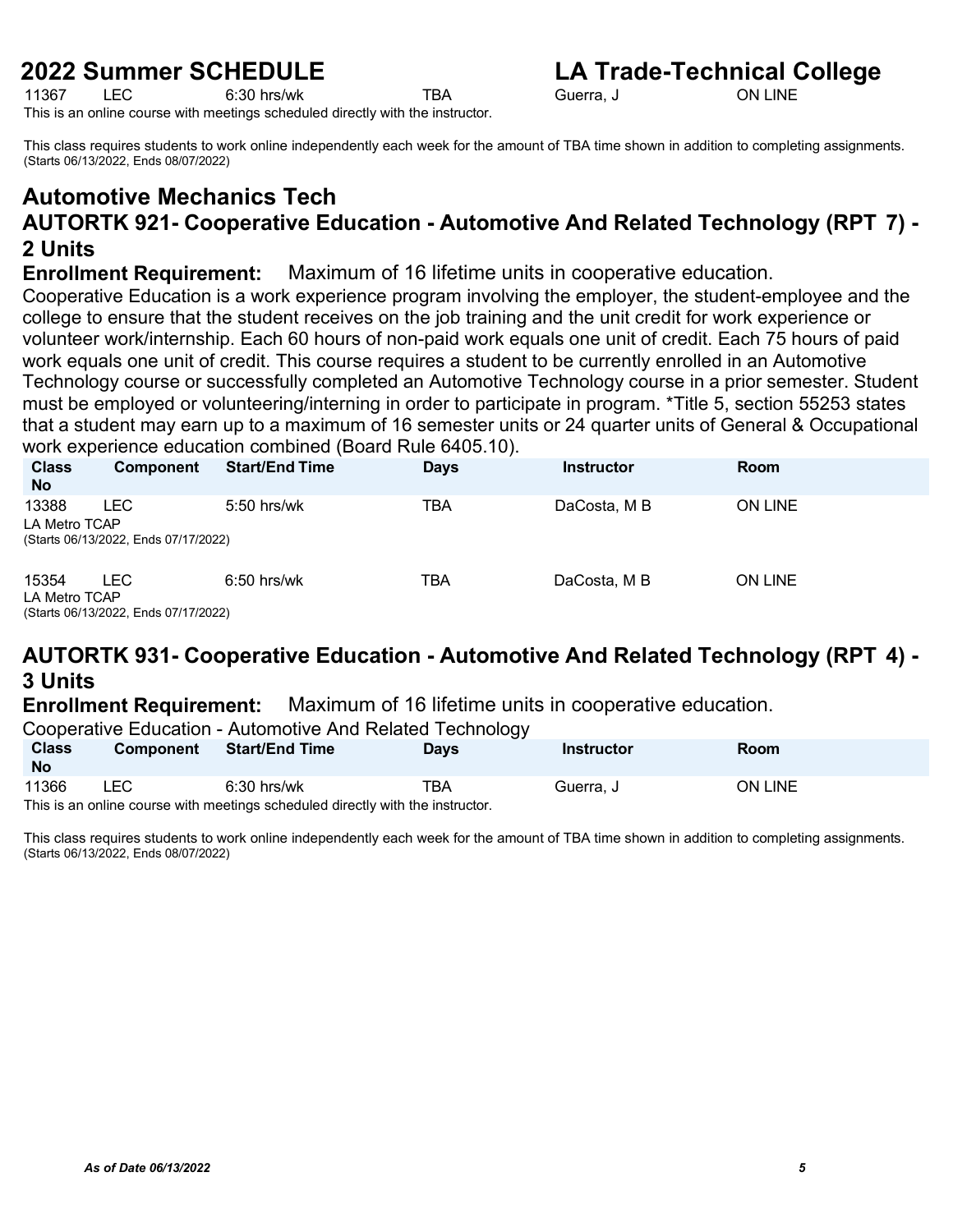## **2022 Summer SCHEDULE**<br>11367 LEC 6:30 hrs/wk TBA Guerra. J Guerra ON LINE

11367 LEC 6:30 hrs/wk TBA Guerra, J ON LINE

This is an online course with meetings scheduled directly with the instructor.

This class requires students to work online independently each week for the amount of TBA time shown in addition to completing assignments. (Starts 06/13/2022, Ends 08/07/2022)

### **Automotive Mechanics Tech AUTORTK 921- Cooperative Education - Automotive And Related Technology (RPT 7) - 2 Units**

**Enrollment Requirement:** Maximum of 16 lifetime units in cooperative education.

Cooperative Education is a work experience program involving the employer, the student-employee and the college to ensure that the student receives on the job training and the unit credit for work experience or volunteer work/internship. Each 60 hours of non-paid work equals one unit of credit. Each 75 hours of paid work equals one unit of credit. This course requires a student to be currently enrolled in an Automotive Technology course or successfully completed an Automotive Technology course in a prior semester. Student must be employed or volunteering/interning in order to participate in program. \*Title 5, section 55253 states that a student may earn up to a maximum of 16 semester units or 24 quarter units of General & Occupational work experience education combined (Board Rule 6405.10).

| <b>Class</b><br><b>No</b> | <b>Component</b>                                   | <b>Start/End Time</b> | <b>Days</b> | Instructor   | <b>Room</b>    |
|---------------------------|----------------------------------------------------|-----------------------|-------------|--------------|----------------|
| 13388<br>LA Metro TCAP    | <b>LEC</b><br>(Starts 06/13/2022, Ends 07/17/2022) | $5:50$ hrs/wk         | TBA         | DaCosta, M B | ON LINE        |
| 15354<br>LA Metro TCAP    | LEC.<br>(0, 1, 0, 0)                               | $6:50$ hrs/wk         | ТВА         | DaCosta, M B | <b>ON LINE</b> |

(Starts 06/13/2022, Ends 07/17/2022)

### **AUTORTK 931- Cooperative Education - Automotive And Related Technology (RPT 4) - 3 Units**

**Enrollment Requirement:** Maximum of 16 lifetime units in cooperative education.

Cooperative Education - Automotive And Related Technology

| <b>Class</b><br><b>No</b> | <b>Component</b>                                                              | <b>Start/End Time</b> | ັ<br>Days | Instructor | Room           |  |  |
|---------------------------|-------------------------------------------------------------------------------|-----------------------|-----------|------------|----------------|--|--|
| 11366                     | LEC                                                                           | $6:30$ hrs/wk         | TBA       | Guerra, J  | <b>ON LINE</b> |  |  |
|                           | This is an online course with meetings scheduled directly with the instructor |                       |           |            |                |  |  |

This is an online course with meetings scheduled directly with the instructor.

This class requires students to work online independently each week for the amount of TBA time shown in addition to completing assignments. (Starts 06/13/2022, Ends 08/07/2022)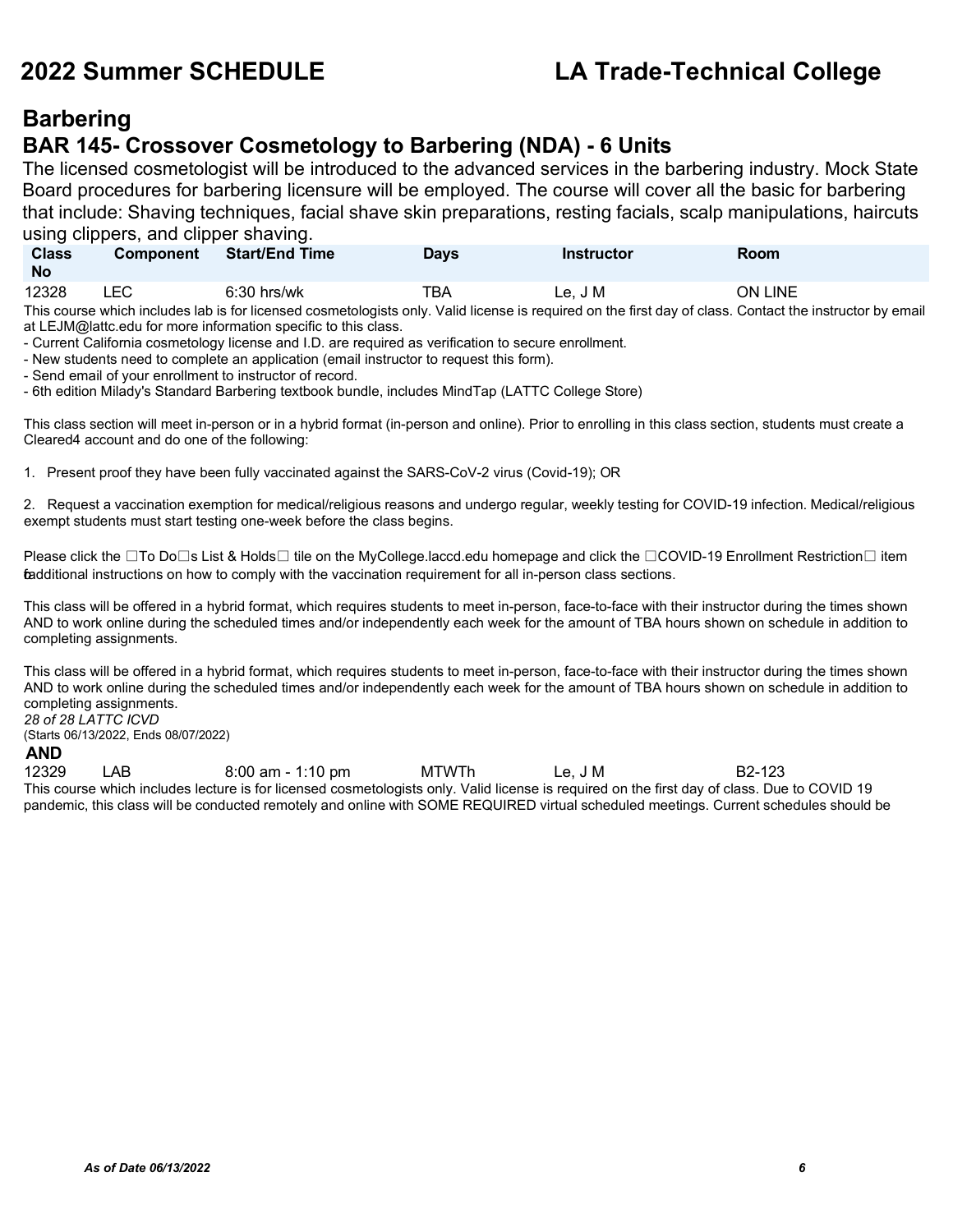### **Barbering BAR 145- Crossover Cosmetology to Barbering (NDA) - 6 Units**

The licensed cosmetologist will be introduced to the advanced services in the barbering industry. Mock State Board procedures for barbering licensure will be employed. The course will cover all the basic for barbering that include: Shaving techniques, facial shave skin preparations, resting facials, scalp manipulations, haircuts using clippers, and clipper shaving.

| <b>Class</b><br><b>No</b> | <b>Component</b> | <b>Start/End Time</b> | Days | <b>Instructor</b> | Room    |
|---------------------------|------------------|-----------------------|------|-------------------|---------|
| 12328                     | ∟EC              | $6:30$ hrs/wk         | тва  | Le. J M           | ON LINE |

This course which includes lab is for licensed cosmetologists only. Valid license is required on the first day of class. Contact the instructor by email at [LEJM@lattc.edu](mailto:LEJM@lattc.edu) for more information specific to this class.

- Current California cosmetology license and I.D. are required as verification to secure enrollment.

- New students need to complete an application (email instructor to request this form).

- Send email of your enrollment to instructor of record.

- 6th edition Milady's Standard Barbering textbook bundle, includes MindTap (LATTC College Store)

This class section will meet in-person or in a hybrid format (in-person and online). Prior to enrolling in this class section, students must create a Cleared4 account and do one of the following:

1. Present proof they have been fully vaccinated against the SARS-CoV-2 virus (Covid-19); OR

2. Request a vaccination exemption for medical/religious reasons and undergo regular, weekly testing for COVID-19 infection. Medical/religious exempt students must start testing one-week before the class begins.

Please click the ⊡To Do⊡s List & Holds□ tile on the MyCollege.laccd.edu homepage and click the □COVID-19 Enrollment Restriction□ item fadditional instructions on how to comply with the vaccination requirement for all in-person class sections.

This class will be offered in a hybrid format, which requires students to meet in-person, face-to-face with their instructor during the times shown AND to work online during the scheduled times and/or independently each week for the amount of TBA hours shown on schedule in addition to completing assignments.

This class will be offered in a hybrid format, which requires students to meet in-person, face-to-face with their instructor during the times shown AND to work online during the scheduled times and/or independently each week for the amount of TBA hours shown on schedule in addition to completing assignments. *28 of 28 LATTC ICVD*

(Starts 06/13/2022, Ends 08/07/2022)

### **AND**

12329 LAB 8:00 am - 1:10 pm MTWTh Le, J M B2-123 This course which includes lecture is for licensed cosmetologists only. Valid license is required on the first day of class. Due to COVID 19 pandemic, this class will be conducted remotely and online with SOME REQUIRED virtual scheduled meetings. Current schedules should be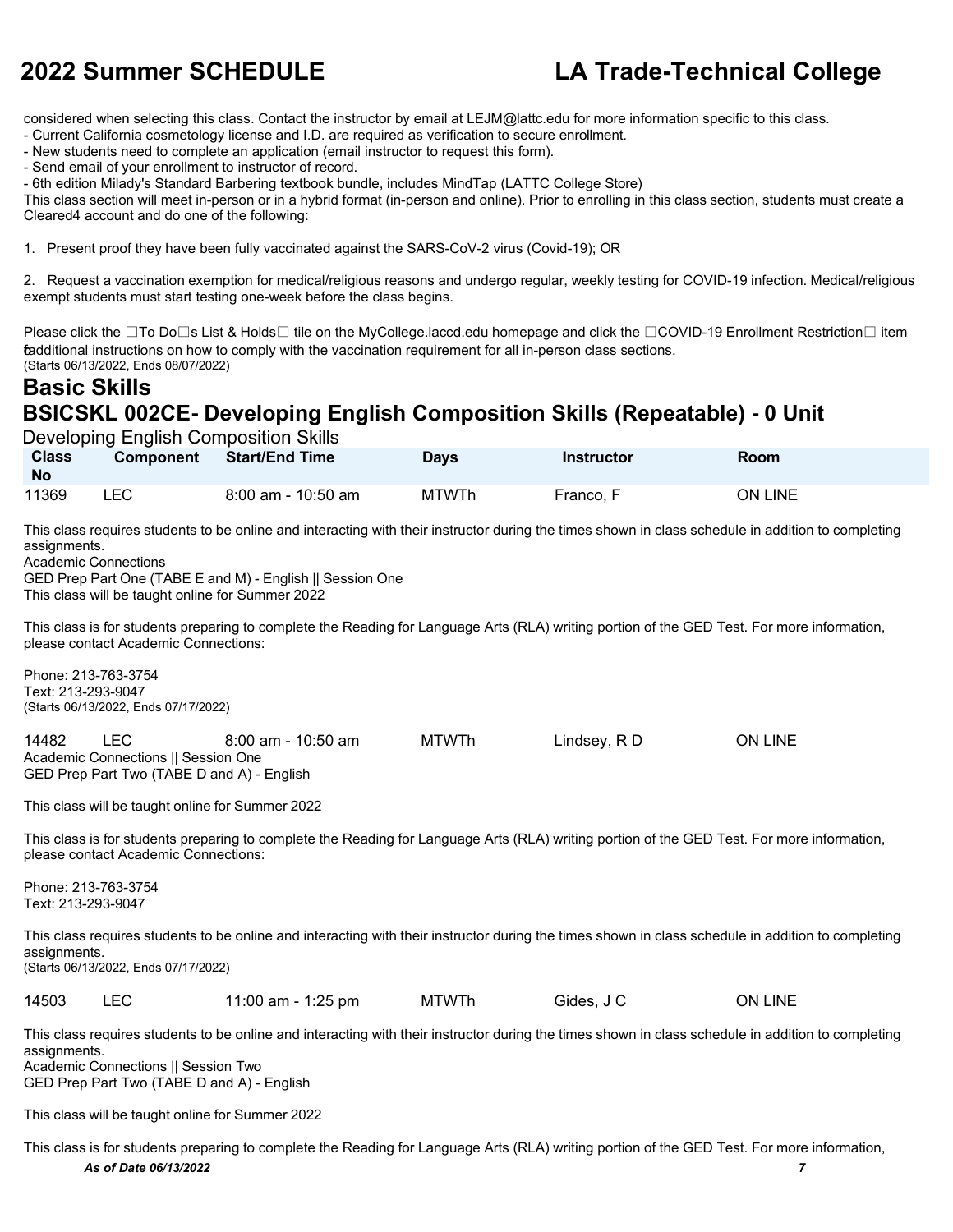considered when selecting this class. Contact the instructor by email at [LEJM@lattc.edu](mailto:LEJM@lattc.edu) for more information specific to this class.

- Current California cosmetology license and I.D. are required as verification to secure enrollment.

- New students need to complete an application (email instructor to request this form).

- Send email of your enrollment to instructor of record.

- 6th edition Milady's Standard Barbering textbook bundle, includes MindTap (LATTC College Store)

This class section will meet in-person or in a hybrid format (in-person and online). Prior to enrolling in this class section, students must create a Cleared4 account and do one of the following:

1. Present proof they have been fully vaccinated against the SARS-CoV-2 virus (Covid-19); OR

2. Request a vaccination exemption for medical/religious reasons and undergo regular, weekly testing for COVID-19 infection. Medical/religious exempt students must start testing one-week before the class begins.

Please click the  $\Box$ To Do $\Box$ s List & Holds $\Box$  tile on the MyCollege.laccd.edu homepage and click the  $\Box$ COVID-19 Enrollment Restriction  $\Box$  item fadditional instructions on how to comply with the vaccination requirement for all in-person class sections. (Starts 06/13/2022, Ends 08/07/2022)

### **Basic Skills BSICSKL 002CE- Developing English Composition Skills (Repeatable) - 0 Unit**

| Developing English Composition Skills |                  |                       |              |            |                |  |
|---------------------------------------|------------------|-----------------------|--------------|------------|----------------|--|
| <b>Class</b><br><b>No</b>             | <b>Component</b> | <b>Start/End Time</b> | <b>Days</b>  | Instructor | Room           |  |
| 11369                                 | LEC.             | 8:00 am - 10:50 am    | <b>MTWTh</b> | Franco, F  | <b>ON LINE</b> |  |

This class requires students to be online and interacting with their instructor during the times shown in class schedule in addition to completing assignments.

Academic Connections

GED Prep Part One (TABE E and M) - English || Session One This class will be taught online for Summer 2022

This class is for students preparing to complete the Reading for Language Arts (RLA) writing portion of the GED Test. For more information, please contact Academic Connections:

Phone: 213-763-3754 Text: 213-293-9047 (Starts 06/13/2022, Ends 07/17/2022)

14482 LEC 8:00 am - 10:50 am MTWTh Lindsey, R D ON LINE Academic Connections || Session One GED Prep Part Two (TABE D and A) - English

This class will be taught online for Summer 2022

This class is for students preparing to complete the Reading for Language Arts (RLA) writing portion of the GED Test. For more information, please contact Academic Connections:

Phone: 213-763-3754 Text: 213-293-9047

This class requires students to be online and interacting with their instructor during the times shown in class schedule in addition to completing assignments. (Starts 06/13/2022, Ends 07/17/2022)

14503 LEC 11:00 am - 1:25 pm MTWTh Gides, J C ON LINE

This class requires students to be online and interacting with their instructor during the times shown in class schedule in addition to completing assignments. Academic Connections || Session Two

GED Prep Part Two (TABE D and A) - English

This class will be taught online for Summer 2022

*As of Date 06/13/2022 7* This class is for students preparing to complete the Reading for Language Arts (RLA) writing portion of the GED Test. For more information,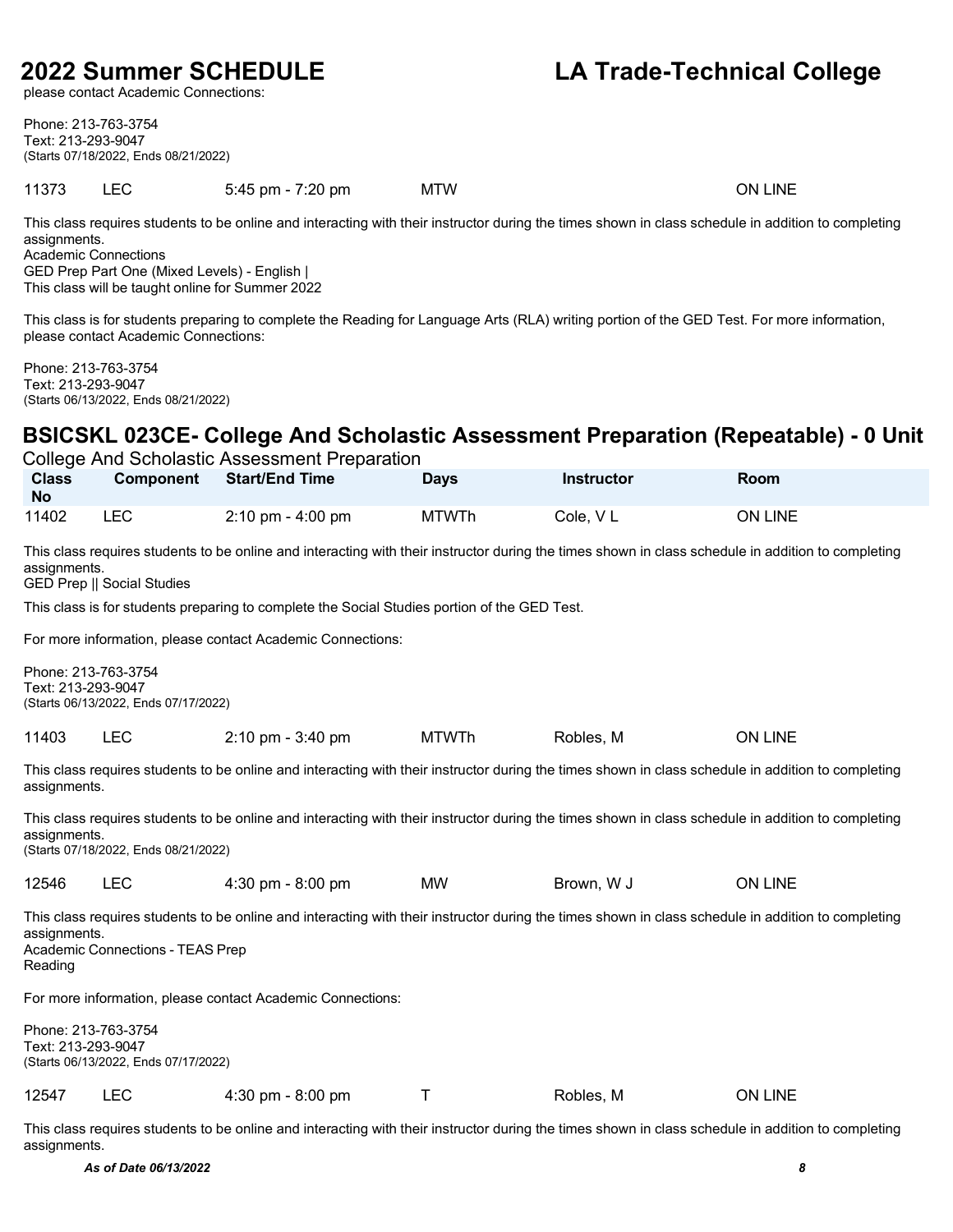please contact Academic Connections:

### **2022 Summer SCHEDULE LA Trade-Technical College**

Phone: 213-763-3754 Text: 213-293-9047 (Starts 07/18/2022, Ends 08/21/2022)

| 11373 | _______ | 5:45 pm - 7:20 pm<br>the contract of the contract of the | <b>MTW</b> | LINE<br>ЭN |
|-------|---------|----------------------------------------------------------|------------|------------|

This class requires students to be online and interacting with their instructor during the times shown in class schedule in addition to completing assignments. Academic Connections

GED Prep Part One (Mixed Levels) - English |

This class will be taught online for Summer 2022

This class is for students preparing to complete the Reading for Language Arts (RLA) writing portion of the GED Test. For more information, please contact Academic Connections:

Phone: 213-763-3754 Text: 213-293-9047 (Starts 06/13/2022, Ends 08/21/2022)

### **BSICSKL 023CE- College And Scholastic Assessment Preparation (Repeatable) - 0 Unit**

| College And Scholastic Assessment Preparation                                                                                                                                                                     |                                                             |                                                                                              |              |                   |                                                                                                                                                    |  |  |  |  |
|-------------------------------------------------------------------------------------------------------------------------------------------------------------------------------------------------------------------|-------------------------------------------------------------|----------------------------------------------------------------------------------------------|--------------|-------------------|----------------------------------------------------------------------------------------------------------------------------------------------------|--|--|--|--|
| <b>Class</b><br><b>No</b>                                                                                                                                                                                         | <b>Component</b>                                            | <b>Start/End Time</b>                                                                        | <b>Days</b>  | <b>Instructor</b> | <b>Room</b>                                                                                                                                        |  |  |  |  |
| 11402                                                                                                                                                                                                             | <b>LEC</b>                                                  | $2:10 \text{ pm} - 4:00 \text{ pm}$                                                          | <b>MTWTh</b> | Cole, VL          | ON LINE                                                                                                                                            |  |  |  |  |
| This class requires students to be online and interacting with their instructor during the times shown in class schedule in addition to completing<br>assignments.<br><b>GED Prep    Social Studies</b>           |                                                             |                                                                                              |              |                   |                                                                                                                                                    |  |  |  |  |
|                                                                                                                                                                                                                   |                                                             | This class is for students preparing to complete the Social Studies portion of the GED Test. |              |                   |                                                                                                                                                    |  |  |  |  |
|                                                                                                                                                                                                                   |                                                             | For more information, please contact Academic Connections:                                   |              |                   |                                                                                                                                                    |  |  |  |  |
| Text: 213-293-9047                                                                                                                                                                                                | Phone: 213-763-3754<br>(Starts 06/13/2022, Ends 07/17/2022) |                                                                                              |              |                   |                                                                                                                                                    |  |  |  |  |
| 11403                                                                                                                                                                                                             | <b>LEC</b>                                                  | 2:10 pm - 3:40 pm                                                                            | <b>MTWTh</b> | Robles, M         | ON LINE                                                                                                                                            |  |  |  |  |
| assignments.                                                                                                                                                                                                      |                                                             |                                                                                              |              |                   | This class requires students to be online and interacting with their instructor during the times shown in class schedule in addition to completing |  |  |  |  |
| assignments.                                                                                                                                                                                                      | (Starts 07/18/2022, Ends 08/21/2022)                        |                                                                                              |              |                   | This class requires students to be online and interacting with their instructor during the times shown in class schedule in addition to completing |  |  |  |  |
| 12546                                                                                                                                                                                                             | <b>LEC</b>                                                  | 4:30 pm - 8:00 pm                                                                            | MW           | Brown, W J        | <b>ON LINE</b>                                                                                                                                     |  |  |  |  |
| This class requires students to be online and interacting with their instructor during the times shown in class schedule in addition to completing<br>assignments.<br>Academic Connections - TEAS Prep<br>Reading |                                                             |                                                                                              |              |                   |                                                                                                                                                    |  |  |  |  |
| For more information, please contact Academic Connections:                                                                                                                                                        |                                                             |                                                                                              |              |                   |                                                                                                                                                    |  |  |  |  |
| Text: 213-293-9047                                                                                                                                                                                                | Phone: 213-763-3754<br>(Starts 06/13/2022, Ends 07/17/2022) |                                                                                              |              |                   |                                                                                                                                                    |  |  |  |  |
| 12547                                                                                                                                                                                                             | <b>LEC</b>                                                  | 4:30 pm - 8:00 pm                                                                            | т            | Robles, M         | <b>ON LINE</b>                                                                                                                                     |  |  |  |  |

This class requires students to be online and interacting with their instructor during the times shown in class schedule in addition to completing assignments.

*As of Date 06/13/2022 8*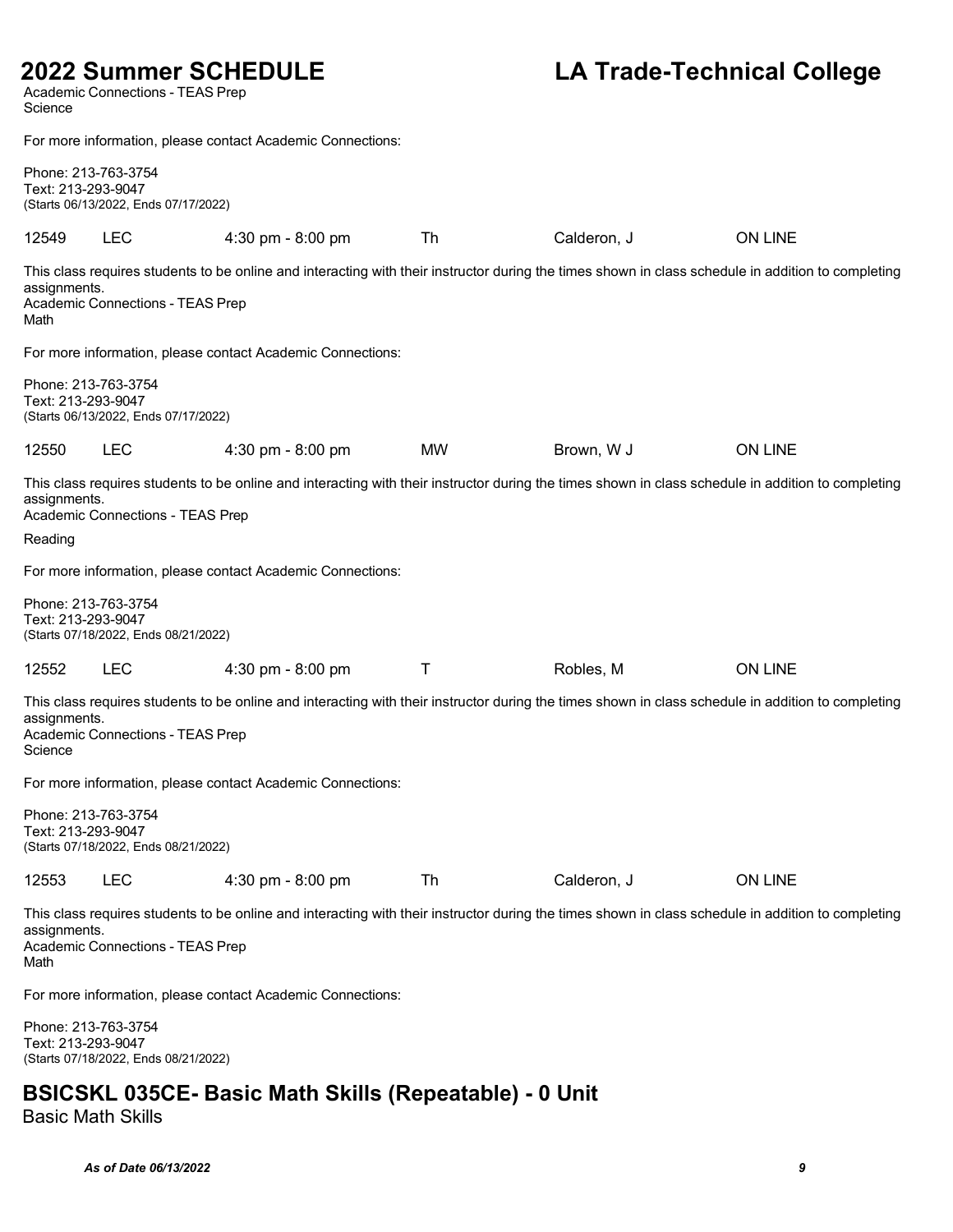# 2022 Summer SCHEDULE<br>Academic Connections - TEAS Prep

### **LA Trade-Technical College**

| Science                                                                                                                                                                                                        |                                                                                   |                                                                                                                                                    |           |             |                |  |  |  |  |
|----------------------------------------------------------------------------------------------------------------------------------------------------------------------------------------------------------------|-----------------------------------------------------------------------------------|----------------------------------------------------------------------------------------------------------------------------------------------------|-----------|-------------|----------------|--|--|--|--|
| For more information, please contact Academic Connections:                                                                                                                                                     |                                                                                   |                                                                                                                                                    |           |             |                |  |  |  |  |
|                                                                                                                                                                                                                | Phone: 213-763-3754<br>Text: 213-293-9047<br>(Starts 06/13/2022, Ends 07/17/2022) |                                                                                                                                                    |           |             |                |  |  |  |  |
| 12549                                                                                                                                                                                                          | <b>LEC</b>                                                                        | 4:30 pm - 8:00 pm                                                                                                                                  | Th        | Calderon, J | <b>ON LINE</b> |  |  |  |  |
| assignments.<br>Math                                                                                                                                                                                           | Academic Connections - TEAS Prep                                                  | This class requires students to be online and interacting with their instructor during the times shown in class schedule in addition to completing |           |             |                |  |  |  |  |
|                                                                                                                                                                                                                |                                                                                   | For more information, please contact Academic Connections:                                                                                         |           |             |                |  |  |  |  |
| Phone: 213-763-3754<br>Text: 213-293-9047                                                                                                                                                                      | (Starts 06/13/2022, Ends 07/17/2022)                                              |                                                                                                                                                    |           |             |                |  |  |  |  |
| 12550                                                                                                                                                                                                          | <b>LEC</b>                                                                        | 4:30 pm - 8:00 pm                                                                                                                                  | <b>MW</b> | Brown, W J  | <b>ON LINE</b> |  |  |  |  |
| assignments.                                                                                                                                                                                                   | Academic Connections - TEAS Prep                                                  | This class requires students to be online and interacting with their instructor during the times shown in class schedule in addition to completing |           |             |                |  |  |  |  |
| Reading                                                                                                                                                                                                        |                                                                                   |                                                                                                                                                    |           |             |                |  |  |  |  |
|                                                                                                                                                                                                                |                                                                                   | For more information, please contact Academic Connections:                                                                                         |           |             |                |  |  |  |  |
| Phone: 213-763-3754<br>Text: 213-293-9047                                                                                                                                                                      | (Starts 07/18/2022, Ends 08/21/2022)                                              |                                                                                                                                                    |           |             |                |  |  |  |  |
| 12552                                                                                                                                                                                                          | <b>LEC</b>                                                                        | 4:30 pm - 8:00 pm                                                                                                                                  | Τ         | Robles, M   | <b>ON LINE</b> |  |  |  |  |
| assignments.<br>Science                                                                                                                                                                                        | Academic Connections - TEAS Prep                                                  | This class requires students to be online and interacting with their instructor during the times shown in class schedule in addition to completing |           |             |                |  |  |  |  |
|                                                                                                                                                                                                                |                                                                                   | For more information, please contact Academic Connections:                                                                                         |           |             |                |  |  |  |  |
| Phone: 213-763-3754<br>Text: 213-293-9047                                                                                                                                                                      | (Starts 07/18/2022, Ends 08/21/2022)                                              |                                                                                                                                                    |           |             |                |  |  |  |  |
| 12553                                                                                                                                                                                                          | <b>LEC</b>                                                                        | 4:30 pm - 8:00 pm                                                                                                                                  | Th        | Calderon, J | <b>ON LINE</b> |  |  |  |  |
| This class requires students to be online and interacting with their instructor during the times shown in class schedule in addition to completing<br>assignments.<br>Academic Connections - TEAS Prep<br>Math |                                                                                   |                                                                                                                                                    |           |             |                |  |  |  |  |
|                                                                                                                                                                                                                | For more information, please contact Academic Connections:                        |                                                                                                                                                    |           |             |                |  |  |  |  |
| Phone: 213-763-3754<br>Text: 213-293-9047                                                                                                                                                                      | (Starts 07/18/2022, Ends 08/21/2022)                                              |                                                                                                                                                    |           |             |                |  |  |  |  |
|                                                                                                                                                                                                                | <b>BSICSKL 035CE- Basic Math Skills (Repeatable) - 0 Unit</b>                     |                                                                                                                                                    |           |             |                |  |  |  |  |

Basic Math Skills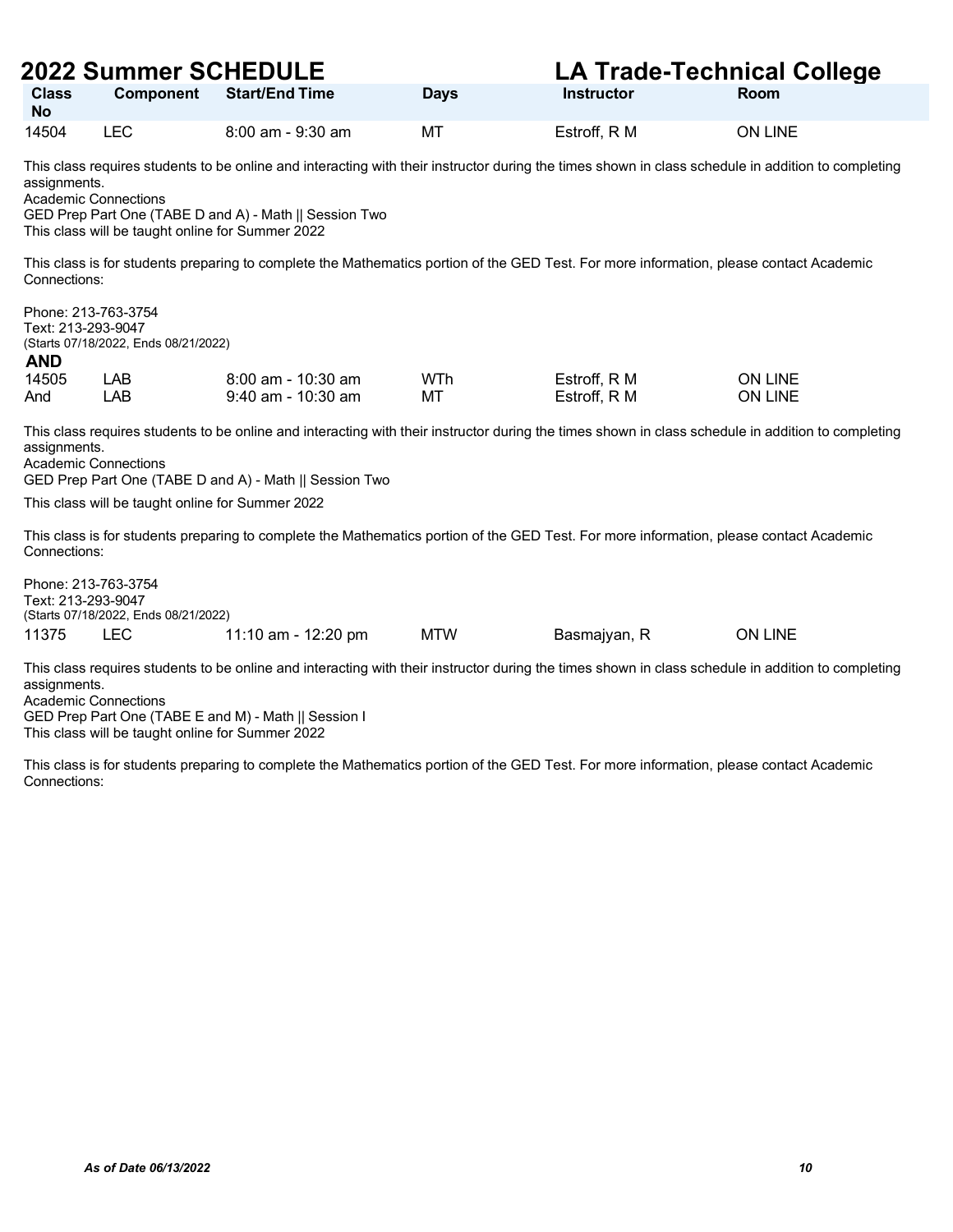|                                                                  | <b>2022 Summer SCHEDULE</b>                                                     |                                                                                                                                                                                                              |             | <b>LA Trade-Technical College</b> |                |
|------------------------------------------------------------------|---------------------------------------------------------------------------------|--------------------------------------------------------------------------------------------------------------------------------------------------------------------------------------------------------------|-------------|-----------------------------------|----------------|
| <b>Class</b><br><b>No</b>                                        | <b>Component</b>                                                                | <b>Start/End Time</b>                                                                                                                                                                                        | <b>Days</b> | <b>Instructor</b>                 | Room           |
| 14504                                                            | <b>LEC</b>                                                                      | 8:00 am - 9:30 am                                                                                                                                                                                            | MT          | Estroff, R M                      | <b>ON LINE</b> |
| assignments.                                                     | <b>Academic Connections</b><br>This class will be taught online for Summer 2022 | This class requires students to be online and interacting with their instructor during the times shown in class schedule in addition to completing<br>GED Prep Part One (TABE D and A) - Math    Session Two |             |                                   |                |
| Connections:                                                     |                                                                                 | This class is for students preparing to complete the Mathematics portion of the GED Test. For more information, please contact Academic                                                                      |             |                                   |                |
| Phone: 213-763-3754<br>Text: 213-293-9047<br><b>AND</b><br>14505 | (Starts 07/18/2022, Ends 08/21/2022)<br>LAB                                     | $8:00$ am - 10:30 am                                                                                                                                                                                         | WTh         | Estroff, R M                      | <b>ON LINE</b> |
| And                                                              | <b>LAB</b>                                                                      | 9:40 am - 10:30 am                                                                                                                                                                                           | МT          | Estroff, R M                      | <b>ON LINE</b> |
| assignments.                                                     | <b>Academic Connections</b><br>This class will be taught online for Summer 2022 | This class requires students to be online and interacting with their instructor during the times shown in class schedule in addition to completing<br>GED Prep Part One (TABE D and A) - Math    Session Two |             |                                   |                |
| Connections:                                                     |                                                                                 | This class is for students preparing to complete the Mathematics portion of the GED Test. For more information, please contact Academic                                                                      |             |                                   |                |
| Phone: 213-763-3754<br>Text: 213-293-9047                        | (Starts 07/18/2022, Ends 08/21/2022)                                            |                                                                                                                                                                                                              |             |                                   |                |
| 11375                                                            | <b>LEC</b>                                                                      | 11:10 am - 12:20 pm                                                                                                                                                                                          | <b>MTW</b>  | Basmajyan, R                      | <b>ON LINE</b> |
| assignments.                                                     | <b>Academic Connections</b><br>This class will be taught online for Summer 2022 | This class requires students to be online and interacting with their instructor during the times shown in class schedule in addition to completing<br>GED Prep Part One (TABE E and M) - Math    Session I   |             |                                   |                |
| Connections:                                                     |                                                                                 | This class is for students preparing to complete the Mathematics portion of the GED Test. For more information, please contact Academic                                                                      |             |                                   |                |
|                                                                  |                                                                                 |                                                                                                                                                                                                              |             |                                   |                |
|                                                                  |                                                                                 |                                                                                                                                                                                                              |             |                                   |                |
|                                                                  |                                                                                 |                                                                                                                                                                                                              |             |                                   |                |
|                                                                  |                                                                                 |                                                                                                                                                                                                              |             |                                   |                |
|                                                                  |                                                                                 |                                                                                                                                                                                                              |             |                                   |                |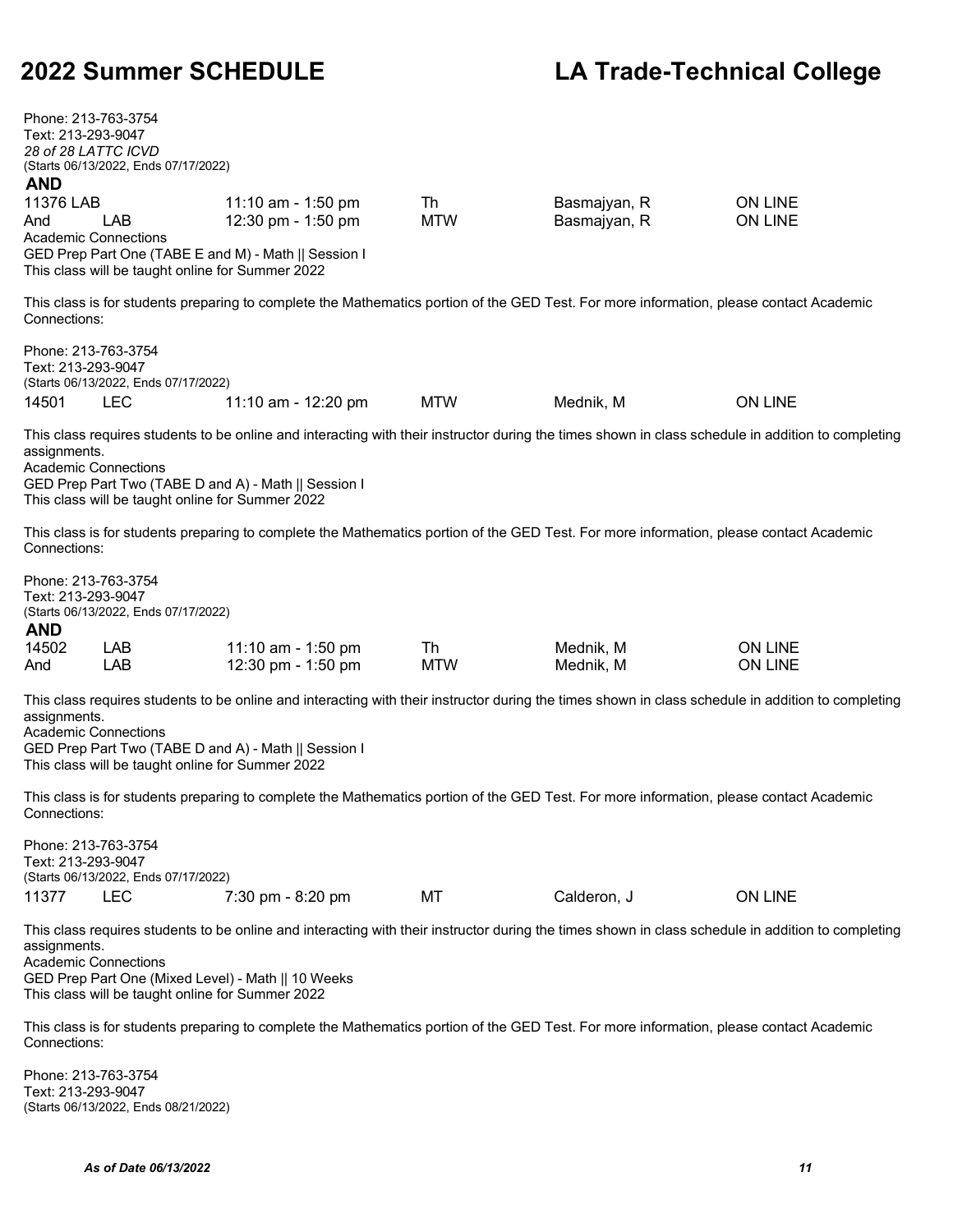| Phone: 213-763-3754<br>Text: 213-293-9047<br>28 of 28 LATTC ICVD<br><b>AND</b><br>11376 LAB<br>And | (Starts 06/13/2022, Ends 07/17/2022)<br><b>LAB</b><br><b>Academic Connections</b><br>This class will be taught online for Summer 2022 | 11:10 am - 1:50 pm<br>12:30 pm - 1:50 pm<br>GED Prep Part One (TABE E and M) - Math    Session I                                                                                                           | Th<br><b>MTW</b> | Basmajyan, R<br>Basmajyan, R | <b>ON LINE</b><br>ON LINE        |
|----------------------------------------------------------------------------------------------------|---------------------------------------------------------------------------------------------------------------------------------------|------------------------------------------------------------------------------------------------------------------------------------------------------------------------------------------------------------|------------------|------------------------------|----------------------------------|
| Connections:                                                                                       |                                                                                                                                       | This class is for students preparing to complete the Mathematics portion of the GED Test. For more information, please contact Academic                                                                    |                  |                              |                                  |
| Phone: 213-763-3754<br>Text: 213-293-9047<br>14501                                                 | (Starts 06/13/2022, Ends 07/17/2022)<br><b>LEC</b>                                                                                    | 11:10 am - 12:20 pm                                                                                                                                                                                        | <b>MTW</b>       | Mednik, M                    | <b>ON LINE</b>                   |
| assignments.<br><b>Academic Connections</b>                                                        | This class will be taught online for Summer 2022                                                                                      | This class requires students to be online and interacting with their instructor during the times shown in class schedule in addition to completing<br>GED Prep Part Two (TABE D and A) - Math    Session I |                  |                              |                                  |
| Connections:                                                                                       |                                                                                                                                       | This class is for students preparing to complete the Mathematics portion of the GED Test. For more information, please contact Academic                                                                    |                  |                              |                                  |
| Phone: 213-763-3754<br>Text: 213-293-9047<br><b>AND</b><br>14502<br>And                            | (Starts 06/13/2022, Ends 07/17/2022)<br>LAB<br>LAB                                                                                    | 11:10 am - 1:50 pm<br>12:30 pm - 1:50 pm                                                                                                                                                                   | Th<br><b>MTW</b> | Mednik, M<br>Mednik, M       | <b>ON LINE</b><br><b>ON LINE</b> |
| assignments.<br><b>Academic Connections</b>                                                        | This class will be taught online for Summer 2022                                                                                      | This class requires students to be online and interacting with their instructor during the times shown in class schedule in addition to completing<br>GED Prep Part Two (TABE D and A) - Math    Session I |                  |                              |                                  |
| Connections:                                                                                       |                                                                                                                                       | This class is for students preparing to complete the Mathematics portion of the GED Test. For more information, please contact Academic                                                                    |                  |                              |                                  |
| Phone: 213-763-3754<br>Text: 213-293-9047<br>11377                                                 | (Starts 06/13/2022, Ends 07/17/2022)<br><b>LEC</b>                                                                                    | 7:30 pm - 8:20 pm                                                                                                                                                                                          | МT               | Calderon, J                  | <b>ON LINE</b>                   |
| assignments.<br><b>Academic Connections</b>                                                        | This class will be taught online for Summer 2022                                                                                      | This class requires students to be online and interacting with their instructor during the times shown in class schedule in addition to completing<br>GED Prep Part One (Mixed Level) - Math    10 Weeks   |                  |                              |                                  |
| Connections:                                                                                       |                                                                                                                                       | This class is for students preparing to complete the Mathematics portion of the GED Test. For more information, please contact Academic                                                                    |                  |                              |                                  |
| Phone: 213-763-3754<br>Text: 213-293-9047                                                          | (Starts 06/13/2022, Ends 08/21/2022)                                                                                                  |                                                                                                                                                                                                            |                  |                              |                                  |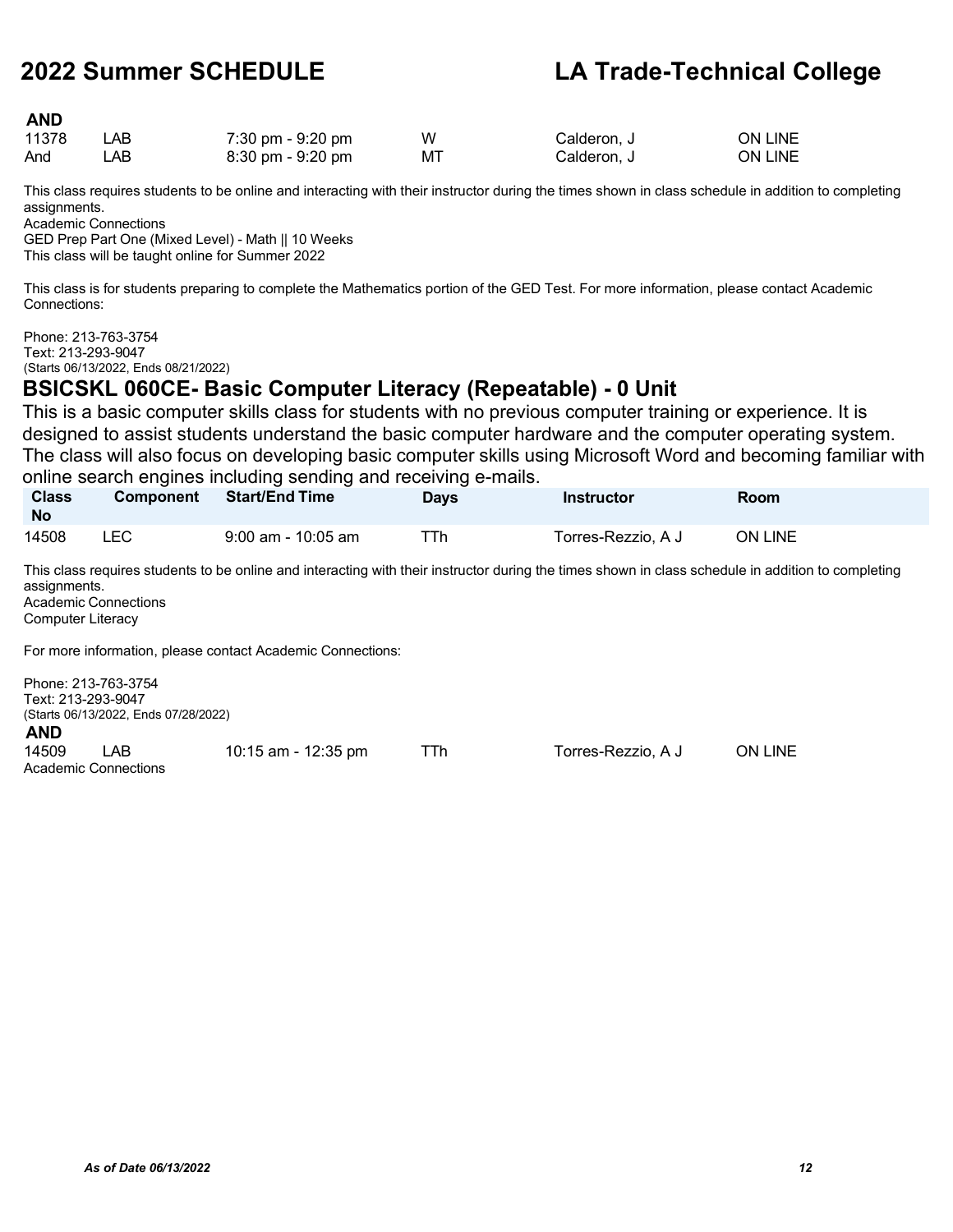### **AND**

| 11378 | _AB | 7:30 pm - 9:20 pm                   | w  | Calderon. J | <b>ON LINE</b> |
|-------|-----|-------------------------------------|----|-------------|----------------|
| And   | _AB | $8:30 \text{ pm} - 9:20 \text{ pm}$ | МT | Calderon. J | <b>ON LINE</b> |

This class requires students to be online and interacting with their instructor during the times shown in class schedule in addition to completing assignments.

Academic Connections

GED Prep Part One (Mixed Level) - Math || 10 Weeks This class will be taught online for Summer 2022

This class is for students preparing to complete the Mathematics portion of the GED Test. For more information, please contact Academic Connections:

Phone: 213-763-3754 Text: 213-293-9047 (Starts 06/13/2022, Ends 08/21/2022)

### **BSICSKL 060CE- Basic Computer Literacy (Repeatable) - 0 Unit**

This is a basic computer skills class for students with no previous computer training or experience. It is designed to assist students understand the basic computer hardware and the computer operating system. The class will also focus on developing basic computer skills using Microsoft Word and becoming familiar with online search engines including sending and receiving e-mails.

| <b>Class</b><br><b>No</b> | <b>Component</b> | <b>Start/End Time</b> | Days | <b>Instructor</b>  | Room           |  |
|---------------------------|------------------|-----------------------|------|--------------------|----------------|--|
| 14508                     | LEC              | $9:00$ am - 10:05 am  | ⊤Th  | Torres-Rezzio, A J | <b>ON LINE</b> |  |

This class requires students to be online and interacting with their instructor during the times shown in class schedule in addition to completing assignments. Academic Connections

Computer Literacy

For more information, please contact Academic Connections:

| Text: 213-293-9047 | Phone: 213-763-3754<br>(Starts 06/13/2022, Ends 07/28/2022) |                       |     |                    |         |
|--------------------|-------------------------------------------------------------|-----------------------|-----|--------------------|---------|
| <b>AND</b>         |                                                             |                       |     |                    |         |
| 14509              | I AR                                                        | $10:15$ am - 12:35 pm | TTh | Torres-Rezzio, A J | ON LINE |
|                    | Academic Connections                                        |                       |     |                    |         |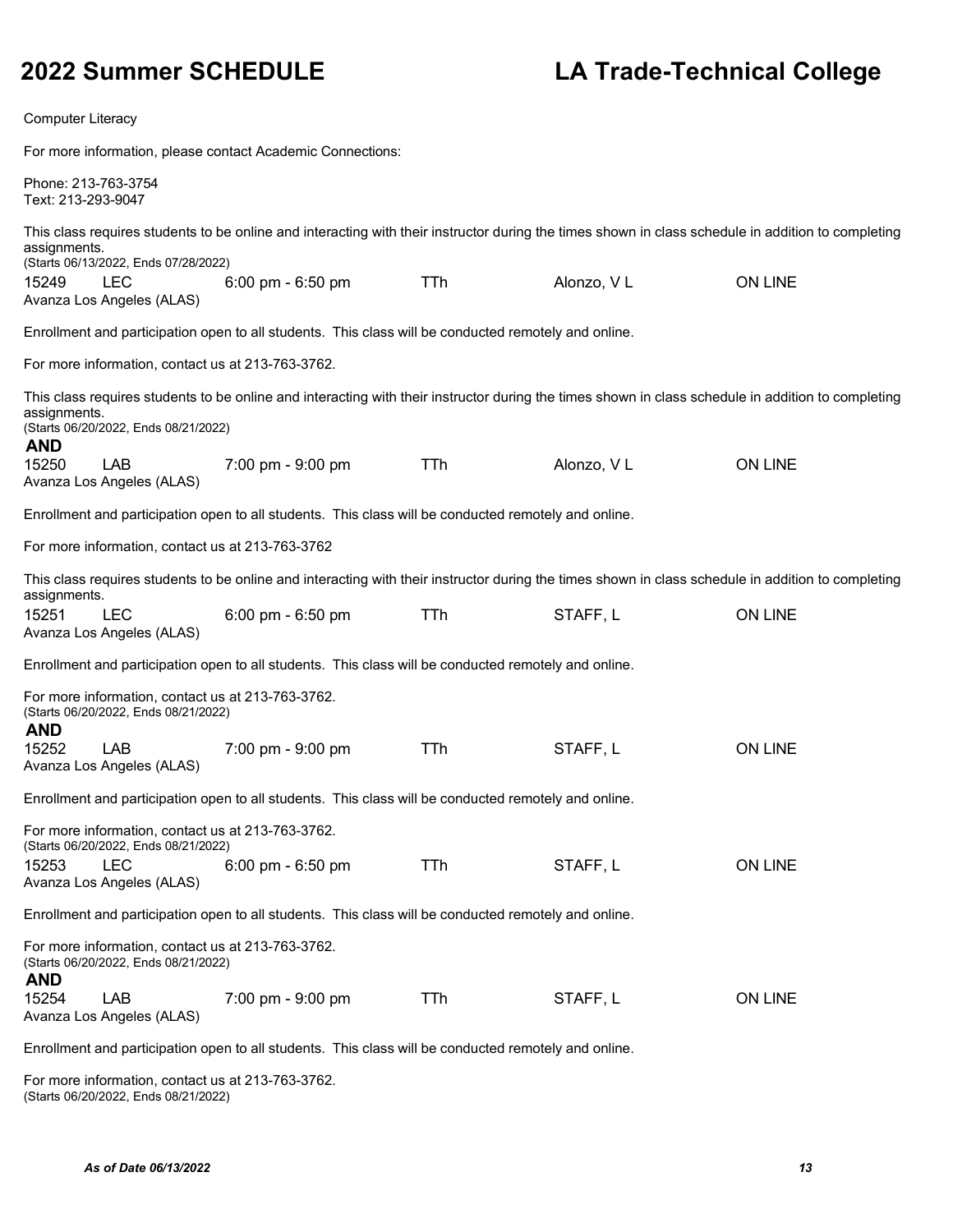Computer Literacy

For more information, please contact Academic Connections:

|                                           |                                                                                           | The more implification, picase contact Academic Compositions                                                                                       |            |            |                |
|-------------------------------------------|-------------------------------------------------------------------------------------------|----------------------------------------------------------------------------------------------------------------------------------------------------|------------|------------|----------------|
| Phone: 213-763-3754<br>Text: 213-293-9047 |                                                                                           |                                                                                                                                                    |            |            |                |
| assignments.                              |                                                                                           | This class requires students to be online and interacting with their instructor during the times shown in class schedule in addition to completing |            |            |                |
|                                           | (Starts 06/13/2022, Ends 07/28/2022)                                                      |                                                                                                                                                    |            |            |                |
| 15249                                     | <b>LEC</b><br>Avanza Los Angeles (ALAS)                                                   | 6:00 pm - 6:50 pm                                                                                                                                  | TTh        | Alonzo, VL | <b>ON LINE</b> |
|                                           |                                                                                           | Enrollment and participation open to all students. This class will be conducted remotely and online.                                               |            |            |                |
|                                           | For more information, contact us at 213-763-3762.                                         |                                                                                                                                                    |            |            |                |
| assignments.<br><b>AND</b>                | (Starts 06/20/2022, Ends 08/21/2022)                                                      | This class requires students to be online and interacting with their instructor during the times shown in class schedule in addition to completing |            |            |                |
| 15250                                     | <b>LAB</b><br>Avanza Los Angeles (ALAS)                                                   | 7:00 pm - 9:00 pm                                                                                                                                  | TTh        | Alonzo, VL | <b>ON LINE</b> |
|                                           |                                                                                           | Enrollment and participation open to all students. This class will be conducted remotely and online.                                               |            |            |                |
|                                           | For more information, contact us at 213-763-3762                                          |                                                                                                                                                    |            |            |                |
| assignments.                              |                                                                                           | This class requires students to be online and interacting with their instructor during the times shown in class schedule in addition to completing |            |            |                |
| 15251                                     | <b>LEC</b><br>Avanza Los Angeles (ALAS)                                                   | 6:00 pm - 6:50 pm                                                                                                                                  | <b>TTh</b> | STAFF, L   | <b>ON LINE</b> |
|                                           |                                                                                           | Enrollment and participation open to all students. This class will be conducted remotely and online.                                               |            |            |                |
| <b>AND</b>                                | For more information, contact us at 213-763-3762.<br>(Starts 06/20/2022, Ends 08/21/2022) |                                                                                                                                                    |            |            |                |
| 15252                                     | <b>LAB</b><br>Avanza Los Angeles (ALAS)                                                   | 7:00 pm - 9:00 pm                                                                                                                                  | TTh        | STAFF, L   | <b>ON LINE</b> |
|                                           |                                                                                           | Enrollment and participation open to all students. This class will be conducted remotely and online.                                               |            |            |                |
|                                           | For more information, contact us at 213-763-3762.<br>(Starts 06/20/2022, Ends 08/21/2022) |                                                                                                                                                    |            |            |                |
| 15253                                     | <b>LEC</b><br>Avanza Los Angeles (ALAS)                                                   | 6:00 pm - 6:50 pm                                                                                                                                  | TTh        | STAFF, L   | <b>ON LINE</b> |
|                                           |                                                                                           | Enrollment and participation open to all students. This class will be conducted remotely and online.                                               |            |            |                |
| <b>AND</b>                                | For more information, contact us at 213-763-3762.<br>(Starts 06/20/2022, Ends 08/21/2022) |                                                                                                                                                    |            |            |                |
| 15254                                     | LAB<br>Avanza Los Angeles (ALAS)                                                          | 7:00 pm - 9:00 pm                                                                                                                                  | TTh        | STAFF, L   | <b>ON LINE</b> |

Enrollment and participation open to all students. This class will be conducted remotely and online.

For more information, contact us at 213-763-3762. (Starts 06/20/2022, Ends 08/21/2022)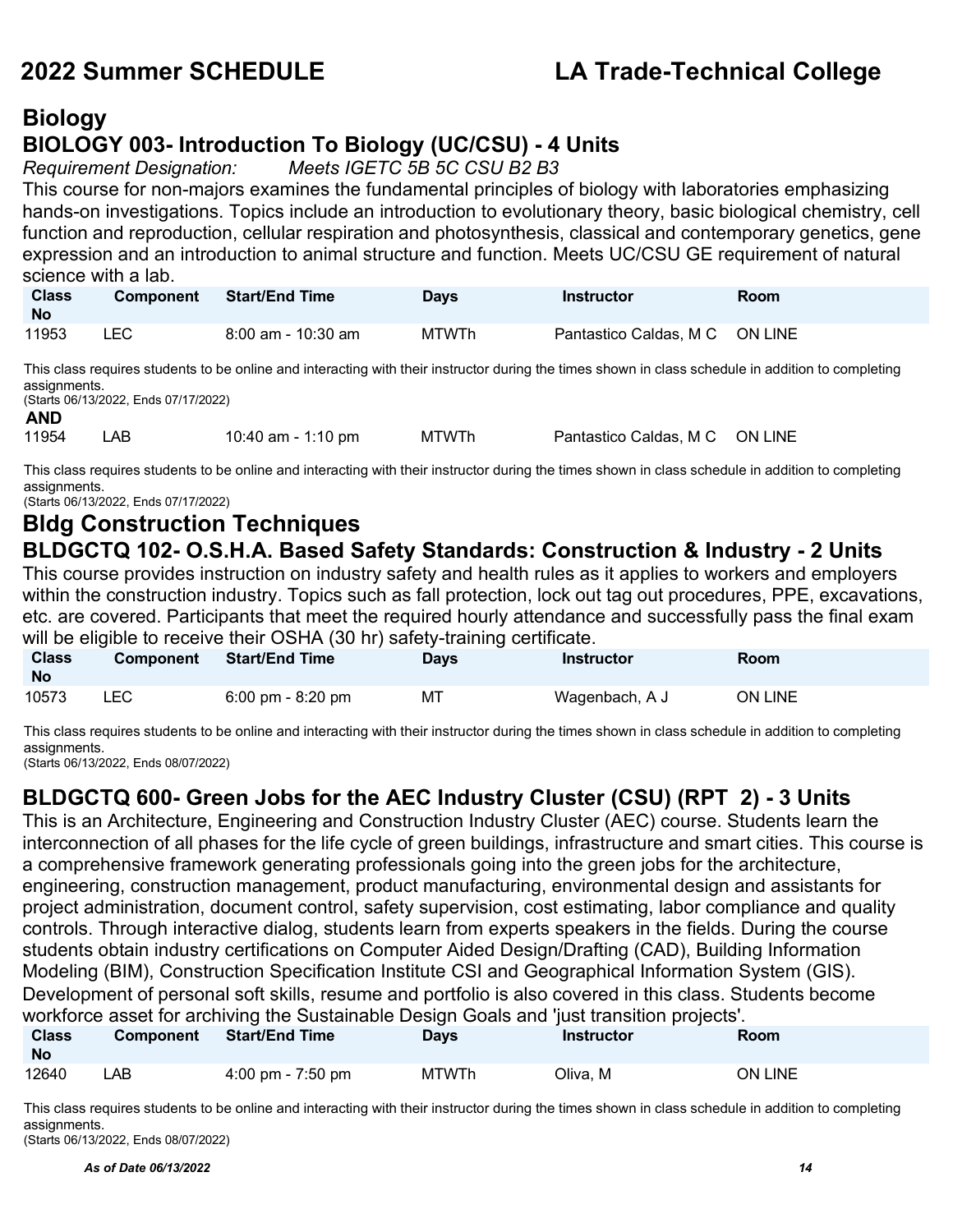### **Biology BIOLOGY 003- Introduction To Biology (UC/CSU) - 4 Units**

*Requirement Designation: Meets IGETC 5B 5C CSU B2 B3*

This course for non-majors examines the fundamental principles of biology with laboratories emphasizing hands-on investigations. Topics include an introduction to evolutionary theory, basic biological chemistry, cell function and reproduction, cellular respiration and photosynthesis, classical and contemporary genetics, gene expression and an introduction to animal structure and function. Meets UC/CSU GE requirement of natural science with a lab.

| <b>Class</b><br><b>No</b> | <b>Component</b> | <b>Start/End Time</b> | <b>Davs</b>  | Instructor                     | <b>Room</b> |
|---------------------------|------------------|-----------------------|--------------|--------------------------------|-------------|
| 11953                     | <b>LEC</b>       | $8:00$ am - 10:30 am  | <b>MTWTh</b> | Pantastico Caldas, M C ON LINE |             |

This class requires students to be online and interacting with their instructor during the times shown in class schedule in addition to completing assignments.

(Starts 06/13/2022, Ends 07/17/2022)

**AND**<br>11954 LAB 10:40 am - 1:10 pm MTWTh Pantastico Caldas, M C ON LINE

This class requires students to be online and interacting with their instructor during the times shown in class schedule in addition to completing assignments.

(Starts 06/13/2022, Ends 07/17/2022)

### **Bldg Construction Techniques BLDGCTQ 102- O.S.H.A. Based Safety Standards: Construction & Industry - 2 Units**

This course provides instruction on industry safety and health rules as it applies to workers and employers within the construction industry. Topics such as fall protection, lock out tag out procedures, PPE, excavations, etc. are covered. Participants that meet the required hourly attendance and successfully pass the final exam will be eligible to receive their OSHA (30 hr) safety-training certificate.

| <b>Class</b><br><b>No</b> | <b>Component</b> | <b>Start/End Time</b>               | Days | <b>Instructor</b> | Room    |
|---------------------------|------------------|-------------------------------------|------|-------------------|---------|
| 10573                     | LEC              | $6:00 \text{ pm} - 8:20 \text{ pm}$ | МT   | Wagenbach, A J    | ON LINE |

This class requires students to be online and interacting with their instructor during the times shown in class schedule in addition to completing assignments.

(Starts 06/13/2022, Ends 08/07/2022)

### **BLDGCTQ 600- Green Jobs for the AEC Industry Cluster (CSU) (RPT 2) - 3 Units**

This is an Architecture, Engineering and Construction Industry Cluster (AEC) course. Students learn the interconnection of all phases for the life cycle of green buildings, infrastructure and smart cities. This course is a comprehensive framework generating professionals going into the green jobs for the architecture, engineering, construction management, product manufacturing, environmental design and assistants for project administration, document control, safety supervision, cost estimating, labor compliance and quality controls. Through interactive dialog, students learn from experts speakers in the fields. During the course students obtain industry certifications on Computer Aided Design/Drafting (CAD), Building Information Modeling (BIM), Construction Specification Institute CSI and Geographical Information System (GIS). Development of personal soft skills, resume and portfolio is also covered in this class. Students become workforce asset for archiving the Sustainable Design Goals and 'just transition projects'.

| <b>Class</b><br><b>No</b> | <b>Component</b> | <b>Start/End Time</b> | <b>Days</b>  | <b>Instructor</b> | <b>Room</b>    |
|---------------------------|------------------|-----------------------|--------------|-------------------|----------------|
| 12640                     | ∟AB              | 4:00 pm - 7:50 pm     | <b>MTWTh</b> | Oliva. M          | <b>ON LINE</b> |

This class requires students to be online and interacting with their instructor during the times shown in class schedule in addition to completing assignments.

(Starts 06/13/2022, Ends 08/07/2022)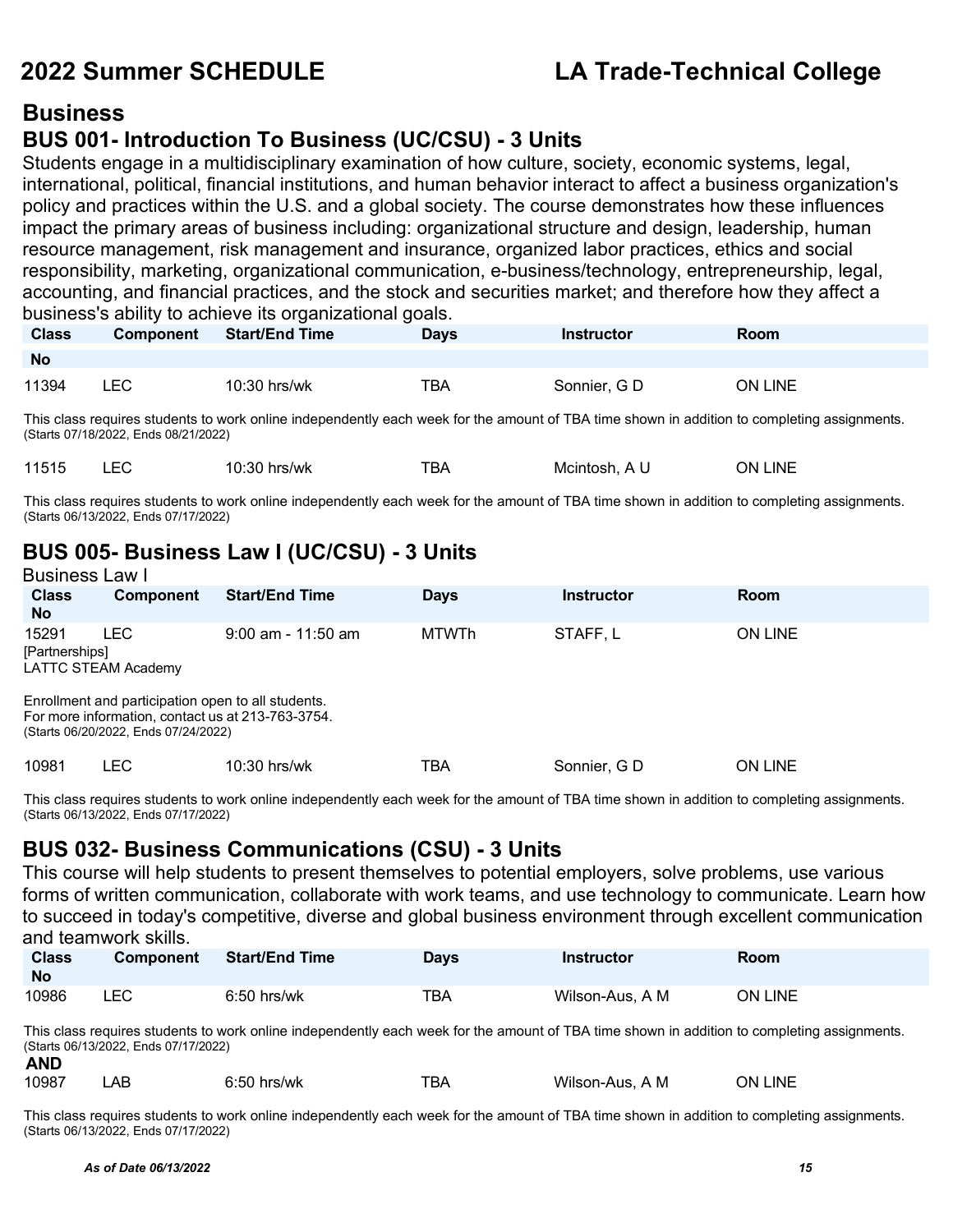### **Business**

### **BUS 001- Introduction To Business (UC/CSU) - 3 Units**

Students engage in a multidisciplinary examination of how culture, society, economic systems, legal, international, political, financial institutions, and human behavior interact to affect a business organization's policy and practices within the U.S. and a global society. The course demonstrates how these influences impact the primary areas of business including: organizational structure and design, leadership, human resource management, risk management and insurance, organized labor practices, ethics and social responsibility, marketing, organizational communication, e-business/technology, entrepreneurship, legal, accounting, and financial practices, and the stock and securities market; and therefore how they affect a business's ability to achieve its organizational goals.

| <b>Class</b> | <b>Component</b> | <b>Start/End Time</b> | <b>Davs</b> | <b>Instructor</b> | Room           |
|--------------|------------------|-----------------------|-------------|-------------------|----------------|
| <b>No</b>    |                  |                       |             |                   |                |
| 11394        | ∟EC              | 10:30 hrs/wk          | TBA         | Sonnier, G D      | <b>ON LINE</b> |

This class requires students to work online independently each week for the amount of TBA time shown in addition to completing assignments. (Starts 07/18/2022, Ends 08/21/2022)

|  | 11515 |  | ാറ<br>٬۵۰۰<br>10:30 hrs/wk | ™ВА | Mcintosh.<br>AL | ∟INF<br>.)N |
|--|-------|--|----------------------------|-----|-----------------|-------------|
|--|-------|--|----------------------------|-----|-----------------|-------------|

This class requires students to work online independently each week for the amount of TBA time shown in addition to completing assignments. (Starts 06/13/2022, Ends 07/17/2022)

### **BUS 005- Business Law I (UC/CSU) - 3 Units** Business Law I

|                           | DUSINGSS LAW I                                                                                                                               |                       |              |              |                |  |  |  |
|---------------------------|----------------------------------------------------------------------------------------------------------------------------------------------|-----------------------|--------------|--------------|----------------|--|--|--|
| <b>Class</b><br><b>No</b> | <b>Component</b>                                                                                                                             | <b>Start/End Time</b> | <b>Days</b>  | Instructor   | Room           |  |  |  |
| 15291<br>[Partnerships]   | <b>LEC</b><br>LATTC STEAM Academy<br>Enrollment and participation open to all students.<br>For more information, contact us at 213-763-3754. | $9:00$ am - 11:50 am  | <b>MTWTh</b> | STAFF.L      | <b>ON LINE</b> |  |  |  |
| 10981                     | (Starts 06/20/2022, Ends 07/24/2022)<br>LEC.                                                                                                 | $10:30$ hrs/wk        | TBA          | Sonnier, G D | <b>ON LINE</b> |  |  |  |

This class requires students to work online independently each week for the amount of TBA time shown in addition to completing assignments. (Starts 06/13/2022, Ends 07/17/2022)

### **BUS 032- Business Communications (CSU) - 3 Units**

This course will help students to present themselves to potential employers, solve problems, use various forms of written communication, collaborate with work teams, and use technology to communicate. Learn how to succeed in today's competitive, diverse and global business environment through excellent communication and teamwork skills.

| <b>Class</b><br><b>No</b> | <b>Component</b> | <b>Start/End Time</b> | Davs | Instructor      | Room    |
|---------------------------|------------------|-----------------------|------|-----------------|---------|
| 10986                     | LEC              | $6:50$ hrs/wk         | TBA  | Wilson-Aus, A M | ON LINE |

This class requires students to work online independently each week for the amount of TBA time shown in addition to completing assignments. (Starts 06/13/2022, Ends 07/17/2022) **AND**

| .     |    |                        |     |                          |             |  |
|-------|----|------------------------|-----|--------------------------|-------------|--|
| 10987 | AВ | $ -$<br>hrs/wk<br>6:50 | ™ВА | Wilson-Aus<br>$\sqrt{M}$ | _INE<br>DN. |  |

This class requires students to work online independently each week for the amount of TBA time shown in addition to completing assignments. (Starts 06/13/2022, Ends 07/17/2022)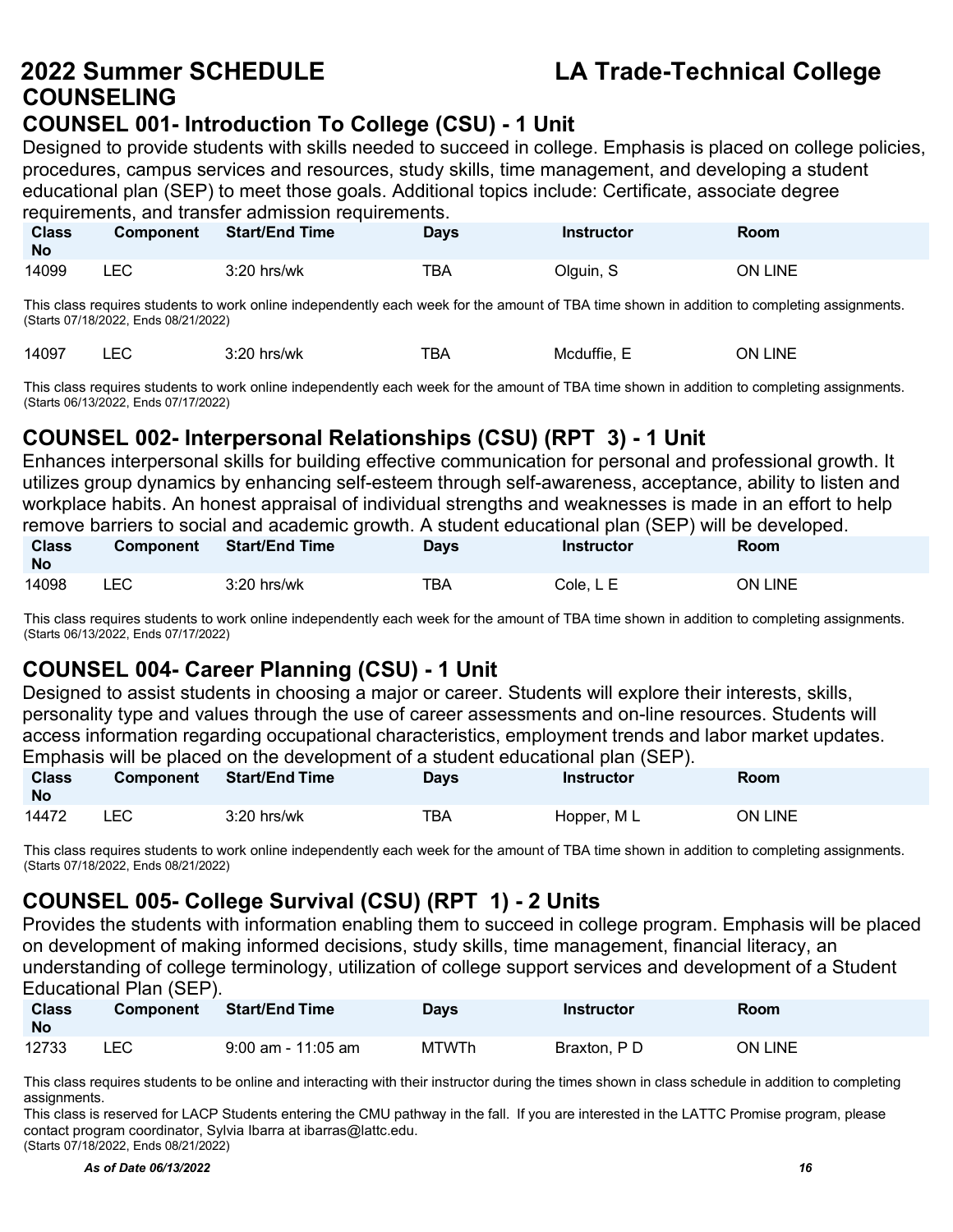# **COUNSELING**

### **COUNSEL 001- Introduction To College (CSU) - 1 Unit**

Designed to provide students with skills needed to succeed in college. Emphasis is placed on college policies, procedures, campus services and resources, study skills, time management, and developing a student educational plan (SEP) to meet those goals. Additional topics include: Certificate, associate degree requirements, and transfer admission requirements.

| <b>Class</b><br><b>No</b> | Component | <b>Start/End Time</b> | <b>Days</b> | Instructor | Room    |
|---------------------------|-----------|-----------------------|-------------|------------|---------|
| 14099                     | LEC       | $3:20$ hrs/wk         | TBA         | Olguin, S  | ON LINE |

This class requires students to work online independently each week for the amount of TBA time shown in addition to completing assignments. (Starts 07/18/2022, Ends 08/21/2022)

| ◡└<br>$\sim$ $\sim$ $\sim$<br>___ | 14097 |  | hrs/wk | --<br>ВΑ | ---<br>Puttle. .<br>Mcdut | INF<br>7N. |
|-----------------------------------|-------|--|--------|----------|---------------------------|------------|
|-----------------------------------|-------|--|--------|----------|---------------------------|------------|

This class requires students to work online independently each week for the amount of TBA time shown in addition to completing assignments. (Starts 06/13/2022, Ends 07/17/2022)

### **COUNSEL 002- Interpersonal Relationships (CSU) (RPT 3) - 1 Unit**

Enhances interpersonal skills for building effective communication for personal and professional growth. It utilizes group dynamics by enhancing self-esteem through self-awareness, acceptance, ability to listen and workplace habits. An honest appraisal of individual strengths and weaknesses is made in an effort to help remove barriers to social and academic growth. A student educational plan (SEP) will be developed.

| <b>Class</b><br><b>No</b> | <b>Component</b> | <b>Start/End Time</b> | <b>Days</b> | Instructor | <b>Room</b>    |
|---------------------------|------------------|-----------------------|-------------|------------|----------------|
| 14098                     | LEC              | $3:20$ hrs/wk         | <b>TBA</b>  | Cole. L E  | <b>ON LINE</b> |

This class requires students to work online independently each week for the amount of TBA time shown in addition to completing assignments. (Starts 06/13/2022, Ends 07/17/2022)

### **COUNSEL 004- Career Planning (CSU) - 1 Unit**

Designed to assist students in choosing a major or career. Students will explore their interests, skills, personality type and values through the use of career assessments and on-line resources. Students will access information regarding occupational characteristics, employment trends and labor market updates. Emphasis will be placed on the development of a student educational plan (SEP).

| <b>Class</b><br><b>No</b> | <b>Component</b> | <b>Start/End Time</b> | <b>Days</b> | Instructor  | Room    |
|---------------------------|------------------|-----------------------|-------------|-------------|---------|
| 14472                     | LEC              | $3:20$ hrs/wk         | TBA         | Hopper, M L | ON LINE |

This class requires students to work online independently each week for the amount of TBA time shown in addition to completing assignments. (Starts 07/18/2022, Ends 08/21/2022)

### **COUNSEL 005- College Survival (CSU) (RPT 1) - 2 Units**

Provides the students with information enabling them to succeed in college program. Emphasis will be placed on development of making informed decisions, study skills, time management, financial literacy, an understanding of college terminology, utilization of college support services and development of a Student Educational Plan (SEP).

| <b>Class</b><br><b>No</b> | <b>Component</b> | <b>Start/End Time</b> | Days         | Instructor  | Room           |
|---------------------------|------------------|-----------------------|--------------|-------------|----------------|
| 12733                     | LEC              | $9:00$ am - 11:05 am  | <b>MTWTh</b> | Braxton, PD | <b>ON LINE</b> |

This class requires students to be online and interacting with their instructor during the times shown in class schedule in addition to completing assignments.

This class is reserved for LACP Students entering the CMU pathway in the fall. If you are interested in the LATTC Promise program, please contact program coordinator, Sylvia Ibarra a[t ibarras@lattc.edu.](mailto:ibarras@lattc.edu) (Starts 07/18/2022, Ends 08/21/2022)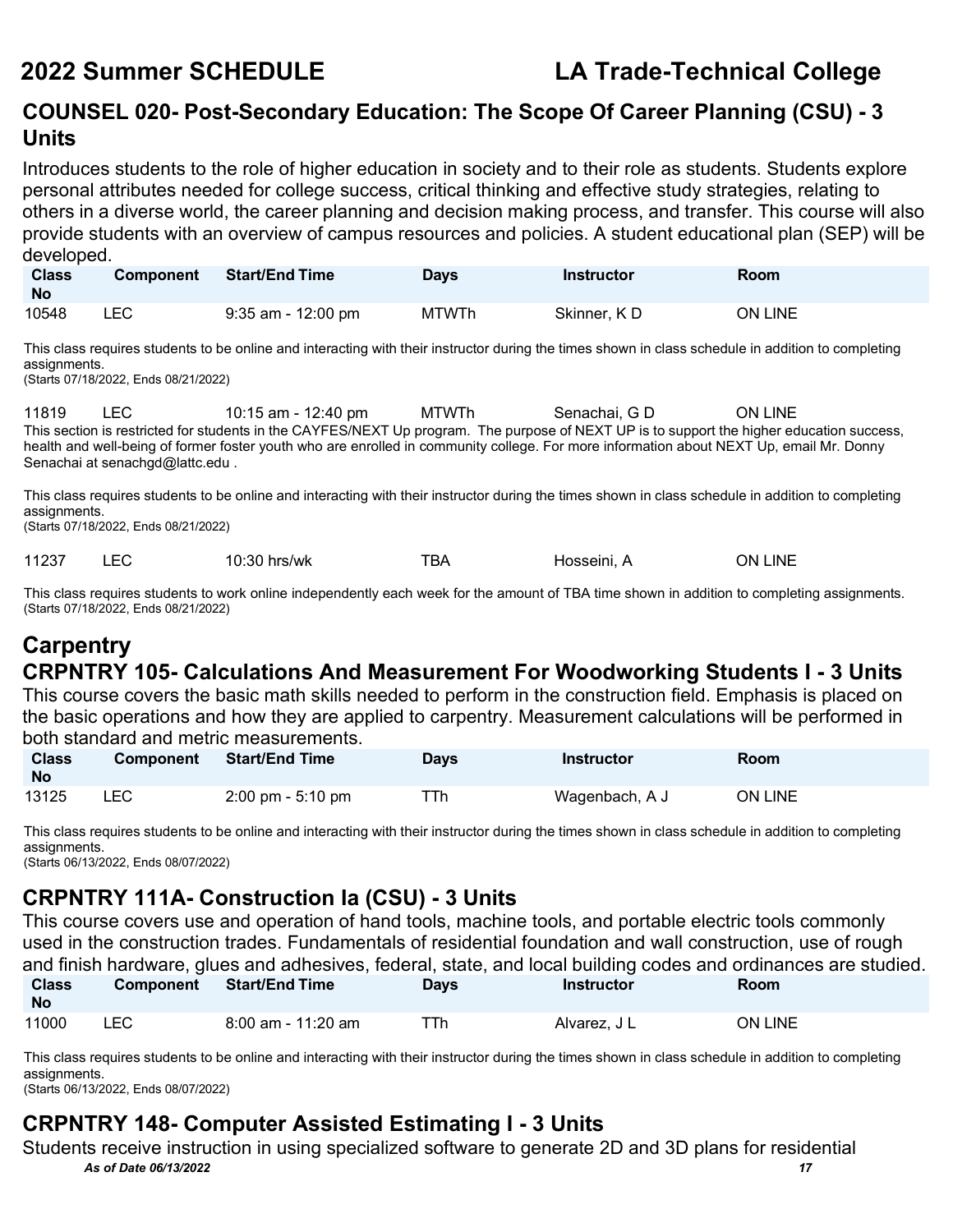### **COUNSEL 020- Post-Secondary Education: The Scope Of Career Planning (CSU) - 3 Units**

Introduces students to the role of higher education in society and to their role as students. Students explore personal attributes needed for college success, critical thinking and effective study strategies, relating to others in a diverse world, the career planning and decision making process, and transfer. This course will also provide students with an overview of campus resources and policies. A student educational plan (SEP) will be developed.

| <b>Class</b><br><b>No</b> | <b>Component</b> | <b>Start/End Time</b>                                                                                                                              | <b>Davs</b> | <b>Instructor</b> | <b>Room</b>    |
|---------------------------|------------------|----------------------------------------------------------------------------------------------------------------------------------------------------|-------------|-------------------|----------------|
| 10548                     | LEC.             | 9:35 am - 12:00 pm                                                                                                                                 | MTWTh       | Skinner, KD       | <b>ON LINE</b> |
|                           |                  | This class requires students to be online and interacting with their instructor during the times shown in class schedule in addition to completing |             |                   |                |

assignments. (Starts 07/18/2022, Ends 08/21/2022)

11819 LEC 10:15 am - 12:40 pm MTWTh Senachai, G D ON LINE This section is restricted for students in the CAYFES/NEXT Up program. The purpose of NEXT UP is to support the higher education success, health and well-being of former foster youth who are enrolled in community college. For more information about NEXT Up, email Mr. Donny Senachai at [senachgd@lattc.edu](mailto:senachgd@lattc.edu) .

This class requires students to be online and interacting with their instructor during the times shown in class schedule in addition to completing assignments.

(Starts 07/18/2022, Ends 08/21/2022)

11237 LEC 10:30 hrs/wk TBA Hosseini, A ON LINE

This class requires students to work online independently each week for the amount of TBA time shown in addition to completing assignments. (Starts 07/18/2022, Ends 08/21/2022)

### **Carpentry CRPNTRY 105- Calculations And Measurement For Woodworking Students I - 3 Units**

This course covers the basic math skills needed to perform in the construction field. Emphasis is placed on the basic operations and how they are applied to carpentry. Measurement calculations will be performed in both standard and metric measurements.

| <b>Class</b><br><b>No</b> | <b>Component</b> | <b>Start/End Time</b>               | Days | Instructor     | Room           |
|---------------------------|------------------|-------------------------------------|------|----------------|----------------|
| 13125                     | LEC              | $2:00 \text{ pm} - 5:10 \text{ pm}$ | ⊤Тh  | Wagenbach, A J | <b>ON LINE</b> |

This class requires students to be online and interacting with their instructor during the times shown in class schedule in addition to completing assignments.

(Starts 06/13/2022, Ends 08/07/2022)

### **CRPNTRY 111A- Construction Ia (CSU) - 3 Units**

This course covers use and operation of hand tools, machine tools, and portable electric tools commonly used in the construction trades. Fundamentals of residential foundation and wall construction, use of rough and finish hardware, glues and adhesives, federal, state, and local building codes and ordinances are studied.<br>Class Campanant Statiled Time **Class Component Start/End Time** 

| <b>Class</b><br><b>No</b> | <b>Component</b> | ਂ Start/End Time ।   | Days | <b>Instructor</b> | Room    |
|---------------------------|------------------|----------------------|------|-------------------|---------|
| 11000                     | LEC              | $8:00$ am - 11:20 am | ⊤⊺h  | Alvarez, J L      | ON LINE |

This class requires students to be online and interacting with their instructor during the times shown in class schedule in addition to completing assignments.

(Starts 06/13/2022, Ends 08/07/2022)

### **CRPNTRY 148- Computer Assisted Estimating I - 3 Units**

*As of Date 06/13/2022 17* Students receive instruction in using specialized software to generate 2D and 3D plans for residential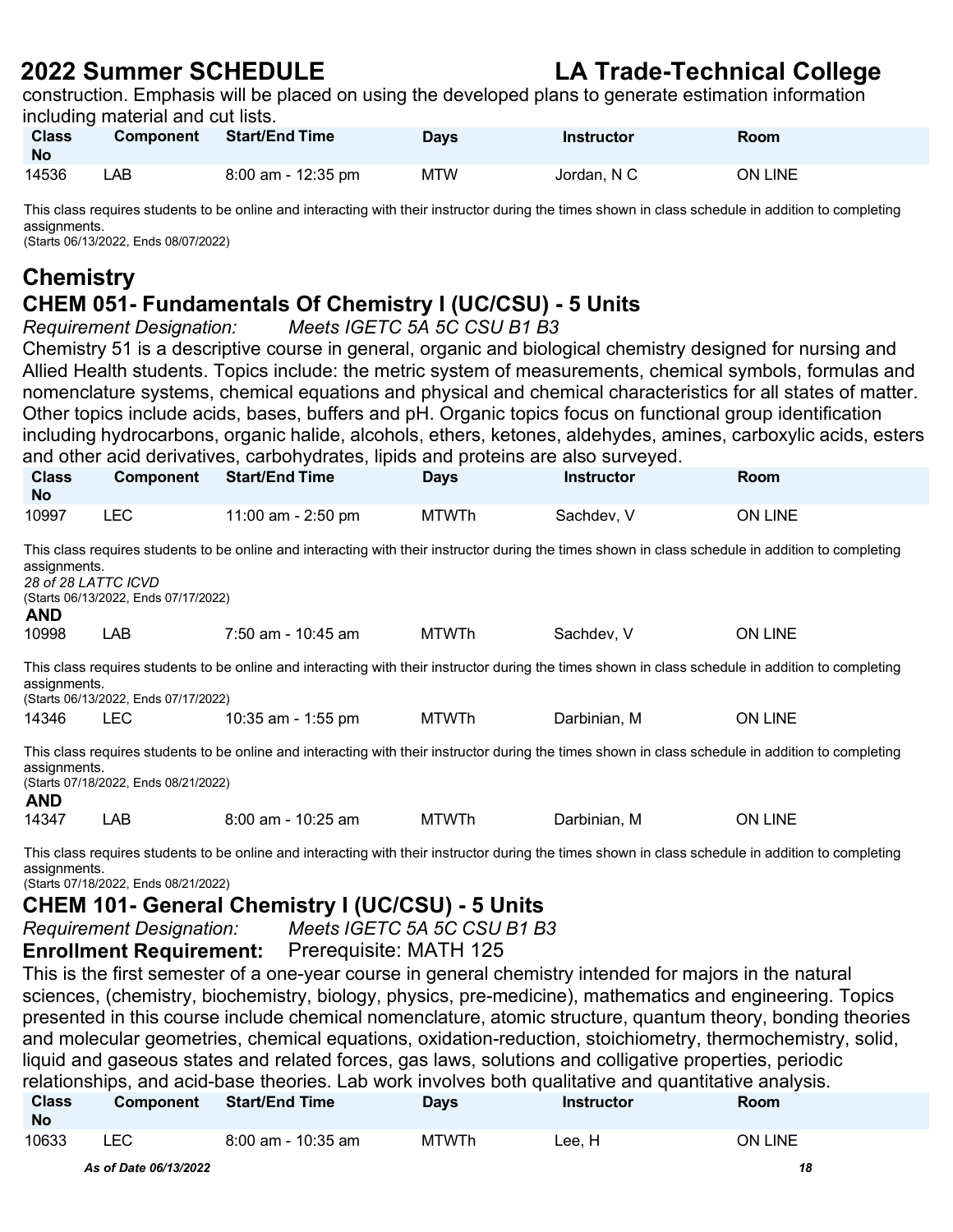construction. Emphasis will be placed on using the developed plans to generate estimation information including material and cut lists.

| <b>Class</b><br><b>No</b> | <b>Component</b> | <b>Start/End Time</b> | <b>Days</b> | <b>Instructor</b> | Room    |
|---------------------------|------------------|-----------------------|-------------|-------------------|---------|
| 14536                     | LAB.             | 8:00 am - 12:35 pm    | MTW         | Jordan, N C       | ON LINE |

This class requires students to be online and interacting with their instructor during the times shown in class schedule in addition to completing assignments.

(Starts 06/13/2022, Ends 08/07/2022)

### **Chemistry**

## **CHEM 051- Fundamentals Of Chemistry I (UC/CSU) - 5 Units**

*Meets IGETC 5A 5C CSU B1 B3* 

Chemistry 51 is a descriptive course in general, organic and biological chemistry designed for nursing and Allied Health students. Topics include: the metric system of measurements, chemical symbols, formulas and nomenclature systems, chemical equations and physical and chemical characteristics for all states of matter. Other topics include acids, bases, buffers and pH. Organic topics focus on functional group identification including hydrocarbons, organic halide, alcohols, ethers, ketones, aldehydes, amines, carboxylic acids, esters and other acid derivatives, carbohydrates, lipids and proteins are also surveyed.

| <b>Class</b><br><b>No</b>                                                                                                                                                                                                | Component                                                                                                                                                                                                                         | <b>Start/End Time</b> | <b>Days</b>  | <b>Instructor</b> | <b>Room</b>                                                                                                                                        |  |  |  |  |
|--------------------------------------------------------------------------------------------------------------------------------------------------------------------------------------------------------------------------|-----------------------------------------------------------------------------------------------------------------------------------------------------------------------------------------------------------------------------------|-----------------------|--------------|-------------------|----------------------------------------------------------------------------------------------------------------------------------------------------|--|--|--|--|
| 10997                                                                                                                                                                                                                    | <b>LEC</b>                                                                                                                                                                                                                        | 11:00 am - 2:50 pm    | <b>MTWTh</b> | Sachdev, V        | ON LINE                                                                                                                                            |  |  |  |  |
| <b>AND</b>                                                                                                                                                                                                               | This class requires students to be online and interacting with their instructor during the times shown in class schedule in addition to completing<br>assignments.<br>28 of 28 LATTC ICVD<br>(Starts 06/13/2022, Ends 07/17/2022) |                       |              |                   |                                                                                                                                                    |  |  |  |  |
| 10998                                                                                                                                                                                                                    | LAB                                                                                                                                                                                                                               | 7:50 am - 10:45 am    | MTWTh        | Sachdev, V        | ON LINE                                                                                                                                            |  |  |  |  |
| assignments.                                                                                                                                                                                                             | (Starts 06/13/2022, Ends 07/17/2022)                                                                                                                                                                                              |                       |              |                   | This class requires students to be online and interacting with their instructor during the times shown in class schedule in addition to completing |  |  |  |  |
| 14346                                                                                                                                                                                                                    | <b>LEC</b>                                                                                                                                                                                                                        | 10:35 am - 1:55 pm    | MTWTh        | Darbinian, M      | <b>ON LINE</b>                                                                                                                                     |  |  |  |  |
| This class requires students to be online and interacting with their instructor during the times shown in class schedule in addition to completing<br>assignments.<br>(Starts 07/18/2022, Ends 08/21/2022)<br><b>AND</b> |                                                                                                                                                                                                                                   |                       |              |                   |                                                                                                                                                    |  |  |  |  |
| 14347                                                                                                                                                                                                                    | LAB                                                                                                                                                                                                                               | $8:00$ am - 10:25 am  | <b>MTWTh</b> | Darbinian. M      | <b>ON LINE</b>                                                                                                                                     |  |  |  |  |
|                                                                                                                                                                                                                          |                                                                                                                                                                                                                                   |                       |              |                   |                                                                                                                                                    |  |  |  |  |

This class requires students to be online and interacting with their instructor during the times shown in class schedule in addition to completing assignments.

(Starts 07/18/2022, Ends 08/21/2022)

### **CHEM 101- General Chemistry I (UC/CSU) - 5 Units**

*Requirement Designation: Meets IGETC 5A 5C CSU B1 B3* 

**Enrollment Requirement:** Prerequisite: MATH 125

This is the first semester of a one-year course in general chemistry intended for majors in the natural sciences, (chemistry, biochemistry, biology, physics, pre-medicine), mathematics and engineering. Topics presented in this course include chemical nomenclature, atomic structure, quantum theory, bonding theories and molecular geometries, chemical equations, oxidation-reduction, stoichiometry, thermochemistry, solid, liquid and gaseous states and related forces, gas laws, solutions and colligative properties, periodic relationships, and acid-base theories. Lab work involves both qualitative and quantitative analysis.

| <b>Class</b><br><b>No</b> | <b>Component</b> | <b>Start/End Time</b> | <b>Days</b>  | Instructor | Room    |
|---------------------------|------------------|-----------------------|--------------|------------|---------|
| 10633                     | ∟EC.             | $8:00$ am - 10:35 am  | <b>MTWTh</b> | ∟ee. H     | ON LINE |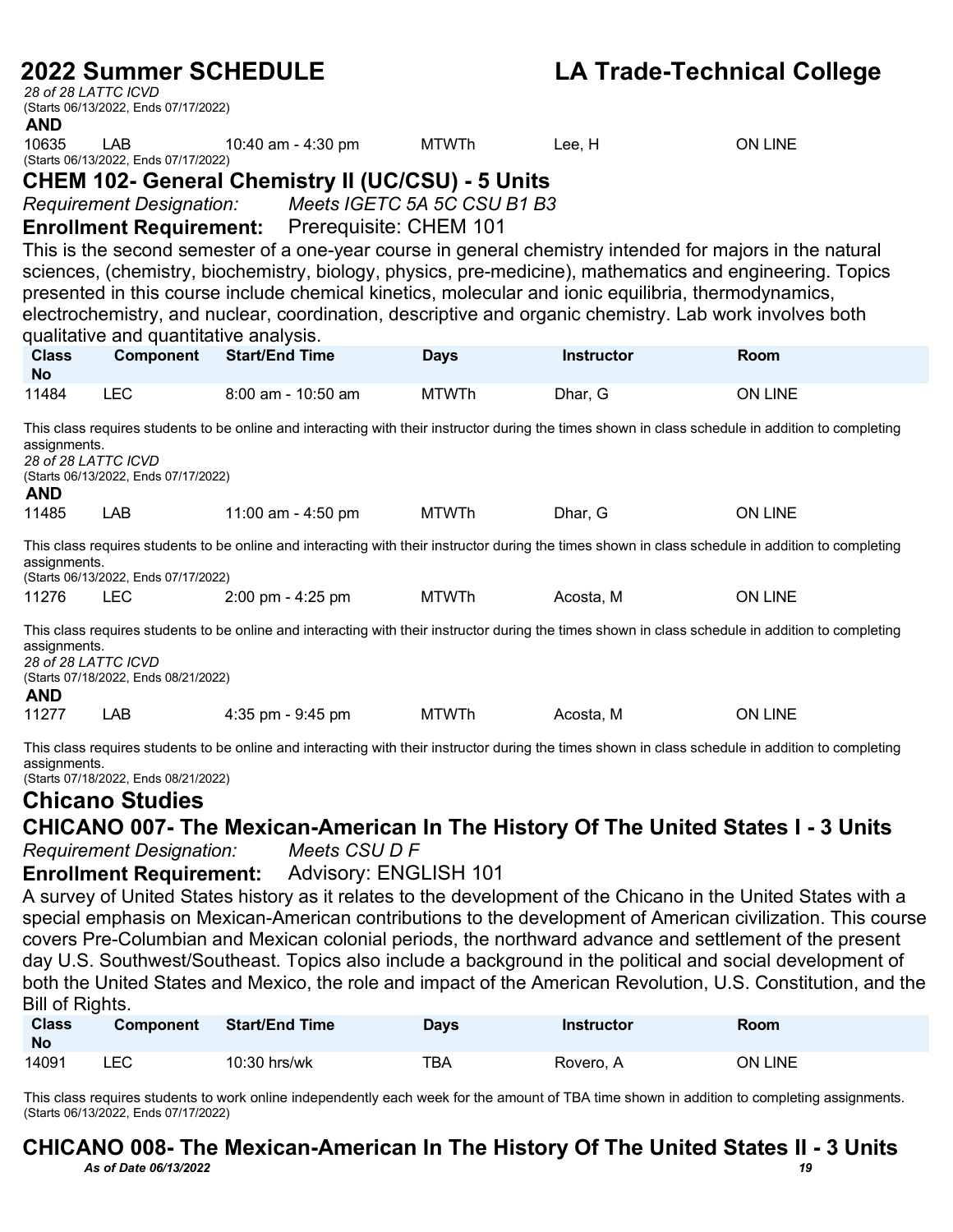*28 of 28 LATTC ICVD* (Starts 06/13/2022, Ends 07/17/2022)

**AND**<br>10635 LAB 10:40 am - 4:30 pm MTWTh Lee, H ON LINE

(Starts 06/13/2022, Ends 07/17/2022)

### **CHEM 102- General Chemistry II (UC/CSU) - 5 Units**

*Requirement Designation: Meets IGETC 5A 5C CSU B1 B3* 

**Enrollment Requirement:** Prerequisite: CHEM 101

This is the second semester of a one-year course in general chemistry intended for majors in the natural sciences, (chemistry, biochemistry, biology, physics, pre-medicine), mathematics and engineering. Topics presented in this course include chemical kinetics, molecular and ionic equilibria, thermodynamics, electrochemistry, and nuclear, coordination, descriptive and organic chemistry. Lab work involves both qualitative and quantitative analysis.

| <b>Class</b><br><b>No</b>  | <b>Component</b>                                                  | <b>Start/End Time</b>               | <b>Days</b>                  | <b>Instructor</b> | <b>Room</b>                                                                                                                                        |
|----------------------------|-------------------------------------------------------------------|-------------------------------------|------------------------------|-------------------|----------------------------------------------------------------------------------------------------------------------------------------------------|
| 11484                      | <b>LEC</b>                                                        | $8:00$ am - 10:50 am                | <b>MTWTh</b>                 | Dhar, G           | <b>ON LINE</b>                                                                                                                                     |
| assignments.<br><b>AND</b> | 28 of 28 LATTC ICVD<br>(Starts 06/13/2022, Ends 07/17/2022)       |                                     |                              |                   | This class requires students to be online and interacting with their instructor during the times shown in class schedule in addition to completing |
| 11485                      | <b>LAB</b>                                                        | 11:00 am - 4:50 pm                  | <b>MTWTh</b>                 | Dhar, G           | <b>ON LINE</b>                                                                                                                                     |
| assignments.               | (Starts 06/13/2022, Ends 07/17/2022)                              |                                     |                              |                   | This class requires students to be online and interacting with their instructor during the times shown in class schedule in addition to completing |
| 11276                      | <b>LEC</b>                                                        | $2:00 \text{ pm} - 4:25 \text{ pm}$ | <b>MTWTh</b>                 | Acosta, M         | <b>ON LINE</b>                                                                                                                                     |
| assignments.<br><b>AND</b> | 28 of 28 LATTC ICVD<br>(Starts 07/18/2022, Ends 08/21/2022)       |                                     |                              |                   | This class requires students to be online and interacting with their instructor during the times shown in class schedule in addition to completing |
| 11277                      | <b>LAB</b>                                                        | $4:35$ pm - $9:45$ pm               | <b>MTWTh</b>                 | Acosta, M         | <b>ON LINE</b>                                                                                                                                     |
| assignments.               | (Starts 07/18/2022, Ends 08/21/2022)<br><b>Chicano Studies</b>    |                                     |                              |                   | This class requires students to be online and interacting with their instructor during the times shown in class schedule in addition to completing |
|                            |                                                                   |                                     |                              |                   | CHICANO 007- The Mexican-American In The History Of The United States I - 3 Units                                                                  |
|                            | <b>Requirement Designation:</b><br><b>Enrollment Requirement:</b> | Meets CSU D F                       | <b>Advisory: ENGLISH 101</b> |                   |                                                                                                                                                    |

A survey of United States history as it relates to the development of the Chicano in the United States with a special emphasis on Mexican-American contributions to the development of American civilization. This course covers Pre-Columbian and Mexican colonial periods, the northward advance and settlement of the present day U.S. Southwest/Southeast. Topics also include a background in the political and social development of both the United States and Mexico, the role and impact of the American Revolution, U.S. Constitution, and the Bill of Rights.

| <b>Class</b><br><b>No</b> | <b>Component</b> | <b>Start/End Time</b> | Days | <b>Instructor</b> | <b>Room</b> |
|---------------------------|------------------|-----------------------|------|-------------------|-------------|
| 14091                     | LEC.             | 10:30 hrs/wk          | TBA  | Rovero, A         | ON LINE     |

This class requires students to work online independently each week for the amount of TBA time shown in addition to completing assignments. (Starts 06/13/2022, Ends 07/17/2022)

### *As of Date 06/13/2022 19* **CHICANO 008- The Mexican-American In The History Of The United States II - 3 Units**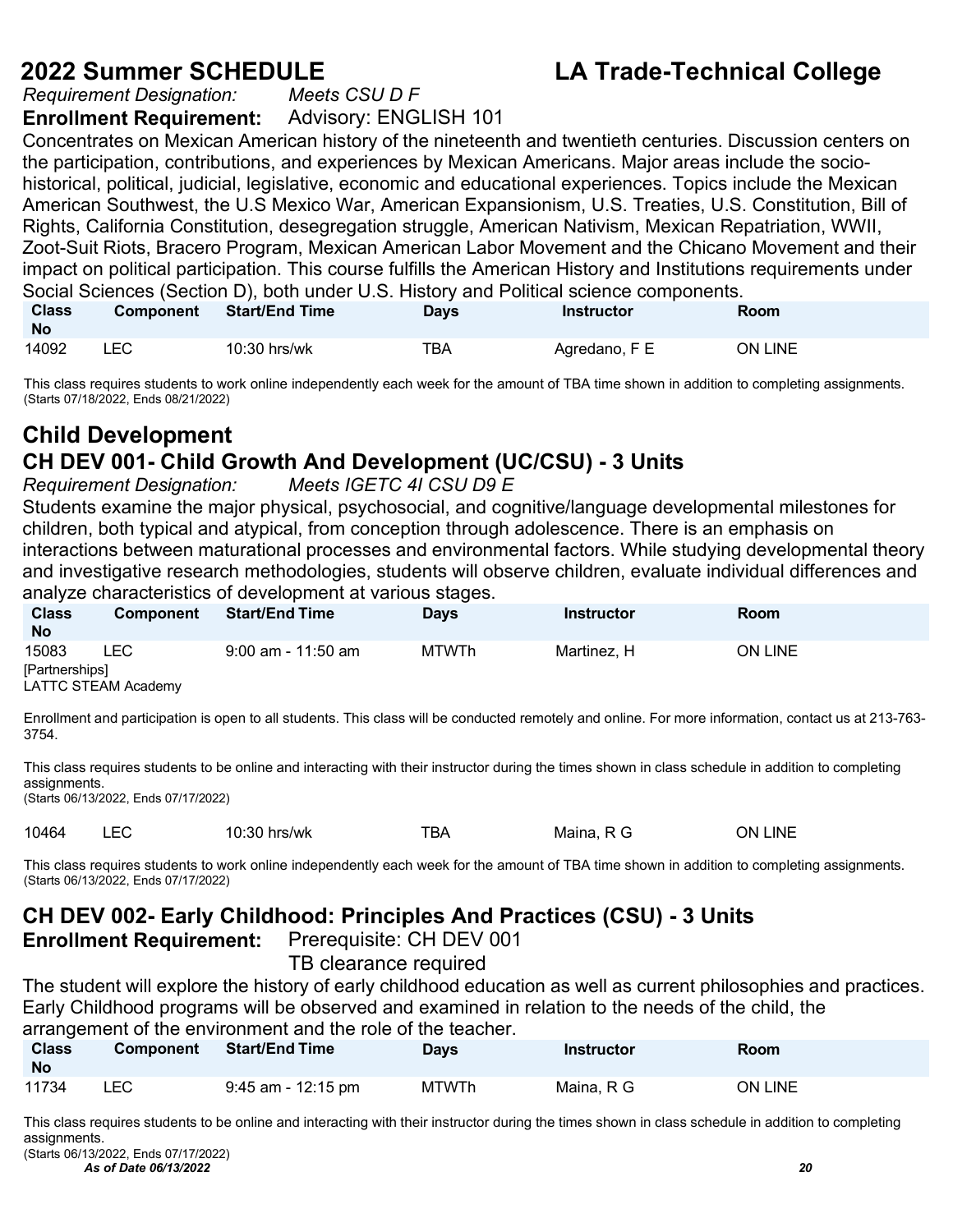*Requirement Designation:* **Enrollment Requirement:** Advisory: ENGLISH 101

Concentrates on Mexican American history of the nineteenth and twentieth centuries. Discussion centers on the participation, contributions, and experiences by Mexican Americans. Major areas include the sociohistorical, political, judicial, legislative, economic and educational experiences. Topics include the Mexican American Southwest, the U.S Mexico War, American Expansionism, U.S. Treaties, U.S. Constitution, Bill of Rights, California Constitution, desegregation struggle, American Nativism, Mexican Repatriation, WWII, Zoot-Suit Riots, Bracero Program, Mexican American Labor Movement and the Chicano Movement and their impact on political participation. This course fulfills the American History and Institutions requirements under Social Sciences (Section D), both under U.S. History and Political science components.

| <b>Class</b><br><b>No</b> | <b>Component</b> | <b>Start/End Time</b> | <b>Days</b> | Instructor    | Room    |
|---------------------------|------------------|-----------------------|-------------|---------------|---------|
| 14092                     | ∟EC.             | $10:30$ hrs/wk        | тва         | Agredano, F E | ON LINE |

This class requires students to work online independently each week for the amount of TBA time shown in addition to completing assignments. (Starts 07/18/2022, Ends 08/21/2022)

### **Child Development CH DEV 001- Child Growth And Development (UC/CSU) - 3 Units**

*Requirement Designation: Meets IGETC 4I CSU D9 E* 

Students examine the major physical, psychosocial, and cognitive/language developmental milestones for children, both typical and atypical, from conception through adolescence. There is an emphasis on interactions between maturational processes and environmental factors. While studying developmental theory and investigative research methodologies, students will observe children, evaluate individual differences and analyze characteristics of development at various stages.

| <b>Class</b><br><b>No</b> | <b>Component</b>    | <b>Start/End Time</b> | <b>Days</b>  | Instructor  | Room    |
|---------------------------|---------------------|-----------------------|--------------|-------------|---------|
| 15083                     | ∟EC.                | 9:00 am - 11:50 am    | <b>MTWTh</b> | Martinez. H | ON LINE |
| [Partnerships]            | LATTC STEAM Academy |                       |              |             |         |

Enrollment and participation is open to all students. This class will be conducted remotely and online. For more information, contact us at 213-763- 3754.

This class requires students to be online and interacting with their instructor during the times shown in class schedule in addition to completing assignments.

(Starts 06/13/2022, Ends 07/17/2022)

10464 LEC 10:30 hrs/wk TBA Maina, R G ON LINE

This class requires students to work online independently each week for the amount of TBA time shown in addition to completing assignments. (Starts 06/13/2022, Ends 07/17/2022)

### **CH DEV 002- Early Childhood: Principles And Practices (CSU) - 3 Units**

**Enrollment Requirement:** Prerequisite: CH DEV 001

TB clearance required

The student will explore the history of early childhood education as well as current philosophies and practices. Early Childhood programs will be observed and examined in relation to the needs of the child, the arrangement of the environment and the role of the teacher.

| <b>Class</b><br>No | <b>Component</b> | <b>Start/End Time</b> | <b>Davs</b>  | Instructor | Room           |
|--------------------|------------------|-----------------------|--------------|------------|----------------|
| 11734              | ∟EC.             | $9:45$ am - 12:15 pm  | <b>MTWTh</b> | Maina. R G | <b>ON LINE</b> |

This class requires students to be online and interacting with their instructor during the times shown in class schedule in addition to completing assignments.

*As of Date 06/13/2022 20* (Starts 06/13/2022, Ends 07/17/2022)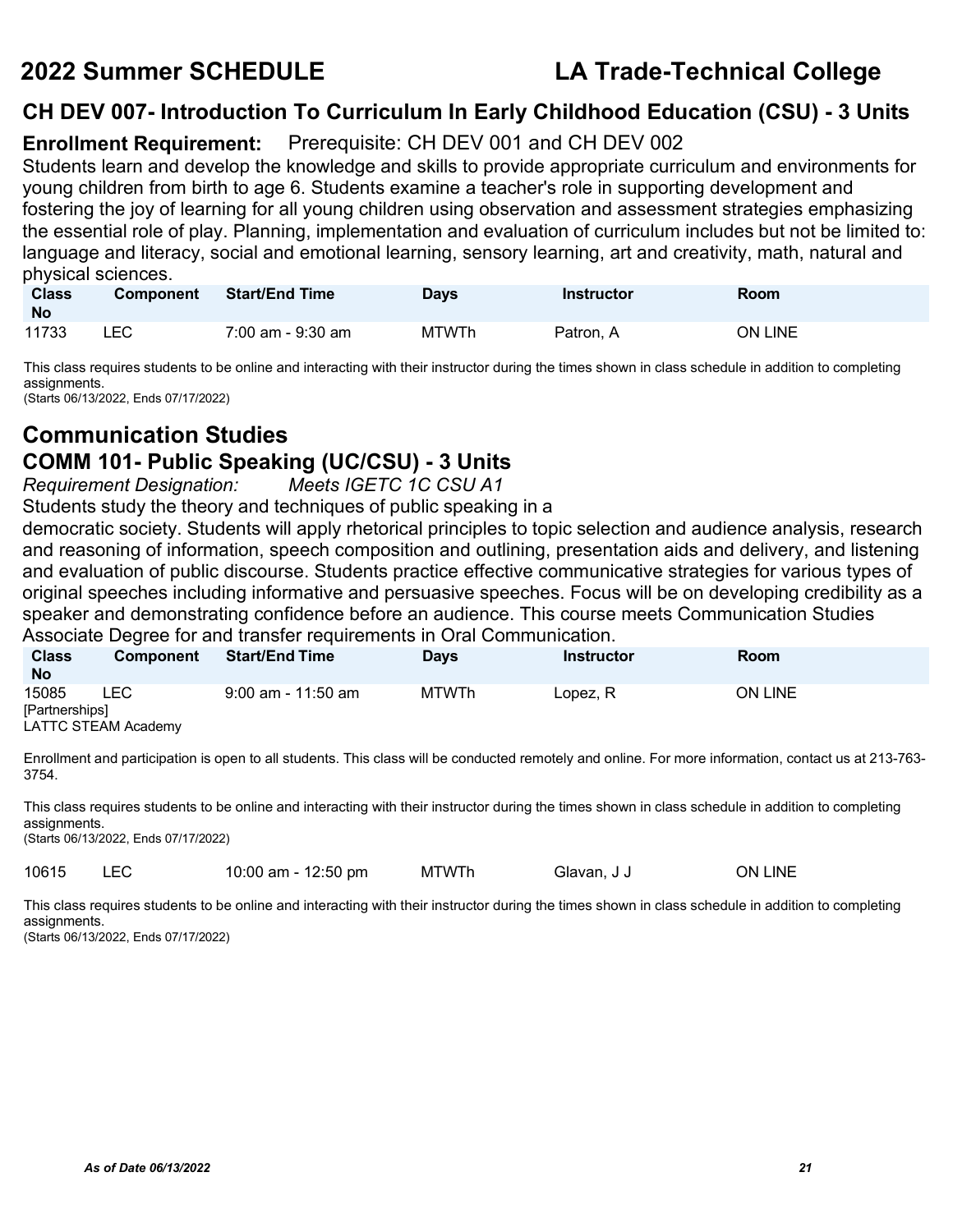### **CH DEV 007- Introduction To Curriculum In Early Childhood Education (CSU) - 3 Units**

### **Enrollment Requirement:** Prerequisite: CH DEV 001 and CH DEV 002

Students learn and develop the knowledge and skills to provide appropriate curriculum and environments for young children from birth to age 6. Students examine a teacher's role in supporting development and fostering the joy of learning for all young children using observation and assessment strategies emphasizing the essential role of play. Planning, implementation and evaluation of curriculum includes but not be limited to: language and literacy, social and emotional learning, sensory learning, art and creativity, math, natural and physical sciences.

| <b>Class</b><br><b>No</b> | <b>Component</b> | <b>Start/End Time</b> | Days  | <b>Instructor</b> | Room    |
|---------------------------|------------------|-----------------------|-------|-------------------|---------|
| 11733                     | LEC              | 7:00 am - 9:30 am     | MTWTh | Patron, A         | ON LINE |

This class requires students to be online and interacting with their instructor during the times shown in class schedule in addition to completing assignments.

(Starts 06/13/2022, Ends 07/17/2022)

## **Communication Studies**

## **COMM 101- Public Speaking (UC/CSU) - 3 Units**

 $R$ equirement Designation:

Students study the theory and techniques of public speaking in a

democratic society. Students will apply rhetorical principles to topic selection and audience analysis, research and reasoning of information, speech composition and outlining, presentation aids and delivery, and listening and evaluation of public discourse. Students practice effective communicative strategies for various types of original speeches including informative and persuasive speeches. Focus will be on developing credibility as a speaker and demonstrating confidence before an audience. This course meets Communication Studies Associate Degree for and transfer requirements in Oral Communication.

| <b>Class</b><br><b>No</b> | <b>Component</b>    | <b>Start/End Time</b> | <b>Days</b> | Instructor | Room           |
|---------------------------|---------------------|-----------------------|-------------|------------|----------------|
| 15085                     | LEC                 | 9:00 am - 11:50 am    | MTWTh       | Lopez, R   | <b>ON LINE</b> |
| [Partnerships]            | LATTC STEAM Academy |                       |             |            |                |

Enrollment and participation is open to all students. This class will be conducted remotely and online. For more information, contact us at 213-763- 3754.

This class requires students to be online and interacting with their instructor during the times shown in class schedule in addition to completing assignments.

(Starts 06/13/2022, Ends 07/17/2022)

10615 LEC 10:00 am - 12:50 pm MTWTh Glavan, J J ON LINE

This class requires students to be online and interacting with their instructor during the times shown in class schedule in addition to completing assignments. (Starts 06/13/2022, Ends 07/17/2022)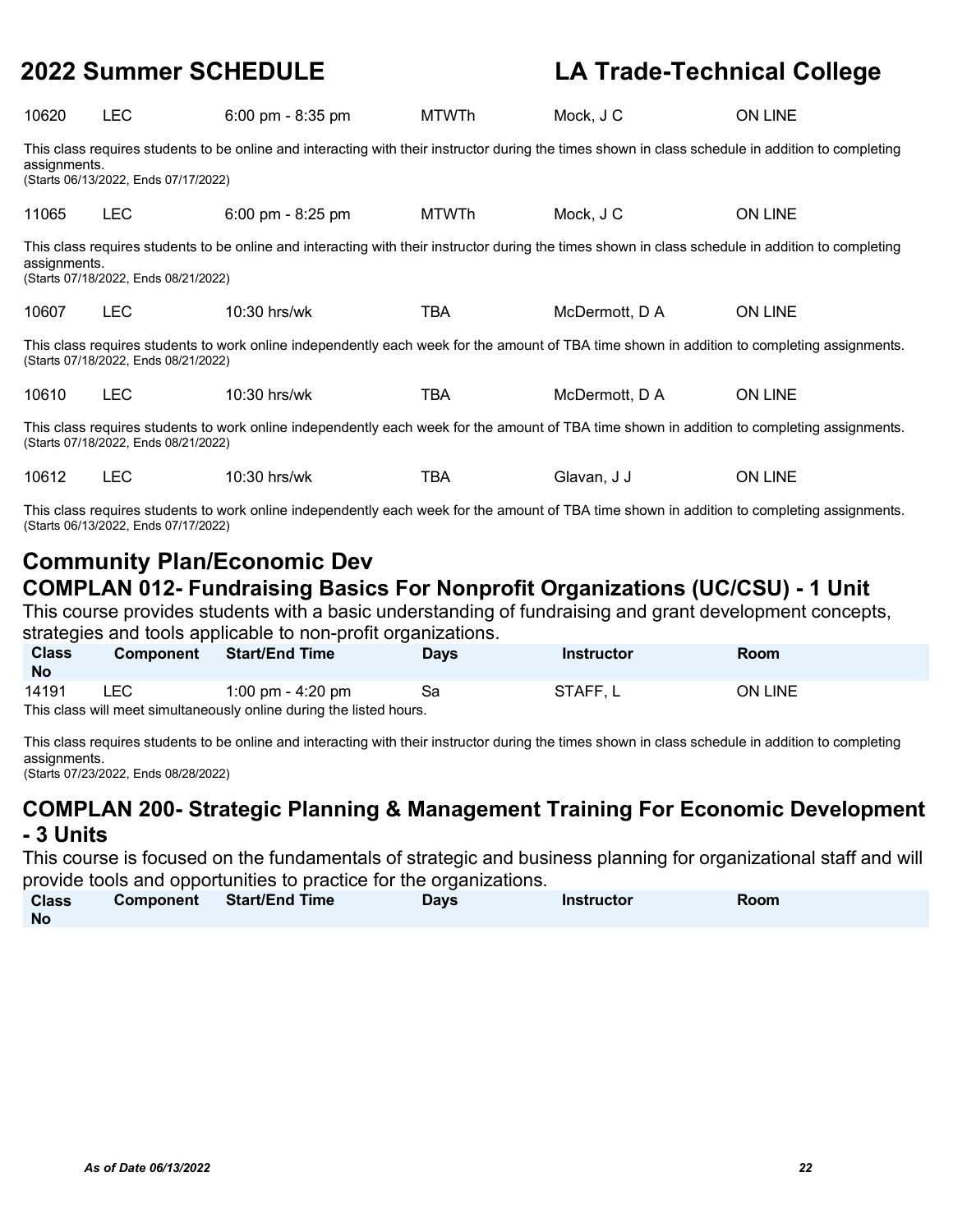| 10620                                                                                                                                                                               | <b>LEC</b>                                                                                                                                                                                                 | $6:00 \text{ pm} - 8:35 \text{ pm}$                                                                                                         | <b>MTWTh</b> | Mock, J C      | <b>ON LINE</b> |  |  |  |  |
|-------------------------------------------------------------------------------------------------------------------------------------------------------------------------------------|------------------------------------------------------------------------------------------------------------------------------------------------------------------------------------------------------------|---------------------------------------------------------------------------------------------------------------------------------------------|--------------|----------------|----------------|--|--|--|--|
|                                                                                                                                                                                     | This class requires students to be online and interacting with their instructor during the times shown in class schedule in addition to completing<br>assignments.<br>(Starts 06/13/2022, Ends 07/17/2022) |                                                                                                                                             |              |                |                |  |  |  |  |
| 11065                                                                                                                                                                               | <b>LEC</b>                                                                                                                                                                                                 | $6:00 \text{ pm} - 8:25 \text{ pm}$                                                                                                         | <b>MTWTh</b> | Mock, J C      | <b>ON LINE</b> |  |  |  |  |
|                                                                                                                                                                                     | This class requires students to be online and interacting with their instructor during the times shown in class schedule in addition to completing<br>assignments.<br>(Starts 07/18/2022, Ends 08/21/2022) |                                                                                                                                             |              |                |                |  |  |  |  |
| 10607                                                                                                                                                                               | <b>LEC</b>                                                                                                                                                                                                 | $10:30$ hrs/wk                                                                                                                              | TBA          | McDermott, D A | <b>ON LINE</b> |  |  |  |  |
|                                                                                                                                                                                     | (Starts 07/18/2022, Ends 08/21/2022)                                                                                                                                                                       | This class requires students to work online independently each week for the amount of TBA time shown in addition to completing assignments. |              |                |                |  |  |  |  |
| 10610                                                                                                                                                                               | <b>LEC</b>                                                                                                                                                                                                 | $10:30$ hrs/wk                                                                                                                              | TBA          | McDermott, D A | <b>ON LINE</b> |  |  |  |  |
| This class requires students to work online independently each week for the amount of TBA time shown in addition to completing assignments.<br>(Starts 07/18/2022, Ends 08/21/2022) |                                                                                                                                                                                                            |                                                                                                                                             |              |                |                |  |  |  |  |
| 10612                                                                                                                                                                               | <b>LEC</b>                                                                                                                                                                                                 | 10:30 hrs/wk                                                                                                                                | TBA          | Glavan, J J    | <b>ON LINE</b> |  |  |  |  |

This class requires students to work online independently each week for the amount of TBA time shown in addition to completing assignments. (Starts 06/13/2022, Ends 07/17/2022)

### **Community Plan/Economic Dev COMPLAN 012- Fundraising Basics For Nonprofit Organizations (UC/CSU) - 1 Unit**

This course provides students with a basic understanding of fundraising and grant development concepts, strategies and tools applicable to non-profit organizations.

| <b>Class</b><br><b>No</b> | <b>Component</b> | <b>Start/End Time</b>                                               | <b>Days</b> | <b>Instructor</b> | Room           |  |
|---------------------------|------------------|---------------------------------------------------------------------|-------------|-------------------|----------------|--|
| 14191                     | LEC.             | 1:00 pm - 4:20 pm                                                   |             | STAFF, L          | <b>ON LINE</b> |  |
|                           |                  | This class will meet simultaneously online during the listed hours. |             |                   |                |  |

This class requires students to be online and interacting with their instructor during the times shown in class schedule in addition to completing assignments.

(Starts 07/23/2022, Ends 08/28/2022)

### **COMPLAN 200- Strategic Planning & Management Training For Economic Development - 3 Units**

This course is focused on the fundamentals of strategic and business planning for organizational staff and will provide tools and opportunities to practice for the organizations.

| <b>Class</b> | Component Start/End Time | <b>Days</b> | <b>Instructor</b> | <b>Room</b> |  |
|--------------|--------------------------|-------------|-------------------|-------------|--|
| <b>No</b>    |                          |             |                   |             |  |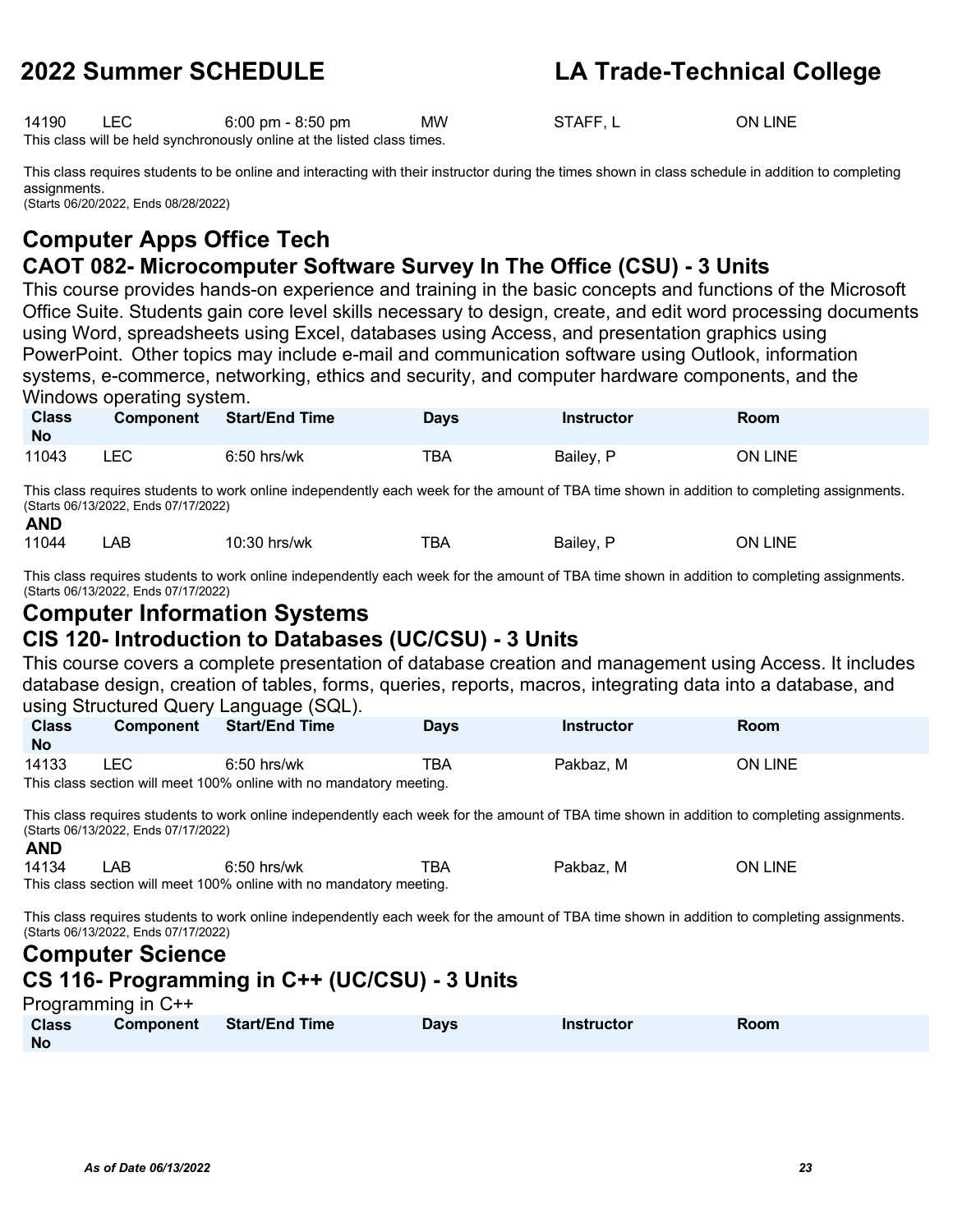14190 LEC 6:00 pm - 8:50 pm MW STAFF, L ON LINE This class will be held synchronously online at the listed class times.

This class requires students to be online and interacting with their instructor during the times shown in class schedule in addition to completing assignments. (Starts 06/20/2022, Ends 08/28/2022)

### **Computer Apps Office Tech CAOT 082- Microcomputer Software Survey In The Office (CSU) - 3 Units**

This course provides hands-on experience and training in the basic concepts and functions of the Microsoft Office Suite. Students gain core level skills necessary to design, create, and edit word processing documents using Word, spreadsheets using Excel, databases using Access, and presentation graphics using PowerPoint. Other topics may include e-mail and communication software using Outlook, information systems, e-commerce, networking, ethics and security, and computer hardware components, and the Windows operating system.

| <b>Class</b><br><b>No</b> | <b>Component</b> | <b>Start/End Time</b> | Days | <b>Instructor</b> | Room           |
|---------------------------|------------------|-----------------------|------|-------------------|----------------|
| 11043                     | ∟EC              | $6:50$ hrs/wk         | TBA  | Bailey, P         | <b>ON LINE</b> |

This class requires students to work online independently each week for the amount of TBA time shown in addition to completing assignments. (Starts 06/13/2022, Ends 07/17/2022) **AND**

|  | 11044 | AЕ | 10:30 hrs/wk | -- -<br>BA | Bailev | _INE<br>ЭN |
|--|-------|----|--------------|------------|--------|------------|
|--|-------|----|--------------|------------|--------|------------|

This class requires students to work online independently each week for the amount of TBA time shown in addition to completing assignments. (Starts 06/13/2022, Ends 07/17/2022)

### **Computer Information Systems**

### **CIS 120- Introduction to Databases (UC/CSU) - 3 Units**

This course covers a complete presentation of database creation and management using Access. It includes database design, creation of tables, forms, queries, reports, macros, integrating data into a database, and using Structured Query Language (SQL).

| <b>Class</b> | <b>Component</b> | <b>Start/End Time</b>                                               | <b>Davs</b> | Instructor | Room           |
|--------------|------------------|---------------------------------------------------------------------|-------------|------------|----------------|
| <b>No</b>    |                  |                                                                     |             |            |                |
| 14133        | .EC              | 6:50 hrs/wk                                                         | TBA         | Pakbaz, M  | <b>ON LINE</b> |
|              |                  | This class section will meet 100% online with no mandatory meeting. |             |            |                |

This class requires students to work online independently each week for the amount of TBA time shown in addition to completing assignments. (Starts 06/13/2022, Ends 07/17/2022)

| <b>AND</b> |          |                                 |     |           |         |
|------------|----------|---------------------------------|-----|-----------|---------|
| 14134      | AΒ       | $6:50$ hrs/wk                   | ™ВА | Pakbaz, M | ON LINE |
| $-1$       | $\cdots$ | $\cdot$ $\cdot$ $\cdot$ $\cdot$ |     |           |         |

This class section will meet 100% online with no mandatory meeting.

This class requires students to work online independently each week for the amount of TBA time shown in addition to completing assignments. (Starts 06/13/2022, Ends 07/17/2022)

### **Computer Science**

### **CS 116- Programming in C++ (UC/CSU) - 3 Units**

Programming in C++

| <b>Class</b> | Component | <b>Start/End Time</b> | Days | <b>Instructor</b> | Room |
|--------------|-----------|-----------------------|------|-------------------|------|
| <b>No</b>    |           |                       |      |                   |      |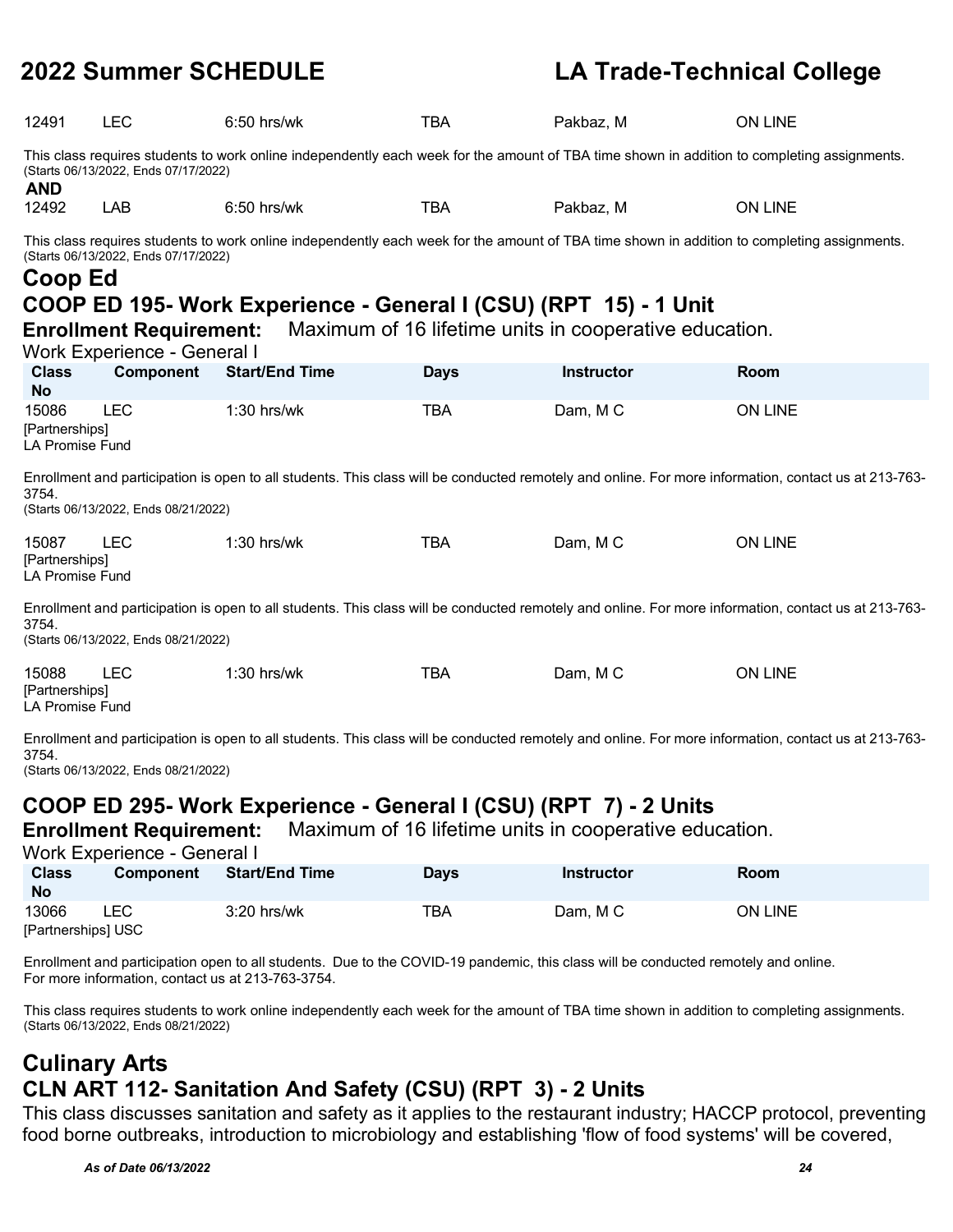| 12491                                             | <b>LEC</b>                                                             | $6:50$ hrs/wk                                                                                                                                                                                                   | <b>TBA</b>  | Pakbaz, M                                              | ON LINE                                                                                                                                              |
|---------------------------------------------------|------------------------------------------------------------------------|-----------------------------------------------------------------------------------------------------------------------------------------------------------------------------------------------------------------|-------------|--------------------------------------------------------|------------------------------------------------------------------------------------------------------------------------------------------------------|
| <b>AND</b>                                        | (Starts 06/13/2022, Ends 07/17/2022)                                   | This class requires students to work online independently each week for the amount of TBA time shown in addition to completing assignments.                                                                     |             |                                                        |                                                                                                                                                      |
| 12492                                             | LAB                                                                    | 6:50 hrs/wk                                                                                                                                                                                                     | <b>TBA</b>  | Pakbaz, M                                              | ON LINE                                                                                                                                              |
| Coop Ed                                           | (Starts 06/13/2022, Ends 07/17/2022)<br><b>Enrollment Requirement:</b> | This class requires students to work online independently each week for the amount of TBA time shown in addition to completing assignments.<br>COOP ED 195- Work Experience - General I (CSU) (RPT 15) - 1 Unit |             | Maximum of 16 lifetime units in cooperative education. |                                                                                                                                                      |
|                                                   | Work Experience - General I                                            |                                                                                                                                                                                                                 |             |                                                        |                                                                                                                                                      |
| <b>Class</b><br><b>No</b>                         | Component                                                              | <b>Start/End Time</b>                                                                                                                                                                                           | <b>Days</b> | <b>Instructor</b>                                      | Room                                                                                                                                                 |
| 15086<br>[Partnerships]<br><b>LA Promise Fund</b> | <b>LEC</b>                                                             | $1:30$ hrs/wk                                                                                                                                                                                                   | <b>TBA</b>  | Dam, MC                                                | ON LINE                                                                                                                                              |
| 3754.                                             | (Starts 06/13/2022, Ends 08/21/2022)                                   |                                                                                                                                                                                                                 |             |                                                        | Enrollment and participation is open to all students. This class will be conducted remotely and online. For more information, contact us at 213-763- |
| 15087<br>[Partnerships]<br><b>LA Promise Fund</b> | <b>LEC</b>                                                             | $1:30$ hrs/wk                                                                                                                                                                                                   | <b>TBA</b>  | Dam, MC                                                | ON LINE                                                                                                                                              |
| 3754.                                             | (Starts 06/13/2022, Ends 08/21/2022)                                   |                                                                                                                                                                                                                 |             |                                                        | Enrollment and participation is open to all students. This class will be conducted remotely and online. For more information, contact us at 213-763- |
| 15088<br>[Partnerships]<br><b>LA Promise Fund</b> | <b>LEC</b>                                                             | 1:30 hrs/wk                                                                                                                                                                                                     | <b>TBA</b>  | Dam, MC                                                | ON LINE                                                                                                                                              |
| 3754.                                             | (Starts 06/13/2022, Ends 08/21/2022)                                   |                                                                                                                                                                                                                 |             |                                                        | Enrollment and participation is open to all students. This class will be conducted remotely and online. For more information, contact us at 213-763- |
|                                                   |                                                                        | COOD ED 295, Work Evneriance - General I (CSII) (PDT 7) - 2 Unite                                                                                                                                               |             |                                                        |                                                                                                                                                      |

### **COOP ED 295- Work Experience - General I (CSU) (RPT 7) - 2 Units**

**Enrollment Requirement:** Maximum of 16 lifetime units in cooperative education.

Work Experience - General I

| <b>Class</b><br><b>No</b> | <b>Component</b> | <b>Start/End Time</b> | Days | <b>Instructor</b> | <b>Room</b>    |
|---------------------------|------------------|-----------------------|------|-------------------|----------------|
| 13066                     | LEC              | $3:20$ hrs/wk         | TBA  | Dam, MC           | <b>ON LINE</b> |
| [Partnerships] USC        |                  |                       |      |                   |                |

Enrollment and participation open to all students. Due to the COVID-19 pandemic, this class will be conducted remotely and online. For more information, contact us at 213-763-3754.

This class requires students to work online independently each week for the amount of TBA time shown in addition to completing assignments. (Starts 06/13/2022, Ends 08/21/2022)

### **Culinary Arts CLN ART 112- Sanitation And Safety (CSU) (RPT 3) - 2 Units**

This class discusses sanitation and safety as it applies to the restaurant industry; HACCP protocol, preventing food borne outbreaks, introduction to microbiology and establishing 'flow of food systems' will be covered,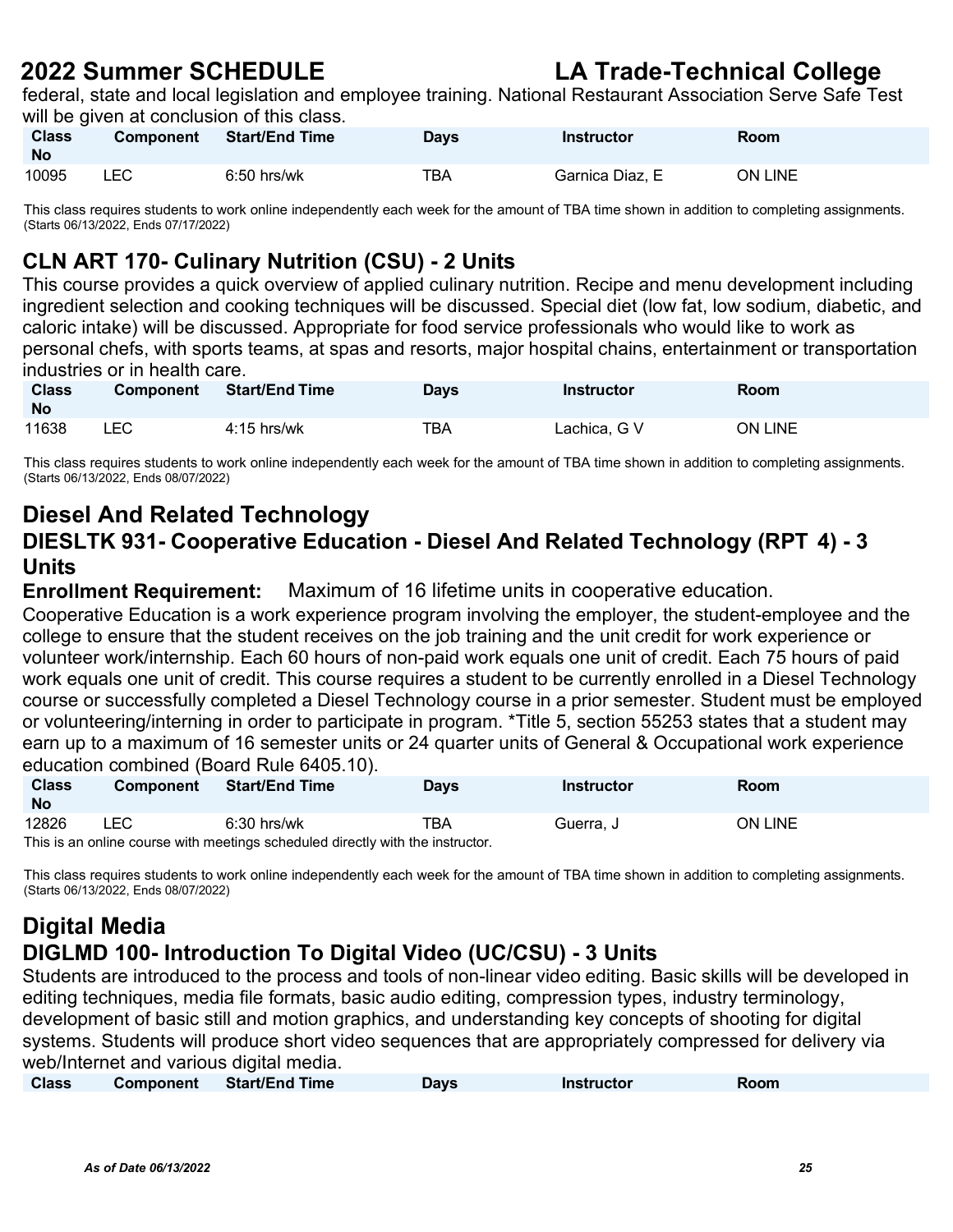federal, state and local legislation and employee training. National Restaurant Association Serve Safe Test will be given at conclusion of this class.

| <b>Class</b><br><b>No</b> | <b>Component</b> | <b>Start/End Time</b> | <b>Days</b> | Instructor      | <b>Room</b> |
|---------------------------|------------------|-----------------------|-------------|-----------------|-------------|
| 10095                     | LEC              | $6:50$ hrs/wk         | TBA         | Garnica Diaz. E | ON LINE     |

This class requires students to work online independently each week for the amount of TBA time shown in addition to completing assignments. (Starts 06/13/2022, Ends 07/17/2022)

### **CLN ART 170- Culinary Nutrition (CSU) - 2 Units**

This course provides a quick overview of applied culinary nutrition. Recipe and menu development including ingredient selection and cooking techniques will be discussed. Special diet (low fat, low sodium, diabetic, and caloric intake) will be discussed. Appropriate for food service professionals who would like to work as personal chefs, with sports teams, at spas and resorts, major hospital chains, entertainment or transportation industries or in health care.

| <b>Class</b><br><b>No</b> | <b>Component</b> | <b>Start/End Time</b> | Days | <b>Instructor</b> | Room    |
|---------------------------|------------------|-----------------------|------|-------------------|---------|
| 11638                     | LEC.             | $4:15$ hrs/wk         | тва  | Lachica, G V      | ON LINE |

This class requires students to work online independently each week for the amount of TBA time shown in addition to completing assignments. (Starts 06/13/2022, Ends 08/07/2022)

### **Diesel And Related Technology**

### **DIESLTK 931- Cooperative Education - Diesel And Related Technology (RPT 4) - 3 Units**

**Enrollment Requirement:** Maximum of 16 lifetime units in cooperative education.

Cooperative Education is a work experience program involving the employer, the student-employee and the college to ensure that the student receives on the job training and the unit credit for work experience or volunteer work/internship. Each 60 hours of non-paid work equals one unit of credit. Each 75 hours of paid work equals one unit of credit. This course requires a student to be currently enrolled in a Diesel Technology course or successfully completed a Diesel Technology course in a prior semester. Student must be employed or volunteering/interning in order to participate in program. \*Title 5, section 55253 states that a student may earn up to a maximum of 16 semester units or 24 quarter units of General & Occupational work experience education combined (Board Rule 6405.10).

| <b>Class</b><br><b>No</b> | <b>Component</b> | <b>Start/End Time</b>                                                          | <b>Days</b> | Instructor | Room    |
|---------------------------|------------------|--------------------------------------------------------------------------------|-------------|------------|---------|
| 12826                     | <b>LEC</b>       | $6:30$ hrs/wk                                                                  | TBA         | Guerra. J  | ON LINE |
|                           |                  | This is an online course with meetings scheduled directly with the instructor. |             |            |         |

This class requires students to work online independently each week for the amount of TBA time shown in addition to completing assignments. (Starts 06/13/2022, Ends 08/07/2022)

### **Digital Media DIGLMD 100- Introduction To Digital Video (UC/CSU) - 3 Units**

Students are introduced to the process and tools of non-linear video editing. Basic skills will be developed in editing techniques, media file formats, basic audio editing, compression types, industry terminology, development of basic still and motion graphics, and understanding key concepts of shooting for digital systems. Students will produce short video sequences that are appropriately compressed for delivery via web/Internet and various digital media.

| <b>Class</b> | Component | <b>Start/End Time</b> | Davs | <b>Instructor</b> | Room |  |
|--------------|-----------|-----------------------|------|-------------------|------|--|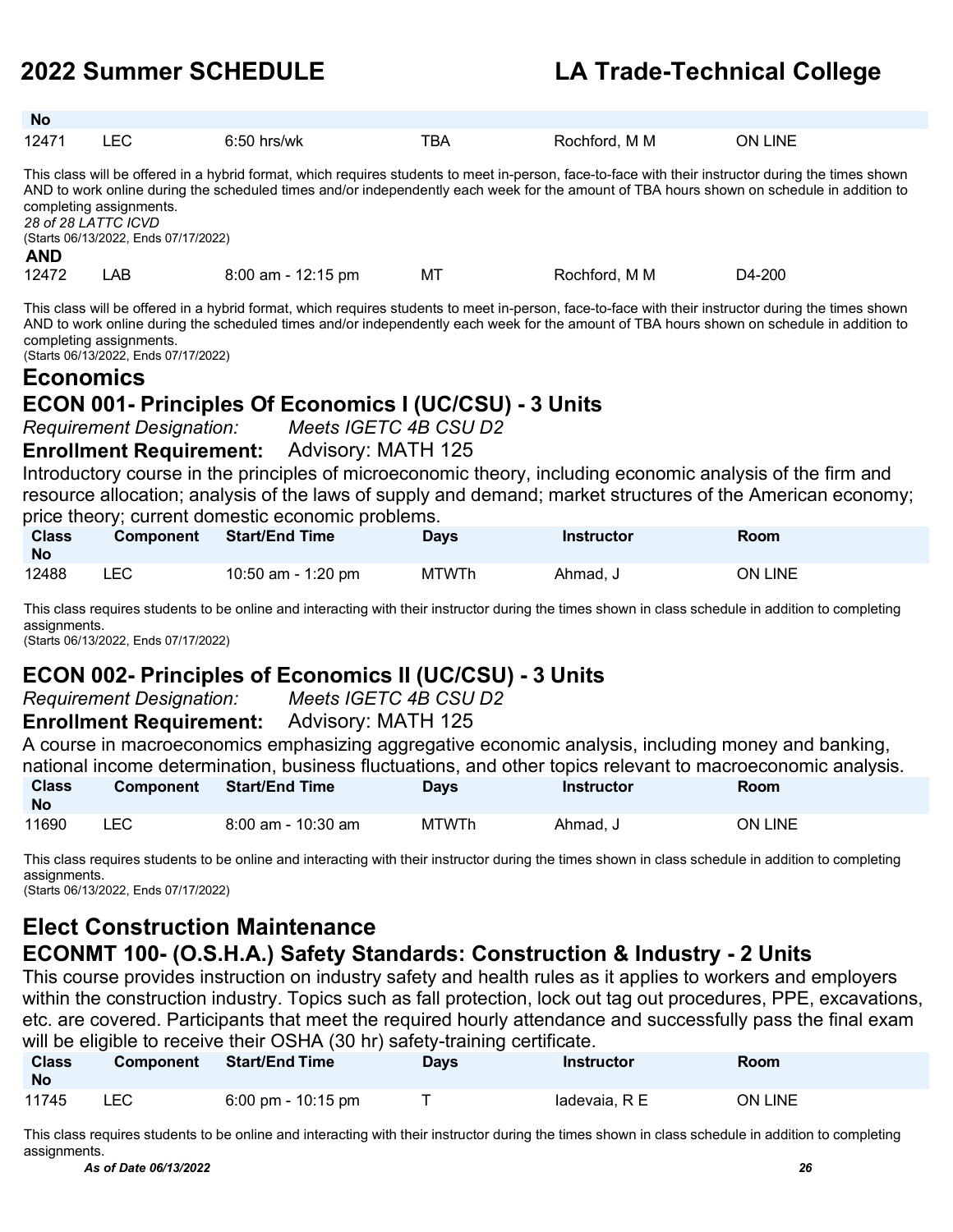| No                                                                                                                                                                                                         |                                                                                                                                                                                                                  |                                                                                                                                                                                                                                                                                                                                                                                                                                                                                                                                                                                                                                                                                                   |              |               |                |  |  |
|------------------------------------------------------------------------------------------------------------------------------------------------------------------------------------------------------------|------------------------------------------------------------------------------------------------------------------------------------------------------------------------------------------------------------------|---------------------------------------------------------------------------------------------------------------------------------------------------------------------------------------------------------------------------------------------------------------------------------------------------------------------------------------------------------------------------------------------------------------------------------------------------------------------------------------------------------------------------------------------------------------------------------------------------------------------------------------------------------------------------------------------------|--------------|---------------|----------------|--|--|
| 12471                                                                                                                                                                                                      | <b>LEC</b>                                                                                                                                                                                                       | $6:50$ hrs/wk                                                                                                                                                                                                                                                                                                                                                                                                                                                                                                                                                                                                                                                                                     | <b>TBA</b>   | Rochford, M M | ON LINE        |  |  |
| <b>AND</b>                                                                                                                                                                                                 | completing assignments.<br>28 of 28 LATTC ICVD<br>(Starts 06/13/2022, Ends 07/17/2022)                                                                                                                           | This class will be offered in a hybrid format, which requires students to meet in-person, face-to-face with their instructor during the times shown<br>AND to work online during the scheduled times and/or independently each week for the amount of TBA hours shown on schedule in addition to                                                                                                                                                                                                                                                                                                                                                                                                  |              |               |                |  |  |
| 12472                                                                                                                                                                                                      | LAB                                                                                                                                                                                                              | 8:00 am - 12:15 pm                                                                                                                                                                                                                                                                                                                                                                                                                                                                                                                                                                                                                                                                                | МT           | Rochford, M M | D4-200         |  |  |
| <b>Economics</b>                                                                                                                                                                                           | completing assignments.<br>(Starts 06/13/2022, Ends 07/17/2022)<br><b>Requirement Designation:</b><br><b>Enrollment Requirement:</b>                                                                             | This class will be offered in a hybrid format, which requires students to meet in-person, face-to-face with their instructor during the times shown<br>AND to work online during the scheduled times and/or independently each week for the amount of TBA hours shown on schedule in addition to<br><b>ECON 001- Principles Of Economics I (UC/CSU) - 3 Units</b><br>Meets IGETC 4B CSU D2<br>Advisory: MATH 125<br>Introductory course in the principles of microeconomic theory, including economic analysis of the firm and<br>resource allocation; analysis of the laws of supply and demand; market structures of the American economy;<br>price theory; current domestic economic problems. |              |               |                |  |  |
| <b>Class</b><br><b>No</b>                                                                                                                                                                                  | Component                                                                                                                                                                                                        | <b>Start/End Time</b>                                                                                                                                                                                                                                                                                                                                                                                                                                                                                                                                                                                                                                                                             | <b>Days</b>  | Instructor    | Room           |  |  |
| 12488                                                                                                                                                                                                      | <b>LEC</b>                                                                                                                                                                                                       | 10:50 am - 1:20 pm                                                                                                                                                                                                                                                                                                                                                                                                                                                                                                                                                                                                                                                                                | <b>MTWTh</b> | Ahmad, J      | <b>ON LINE</b> |  |  |
| This class requires students to be online and interacting with their instructor during the times shown in class schedule in addition to completing<br>assignments.<br>(Starts 06/13/2022, Ends 07/17/2022) |                                                                                                                                                                                                                  |                                                                                                                                                                                                                                                                                                                                                                                                                                                                                                                                                                                                                                                                                                   |              |               |                |  |  |
| <b>ECON 002- Principles of Economics II (UC/CSU) - 3 Units</b><br>Meets IGETC 4B CSU D2<br><b>Requirement Designation:</b>                                                                                 |                                                                                                                                                                                                                  |                                                                                                                                                                                                                                                                                                                                                                                                                                                                                                                                                                                                                                                                                                   |              |               |                |  |  |
| <b>Advisory: MATH 125</b><br><b>Enrollment Requirement:</b>                                                                                                                                                |                                                                                                                                                                                                                  |                                                                                                                                                                                                                                                                                                                                                                                                                                                                                                                                                                                                                                                                                                   |              |               |                |  |  |
|                                                                                                                                                                                                            | A course in macroeconomics emphasizing aggregative economic analysis, including money and banking,<br>national income determination, business fluctuations, and other topics relevant to macroeconomic analysis. |                                                                                                                                                                                                                                                                                                                                                                                                                                                                                                                                                                                                                                                                                                   |              |               |                |  |  |
| <b>Class</b><br><b>No</b>                                                                                                                                                                                  | Component                                                                                                                                                                                                        | <b>Start/End Time</b>                                                                                                                                                                                                                                                                                                                                                                                                                                                                                                                                                                                                                                                                             | <b>Days</b>  | Instructor    | Room           |  |  |
| 11690                                                                                                                                                                                                      | <b>LEC</b>                                                                                                                                                                                                       | $8:00$ am - 10:30 am                                                                                                                                                                                                                                                                                                                                                                                                                                                                                                                                                                                                                                                                              | <b>MTWTh</b> | Ahmad. J      | <b>ON LINE</b> |  |  |

This class requires students to be online and interacting with their instructor during the times shown in class schedule in addition to completing assignments.

(Starts 06/13/2022, Ends 07/17/2022)

### **Elect Construction Maintenance**

### **ECONMT 100- (O.S.H.A.) Safety Standards: Construction & Industry - 2 Units**

This course provides instruction on industry safety and health rules as it applies to workers and employers within the construction industry. Topics such as fall protection, lock out tag out procedures, PPE, excavations, etc. are covered. Participants that meet the required hourly attendance and successfully pass the final exam will be eligible to receive their OSHA (30 hr) safety-training certificate.

| <b>Class</b><br><b>No</b> | <b>Component</b> | <b>Start/End Time</b>                | Days | <b>Instructor</b> | Room           |
|---------------------------|------------------|--------------------------------------|------|-------------------|----------------|
| 11745                     | LEC              | $6:00 \text{ pm} - 10:15 \text{ pm}$ |      | ladevaia, R E     | <b>ON LINE</b> |

This class requires students to be online and interacting with their instructor during the times shown in class schedule in addition to completing assignments.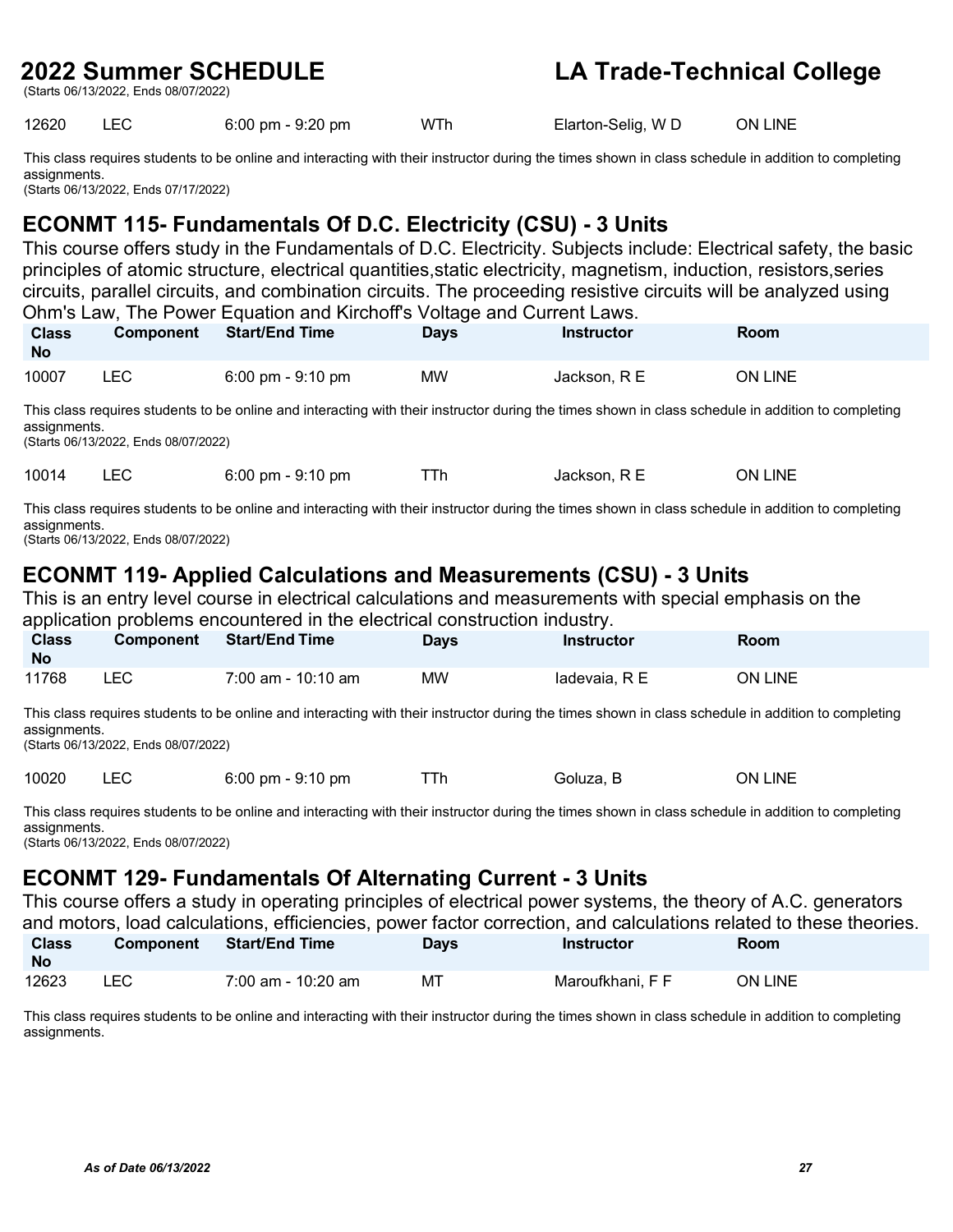(Starts 06/13/2022, Ends 08/07/2022)

### **2022 Summer SCHEDULE LA Trade-Technical College**

12620 LEC 6:00 pm - 9:20 pm WTh Elarton-Selig, W D ON LINE

This class requires students to be online and interacting with their instructor during the times shown in class schedule in addition to completing assignments. (Starts 06/13/2022, Ends 07/17/2022)

### **ECONMT 115- Fundamentals Of D.C. Electricity (CSU) - 3 Units**

This course offers study in the Fundamentals of D.C. Electricity. Subjects include: Electrical safety, the basic principles of atomic structure, electrical quantities,static electricity, magnetism, induction, resistors,series circuits, parallel circuits, and combination circuits. The proceeding resistive circuits will be analyzed using Ohm's Law, The Power Equation and Kirchoff's Voltage and Current Laws.

| <b>Class</b><br><b>No</b> | <b>Component</b> | <b>Start/End Time</b>               | Days | <b>Instructor</b> | <b>Room</b> |  |
|---------------------------|------------------|-------------------------------------|------|-------------------|-------------|--|
| 10007                     | ∟EC              | $6:00 \text{ pm} - 9:10 \text{ pm}$ | ΜW   | Jackson. R E      | ON LINE     |  |

This class requires students to be online and interacting with their instructor during the times shown in class schedule in addition to completing assignments.

(Starts 06/13/2022, Ends 08/07/2022)

10014 LEC 6:00 pm - 9:10 pm TTh Jackson, R E ON LINE

This class requires students to be online and interacting with their instructor during the times shown in class schedule in addition to completing assignments.

(Starts 06/13/2022, Ends 08/07/2022)

### **ECONMT 119- Applied Calculations and Measurements (CSU) - 3 Units**

This is an entry level course in electrical calculations and measurements with special emphasis on the application problems encountered in the electrical construction industry.

| <b>Class</b><br><b>No</b> | Component | <b>Start/End Time</b> | <b>Days</b> | <b>Instructor</b> | <b>Room</b>    |
|---------------------------|-----------|-----------------------|-------------|-------------------|----------------|
| 11768                     | LEC.      | 7:00 am - 10:10 am    | МW          | ladevaia, R E     | <b>ON LINE</b> |

This class requires students to be online and interacting with their instructor during the times shown in class schedule in addition to completing assignments.

(Starts 06/13/2022, Ends 08/07/2022)

10020 LEC 6:00 pm - 9:10 pm TTh Goluza, B ON LINE

This class requires students to be online and interacting with their instructor during the times shown in class schedule in addition to completing assignments.

(Starts 06/13/2022, Ends 08/07/2022)

### **ECONMT 129- Fundamentals Of Alternating Current - 3 Units**

|                           | This course offers a study in operating principles of electrical power systems, the theory of A.C. generators<br>and motors, load calculations, efficiencies, power factor correction, and calculations related to these theories. |                       |             |                   |             |  |  |  |  |
|---------------------------|------------------------------------------------------------------------------------------------------------------------------------------------------------------------------------------------------------------------------------|-----------------------|-------------|-------------------|-------------|--|--|--|--|
| <b>Class</b><br><b>No</b> | <b>Component</b>                                                                                                                                                                                                                   | <b>Start/End Time</b> | <b>Davs</b> | <b>Instructor</b> | <b>Room</b> |  |  |  |  |
| 12623                     | LEC.                                                                                                                                                                                                                               | 7:00 am - 10:20 am    | MT          | Maroufkhani, F F  | ON LINE     |  |  |  |  |

This class requires students to be online and interacting with their instructor during the times shown in class schedule in addition to completing assignments.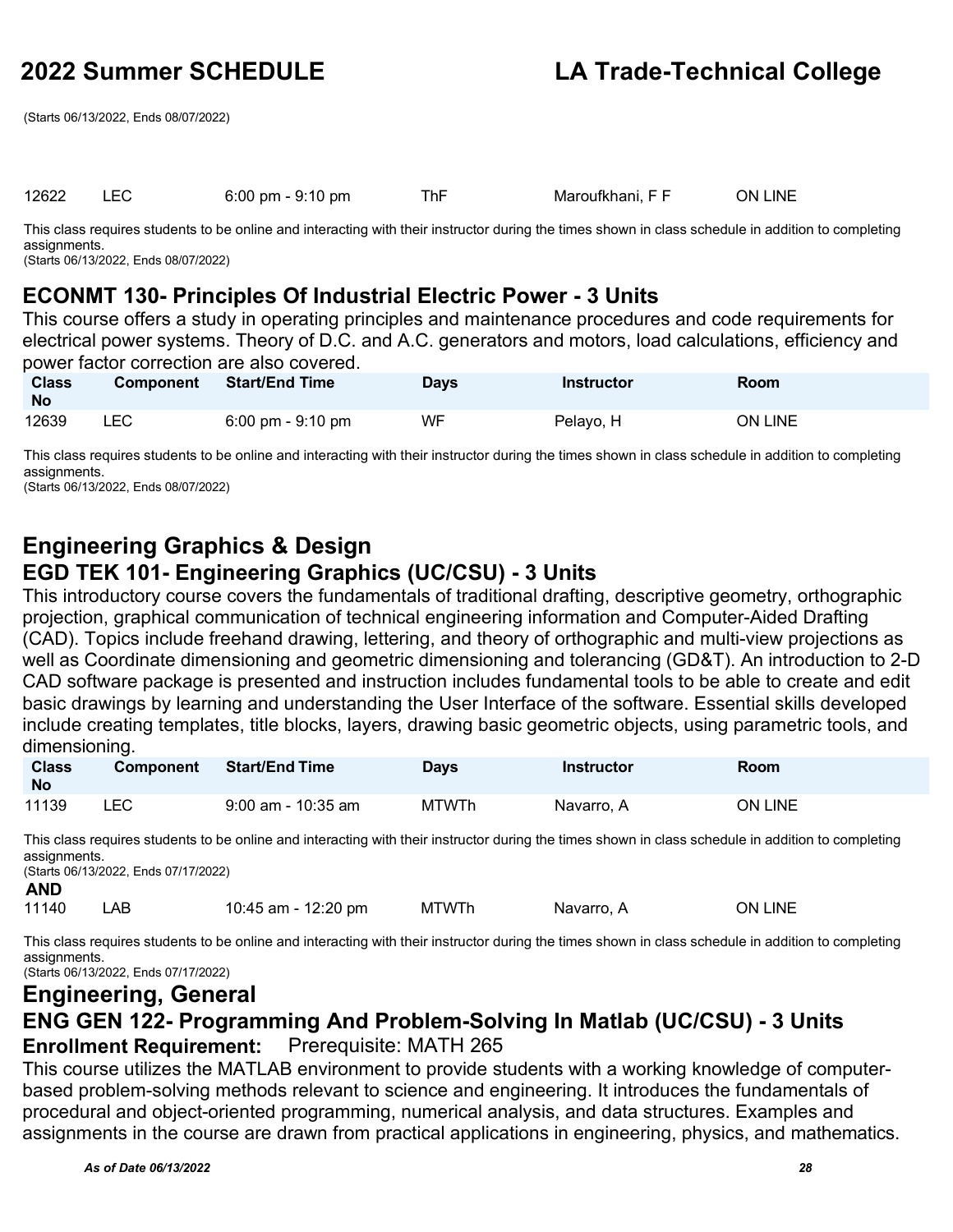(Starts 06/13/2022, Ends 08/07/2022)

### 12622 LEC 6:00 pm - 9:10 pm ThF Maroufkhani, F F ON LINE

This class requires students to be online and interacting with their instructor during the times shown in class schedule in addition to completing assignments.

(Starts 06/13/2022, Ends 08/07/2022)

### **ECONMT 130- Principles Of Industrial Electric Power - 3 Units**

This course offers a study in operating principles and maintenance procedures and code requirements for electrical power systems. Theory of D.C. and A.C. generators and motors, load calculations, efficiency and power factor correction are also covered.

| <b>Class</b><br><b>No</b> | <b>Component</b> | <b>Start/End Time</b>               | Days | <b>Instructor</b> | Room           |
|---------------------------|------------------|-------------------------------------|------|-------------------|----------------|
| 12639                     | ∟EC i            | $6:00 \text{ pm} - 9:10 \text{ pm}$ | WF   | Pelayo, H         | <b>ON LINE</b> |

This class requires students to be online and interacting with their instructor during the times shown in class schedule in addition to completing assignments.

(Starts 06/13/2022, Ends 08/07/2022)

### **Engineering Graphics & Design EGD TEK 101- Engineering Graphics (UC/CSU) - 3 Units**

This introductory course covers the fundamentals of traditional drafting, descriptive geometry, orthographic projection, graphical communication of technical engineering information and Computer-Aided Drafting (CAD). Topics include freehand drawing, lettering, and theory of orthographic and multi-view projections as well as Coordinate dimensioning and geometric dimensioning and tolerancing (GD&T). An introduction to 2-D CAD software package is presented and instruction includes fundamental tools to be able to create and edit basic drawings by learning and understanding the User Interface of the software. Essential skills developed include creating templates, title blocks, layers, drawing basic geometric objects, using parametric tools, and dimensioning.

| <b>Class</b><br>No | <b>Component</b> | <b>Start/End Time</b> | Davs  | Instructor | Room    |
|--------------------|------------------|-----------------------|-------|------------|---------|
| 11139              | _EC_             | $9:00$ am - 10:35 am  | MTWTh | Navarro. A | ON LINE |

This class requires students to be online and interacting with their instructor during the times shown in class schedule in addition to completing assignments.

(Starts 06/13/2022, Ends 07/17/2022) **AND**

| 11140 | LAB | 10:45 am - 12:20 pm | MTWTh | Navarro, A | <b>ON LINE</b> |
|-------|-----|---------------------|-------|------------|----------------|
|-------|-----|---------------------|-------|------------|----------------|

This class requires students to be online and interacting with their instructor during the times shown in class schedule in addition to completing assignments. (Starts 06/13/2022, Ends 07/17/2022)

### **Engineering, General**

### **ENG GEN 122- Programming And Problem-Solving In Matlab (UC/CSU) - 3 Units Enrollment Requirement:** Prerequisite: MATH 265

This course utilizes the MATLAB environment to provide students with a working knowledge of computerbased problem-solving methods relevant to science and engineering. It introduces the fundamentals of procedural and object-oriented programming, numerical analysis, and data structures. Examples and assignments in the course are drawn from practical applications in engineering, physics, and mathematics.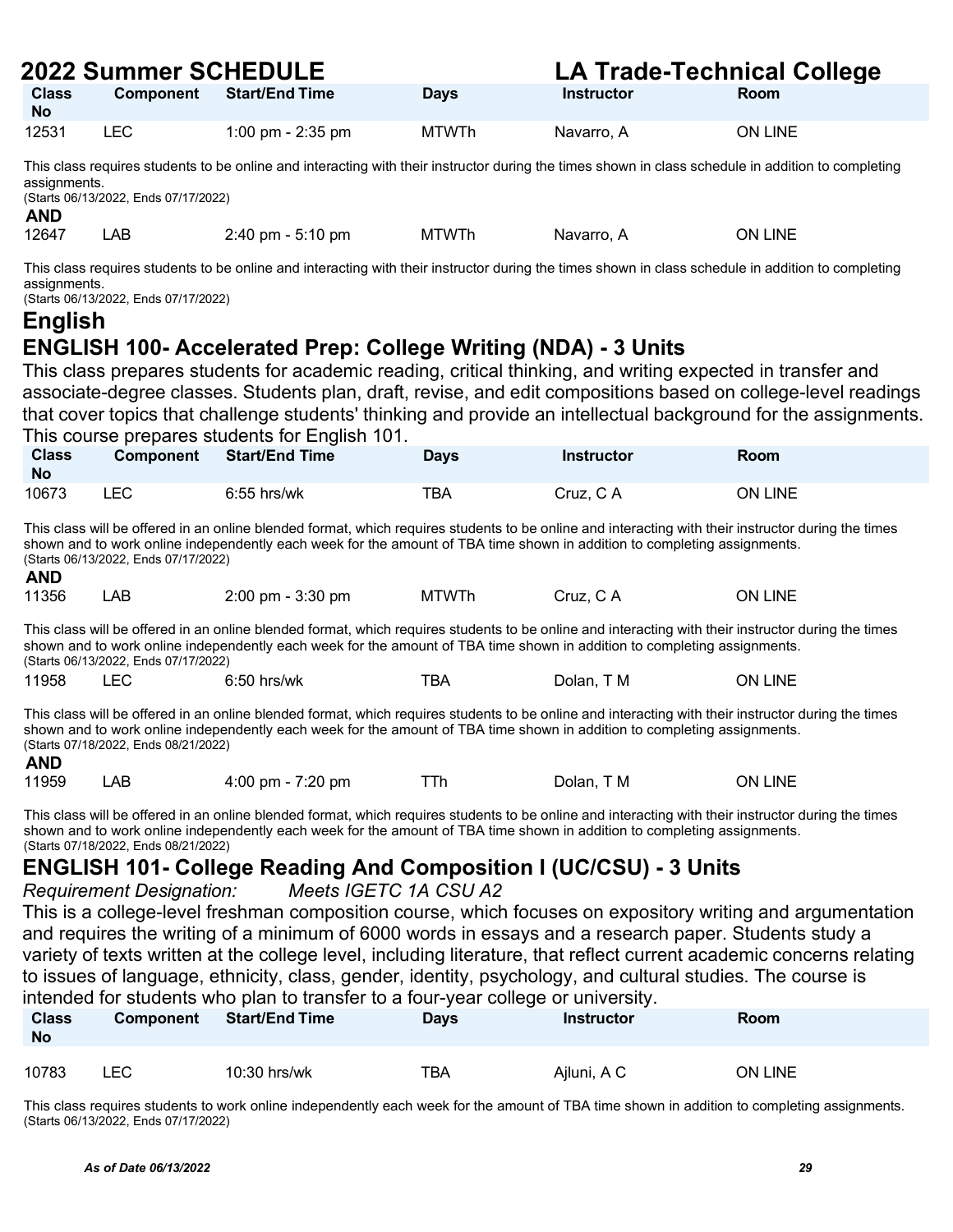| <b>2022 Summer SCHEDULE</b><br><b>LA Trade-Technical College</b>                                                                                                                                                                                                                                                        |                                      |                                                                                                                                                                                                                                                                                 |              |                   |                                                                                                                 |  |
|-------------------------------------------------------------------------------------------------------------------------------------------------------------------------------------------------------------------------------------------------------------------------------------------------------------------------|--------------------------------------|---------------------------------------------------------------------------------------------------------------------------------------------------------------------------------------------------------------------------------------------------------------------------------|--------------|-------------------|-----------------------------------------------------------------------------------------------------------------|--|
| <b>Class</b><br><b>No</b>                                                                                                                                                                                                                                                                                               | <b>Component</b>                     | <b>Start/End Time</b>                                                                                                                                                                                                                                                           | <b>Days</b>  | Instructor        | Room                                                                                                            |  |
| 12531                                                                                                                                                                                                                                                                                                                   | <b>LEC</b>                           | 1:00 pm - 2:35 pm                                                                                                                                                                                                                                                               | <b>MTWTh</b> | Navarro, A        | ON LINE                                                                                                         |  |
| assignments.<br><b>AND</b>                                                                                                                                                                                                                                                                                              | (Starts 06/13/2022, Ends 07/17/2022) | This class requires students to be online and interacting with their instructor during the times shown in class schedule in addition to completing                                                                                                                              |              |                   |                                                                                                                 |  |
| 12647                                                                                                                                                                                                                                                                                                                   | <b>LAB</b>                           | 2:40 pm - 5:10 pm                                                                                                                                                                                                                                                               | <b>MTWTh</b> | Navarro, A        | ON LINE                                                                                                         |  |
| assignments.<br><b>English</b>                                                                                                                                                                                                                                                                                          | (Starts 06/13/2022, Ends 07/17/2022) | This class requires students to be online and interacting with their instructor during the times shown in class schedule in addition to completing<br><b>ENGLISH 100- Accelerated Prep: College Writing (NDA) - 3 Units</b>                                                     |              |                   |                                                                                                                 |  |
|                                                                                                                                                                                                                                                                                                                         |                                      | This class prepares students for academic reading, critical thinking, and writing expected in transfer and<br>associate-degree classes. Students plan, draft, revise, and edit compositions based on college-level readings<br>This course prepares students for English 101.   |              |                   | that cover topics that challenge students' thinking and provide an intellectual background for the assignments. |  |
| <b>Class</b><br><b>No</b>                                                                                                                                                                                                                                                                                               | <b>Component</b>                     | <b>Start/End Time</b>                                                                                                                                                                                                                                                           | <b>Days</b>  | <b>Instructor</b> | Room                                                                                                            |  |
| 10673                                                                                                                                                                                                                                                                                                                   | <b>LEC</b>                           | $6:55$ hrs/wk                                                                                                                                                                                                                                                                   | <b>TBA</b>   | Cruz, CA          | ON LINE                                                                                                         |  |
| <b>AND</b>                                                                                                                                                                                                                                                                                                              | (Starts 06/13/2022, Ends 07/17/2022) | This class will be offered in an online blended format, which requires students to be online and interacting with their instructor during the times<br>shown and to work online independently each week for the amount of TBA time shown in addition to completing assignments. |              |                   |                                                                                                                 |  |
| 11356                                                                                                                                                                                                                                                                                                                   | LAB                                  | 2:00 pm - 3:30 pm                                                                                                                                                                                                                                                               | <b>MTWTh</b> | Cruz, CA          | ON LINE                                                                                                         |  |
|                                                                                                                                                                                                                                                                                                                         | (Starts 06/13/2022, Ends 07/17/2022) | This class will be offered in an online blended format, which requires students to be online and interacting with their instructor during the times<br>shown and to work online independently each week for the amount of TBA time shown in addition to completing assignments. |              |                   |                                                                                                                 |  |
| 11958                                                                                                                                                                                                                                                                                                                   | <b>LEC</b>                           | $6:50$ hrs/wk                                                                                                                                                                                                                                                                   | <b>TBA</b>   | Dolan, T M        | ON LINE                                                                                                         |  |
| <b>AND</b>                                                                                                                                                                                                                                                                                                              | (Starts 07/18/2022, Ends 08/21/2022) | This class will be offered in an online blended format, which requires students to be online and interacting with their instructor during the times<br>shown and to work online independently each week for the amount of TBA time shown in addition to completing assignments. |              |                   |                                                                                                                 |  |
| 11959                                                                                                                                                                                                                                                                                                                   | <b>LAB</b>                           | 4:00 pm - 7:20 pm                                                                                                                                                                                                                                                               | TTh          | Dolan, T M        | <b>ON LINE</b>                                                                                                  |  |
| This class will be offered in an online blended format, which requires students to be online and interacting with their instructor during the times<br>shown and to work online independently each week for the amount of TBA time shown in addition to completing assignments.<br>(Starts 07/18/2022, Ends 08/21/2022) |                                      |                                                                                                                                                                                                                                                                                 |              |                   |                                                                                                                 |  |
| <b>ENGLISH 101- College Reading And Composition I (UC/CSU) - 3 Units</b>                                                                                                                                                                                                                                                |                                      |                                                                                                                                                                                                                                                                                 |              |                   |                                                                                                                 |  |
| Meets IGETC 1A CSU A2<br><b>Requirement Designation:</b>                                                                                                                                                                                                                                                                |                                      |                                                                                                                                                                                                                                                                                 |              |                   |                                                                                                                 |  |
|                                                                                                                                                                                                                                                                                                                         |                                      | This is a college-level freshman composition course, which focuses on expository writing and argumentation                                                                                                                                                                      |              |                   |                                                                                                                 |  |
|                                                                                                                                                                                                                                                                                                                         |                                      | and requires the writing of a minimum of 6000 words in essays and a research paper. Students study a<br>variety of texts written at the college level, including literature, that reflect current academic concerns relating                                                    |              |                   |                                                                                                                 |  |
|                                                                                                                                                                                                                                                                                                                         |                                      | to issues of language, ethnicity, class, gender, identity, psychology, and cultural studies. The course is                                                                                                                                                                      |              |                   |                                                                                                                 |  |
|                                                                                                                                                                                                                                                                                                                         |                                      | intended for students who plan to transfer to a four-year college or university.                                                                                                                                                                                                |              |                   |                                                                                                                 |  |

| <b>Class</b><br><b>No</b> | <b>Component</b> | <b>Start/End Time</b> | Days | <b>Instructor</b> | <b>Room</b> |
|---------------------------|------------------|-----------------------|------|-------------------|-------------|
| 10783                     | ∟EC.             | $10:30$ hrs/wk        | TBA  | Ajluni, A C       | ON LINE     |

This class requires students to work online independently each week for the amount of TBA time shown in addition to completing assignments. (Starts 06/13/2022, Ends 07/17/2022)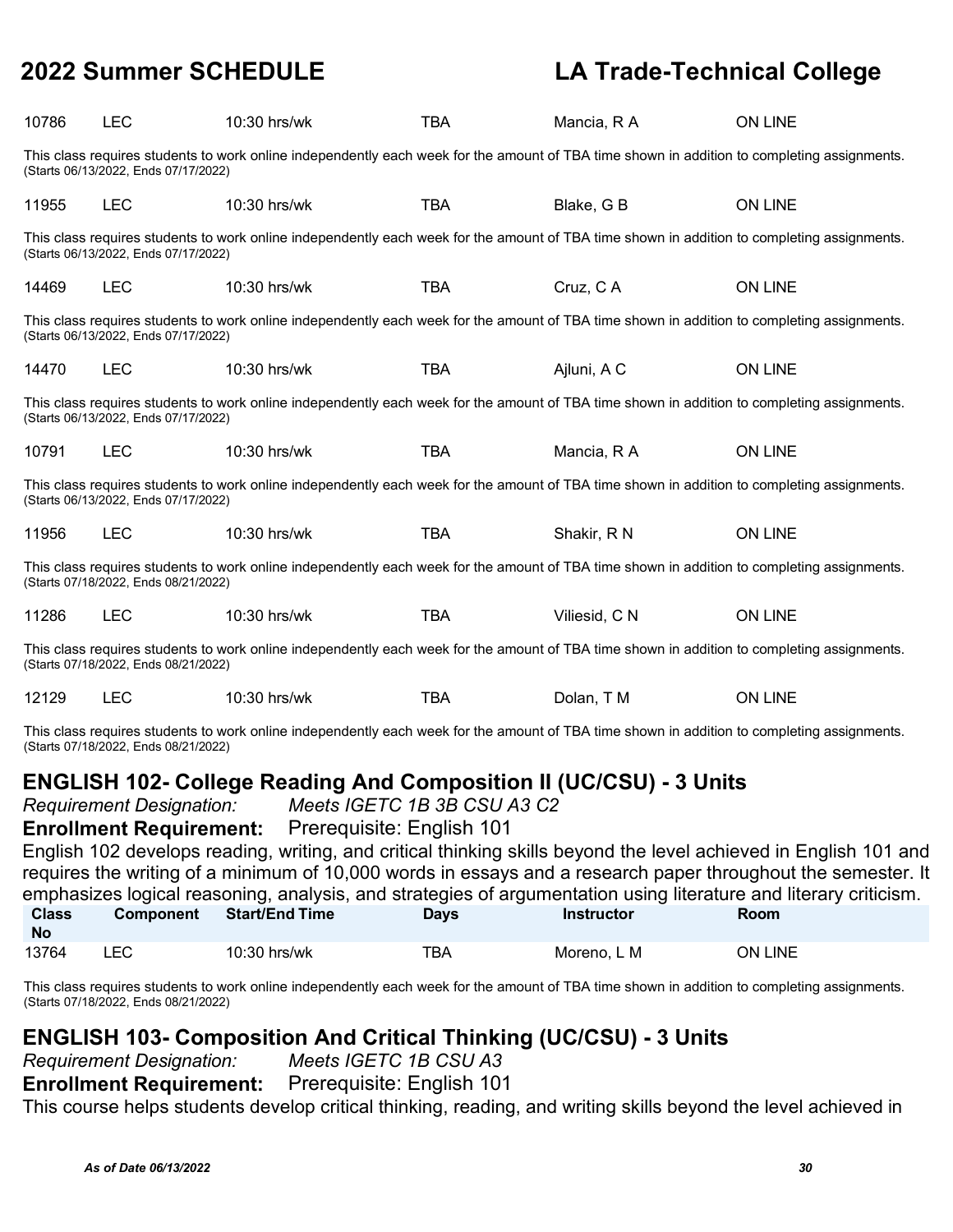| 10786                                                                                                                                                                                                                                                                                                                                                                                                                                                                                                                                                              | <b>LEC</b>                                                                                                                                                                          | 10:30 hrs/wk                                                                                                                                | <b>TBA</b> | Mancia, R A   | ON LINE        |  |  |  |
|--------------------------------------------------------------------------------------------------------------------------------------------------------------------------------------------------------------------------------------------------------------------------------------------------------------------------------------------------------------------------------------------------------------------------------------------------------------------------------------------------------------------------------------------------------------------|-------------------------------------------------------------------------------------------------------------------------------------------------------------------------------------|---------------------------------------------------------------------------------------------------------------------------------------------|------------|---------------|----------------|--|--|--|
|                                                                                                                                                                                                                                                                                                                                                                                                                                                                                                                                                                    | This class requires students to work online independently each week for the amount of TBA time shown in addition to completing assignments.<br>(Starts 06/13/2022, Ends 07/17/2022) |                                                                                                                                             |            |               |                |  |  |  |
| 11955                                                                                                                                                                                                                                                                                                                                                                                                                                                                                                                                                              | <b>LEC</b>                                                                                                                                                                          | 10:30 hrs/wk                                                                                                                                | <b>TBA</b> | Blake, G B    | <b>ON LINE</b> |  |  |  |
|                                                                                                                                                                                                                                                                                                                                                                                                                                                                                                                                                                    | (Starts 06/13/2022, Ends 07/17/2022)                                                                                                                                                | This class requires students to work online independently each week for the amount of TBA time shown in addition to completing assignments. |            |               |                |  |  |  |
| 14469                                                                                                                                                                                                                                                                                                                                                                                                                                                                                                                                                              | <b>LEC</b>                                                                                                                                                                          | 10:30 hrs/wk                                                                                                                                | <b>TBA</b> | Cruz, CA      | ON LINE        |  |  |  |
|                                                                                                                                                                                                                                                                                                                                                                                                                                                                                                                                                                    | (Starts 06/13/2022, Ends 07/17/2022)                                                                                                                                                | This class requires students to work online independently each week for the amount of TBA time shown in addition to completing assignments. |            |               |                |  |  |  |
| 14470                                                                                                                                                                                                                                                                                                                                                                                                                                                                                                                                                              | <b>LEC</b>                                                                                                                                                                          | 10:30 hrs/wk                                                                                                                                | <b>TBA</b> | Ajluni, A C   | <b>ON LINE</b> |  |  |  |
|                                                                                                                                                                                                                                                                                                                                                                                                                                                                                                                                                                    | (Starts 06/13/2022, Ends 07/17/2022)                                                                                                                                                | This class requires students to work online independently each week for the amount of TBA time shown in addition to completing assignments. |            |               |                |  |  |  |
| 10791                                                                                                                                                                                                                                                                                                                                                                                                                                                                                                                                                              | <b>LEC</b>                                                                                                                                                                          | 10:30 hrs/wk                                                                                                                                | TBA        | Mancia, R A   | ON LINE        |  |  |  |
|                                                                                                                                                                                                                                                                                                                                                                                                                                                                                                                                                                    | (Starts 06/13/2022, Ends 07/17/2022)                                                                                                                                                | This class requires students to work online independently each week for the amount of TBA time shown in addition to completing assignments. |            |               |                |  |  |  |
| 11956                                                                                                                                                                                                                                                                                                                                                                                                                                                                                                                                                              | <b>LEC</b>                                                                                                                                                                          | 10:30 hrs/wk                                                                                                                                | <b>TBA</b> | Shakir, R N   | ON LINE        |  |  |  |
|                                                                                                                                                                                                                                                                                                                                                                                                                                                                                                                                                                    | (Starts 07/18/2022, Ends 08/21/2022)                                                                                                                                                | This class requires students to work online independently each week for the amount of TBA time shown in addition to completing assignments. |            |               |                |  |  |  |
| 11286                                                                                                                                                                                                                                                                                                                                                                                                                                                                                                                                                              | <b>LEC</b>                                                                                                                                                                          | 10:30 hrs/wk                                                                                                                                | <b>TBA</b> | Viliesid, C N | <b>ON LINE</b> |  |  |  |
|                                                                                                                                                                                                                                                                                                                                                                                                                                                                                                                                                                    | (Starts 07/18/2022, Ends 08/21/2022)                                                                                                                                                | This class requires students to work online independently each week for the amount of TBA time shown in addition to completing assignments. |            |               |                |  |  |  |
| 12129                                                                                                                                                                                                                                                                                                                                                                                                                                                                                                                                                              | <b>LEC</b>                                                                                                                                                                          | 10:30 hrs/wk                                                                                                                                | <b>TBA</b> | Dolan, T M    | <b>ON LINE</b> |  |  |  |
| This class requires students to work online independently each week for the amount of TBA time shown in addition to completing assignments.<br>(Starts 07/18/2022, Ends 08/21/2022)                                                                                                                                                                                                                                                                                                                                                                                |                                                                                                                                                                                     |                                                                                                                                             |            |               |                |  |  |  |
| <b>ENGLISH 102- College Reading And Composition II (UC/CSU) - 3 Units</b><br>Meets IGETC 1B 3B CSU A3 C2<br><b>Requirement Designation:</b><br>Prerequisite: English 101<br><b>Enrollment Requirement:</b><br>English 102 develops reading, writing, and critical thinking skills beyond the level achieved in English 101 and<br>requires the writing of a minimum of 10,000 words in essays and a research paper throughout the semester. It<br>emphasizes logical reasoning, analysis, and strategies of argumentation using literature and literary criticism. |                                                                                                                                                                                     |                                                                                                                                             |            |               |                |  |  |  |

| <b>Class</b><br><b>No</b> | <b>Component</b> | .<br><b>Start/End Time</b> | Days | <b>Instructor</b> | Room    |
|---------------------------|------------------|----------------------------|------|-------------------|---------|
| 13764                     |                  | $10:30$ hrs/wk             | тва  | Moreno, L M       | ON LINE |

This class requires students to work online independently each week for the amount of TBA time shown in addition to completing assignments. (Starts 07/18/2022, Ends 08/21/2022)

### **ENGLISH 103- Composition And Critical Thinking (UC/CSU) - 3 Units**

*Requirement Designation: Meets IGETC 1B CSU A3*

**Enrollment Requirement:** Prerequisite: English 101

This course helps students develop critical thinking, reading, and writing skills beyond the level achieved in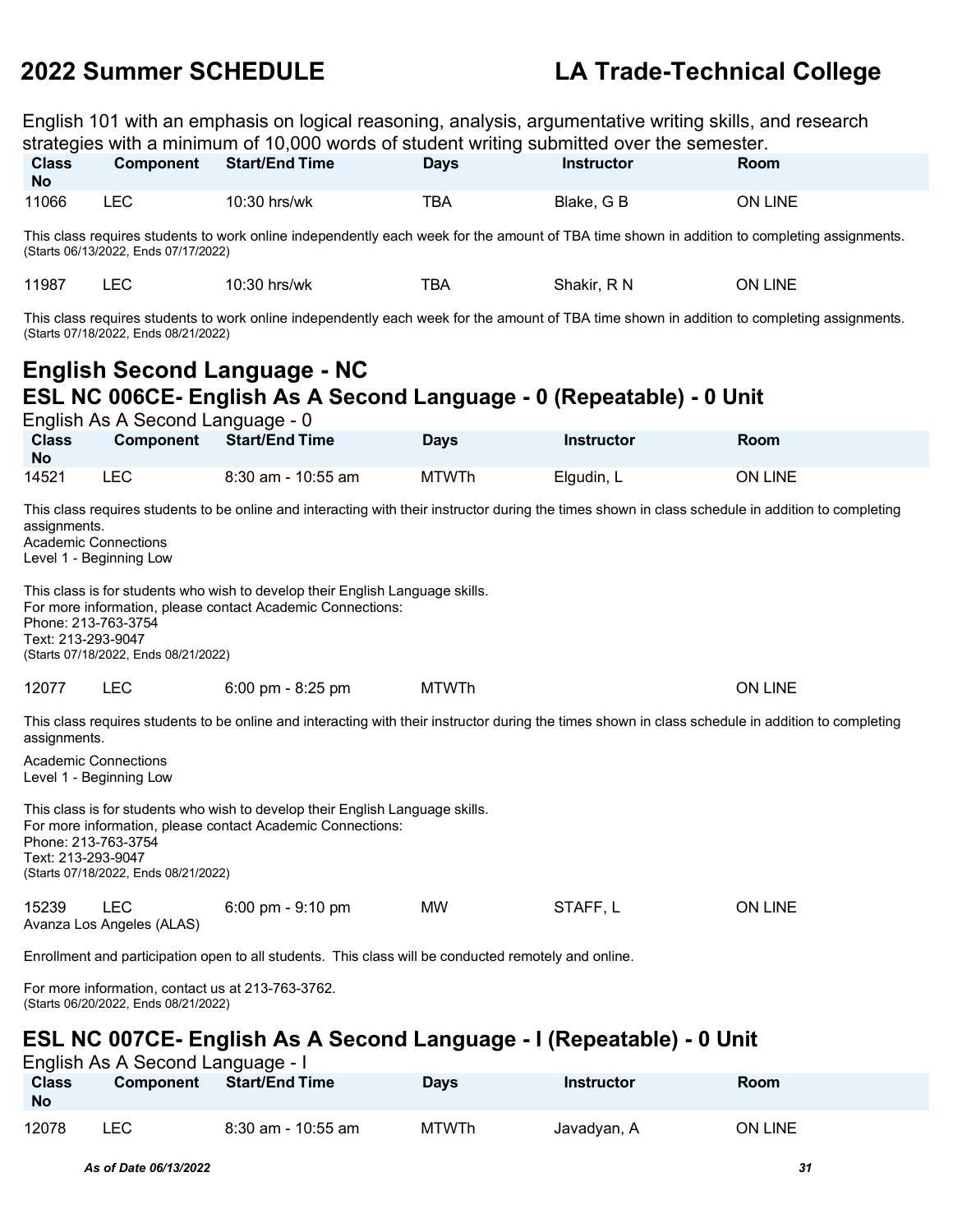English 101 with an emphasis on logical reasoning, analysis, argumentative writing skills, and research

| strategies with a minimum of 10,000 words of student writing submitted over the semester.                                                                                                                                                                                                                                                                                                                                                                        |                                                                                                                                                                                                                                                                                                                                                                                                                                                                  |                                                                                                                                             |              |                   |                |  |  |  |  |
|------------------------------------------------------------------------------------------------------------------------------------------------------------------------------------------------------------------------------------------------------------------------------------------------------------------------------------------------------------------------------------------------------------------------------------------------------------------|------------------------------------------------------------------------------------------------------------------------------------------------------------------------------------------------------------------------------------------------------------------------------------------------------------------------------------------------------------------------------------------------------------------------------------------------------------------|---------------------------------------------------------------------------------------------------------------------------------------------|--------------|-------------------|----------------|--|--|--|--|
| <b>Class</b><br><b>No</b>                                                                                                                                                                                                                                                                                                                                                                                                                                        | <b>Component</b>                                                                                                                                                                                                                                                                                                                                                                                                                                                 | <b>Start/End Time</b>                                                                                                                       | Days         | <b>Instructor</b> | Room           |  |  |  |  |
| 11066                                                                                                                                                                                                                                                                                                                                                                                                                                                            | <b>LEC</b>                                                                                                                                                                                                                                                                                                                                                                                                                                                       | 10:30 hrs/wk                                                                                                                                | <b>TBA</b>   | Blake, G B        | ON LINE        |  |  |  |  |
|                                                                                                                                                                                                                                                                                                                                                                                                                                                                  | (Starts 06/13/2022, Ends 07/17/2022)                                                                                                                                                                                                                                                                                                                                                                                                                             | This class requires students to work online independently each week for the amount of TBA time shown in addition to completing assignments. |              |                   |                |  |  |  |  |
| 11987                                                                                                                                                                                                                                                                                                                                                                                                                                                            | <b>LEC</b>                                                                                                                                                                                                                                                                                                                                                                                                                                                       | 10:30 hrs/wk                                                                                                                                | <b>TBA</b>   | Shakir, R N       | <b>ON LINE</b> |  |  |  |  |
|                                                                                                                                                                                                                                                                                                                                                                                                                                                                  | (Starts 07/18/2022, Ends 08/21/2022)                                                                                                                                                                                                                                                                                                                                                                                                                             | This class requires students to work online independently each week for the amount of TBA time shown in addition to completing assignments. |              |                   |                |  |  |  |  |
|                                                                                                                                                                                                                                                                                                                                                                                                                                                                  | English As A Second Language - 0                                                                                                                                                                                                                                                                                                                                                                                                                                 | <b>English Second Language - NC</b><br>ESL NC 006CE- English As A Second Language - 0 (Repeatable) - 0 Unit                                 |              |                   |                |  |  |  |  |
| <b>Class</b><br>No                                                                                                                                                                                                                                                                                                                                                                                                                                               | Component                                                                                                                                                                                                                                                                                                                                                                                                                                                        | <b>Start/End Time</b>                                                                                                                       | <b>Days</b>  | <b>Instructor</b> | <b>Room</b>    |  |  |  |  |
| 14521                                                                                                                                                                                                                                                                                                                                                                                                                                                            | <b>LEC</b>                                                                                                                                                                                                                                                                                                                                                                                                                                                       | 8:30 am - 10:55 am                                                                                                                          | <b>MTWTh</b> | Elgudin, L        | ON LINE        |  |  |  |  |
|                                                                                                                                                                                                                                                                                                                                                                                                                                                                  | This class requires students to be online and interacting with their instructor during the times shown in class schedule in addition to completing<br>assignments.<br><b>Academic Connections</b><br>Level 1 - Beginning Low<br>This class is for students who wish to develop their English Language skills.<br>For more information, please contact Academic Connections:<br>Phone: 213-763-3754<br>Text: 213-293-9047<br>(Starts 07/18/2022, Ends 08/21/2022) |                                                                                                                                             |              |                   |                |  |  |  |  |
| 12077                                                                                                                                                                                                                                                                                                                                                                                                                                                            | <b>LEC</b>                                                                                                                                                                                                                                                                                                                                                                                                                                                       | $6:00$ pm - $8:25$ pm                                                                                                                       | <b>MTWTh</b> |                   | <b>ON LINE</b> |  |  |  |  |
| This class requires students to be online and interacting with their instructor during the times shown in class schedule in addition to completing<br>assignments.<br><b>Academic Connections</b><br>Level 1 - Beginning Low<br>This class is for students who wish to develop their English Language skills.<br>For more information, please contact Academic Connections:<br>Phone: 213-763-3754<br>Text: 213-293-9047<br>(Starts 07/18/2022, Ends 08/21/2022) |                                                                                                                                                                                                                                                                                                                                                                                                                                                                  |                                                                                                                                             |              |                   |                |  |  |  |  |
| 15239                                                                                                                                                                                                                                                                                                                                                                                                                                                            | <b>LEC</b><br>Avanza Los Angeles (ALAS)                                                                                                                                                                                                                                                                                                                                                                                                                          | 6:00 pm - 9:10 pm                                                                                                                           | МW           | STAFF, L          | <b>ON LINE</b> |  |  |  |  |

Enrollment and participation open to all students. This class will be conducted remotely and online.

For more information, contact us at 213-763-3762. (Starts 06/20/2022, Ends 08/21/2022)

### **ESL NC 007CE- English As A Second Language - I (Repeatable) - 0 Unit**

English As A Second Language - I<br>Class Component Start/End Ti  $Start/End Time$ **No Days Instructor Room** 12078 LEC 8:30 am - 10:55 am MTWTh Javadyan, A ON LINE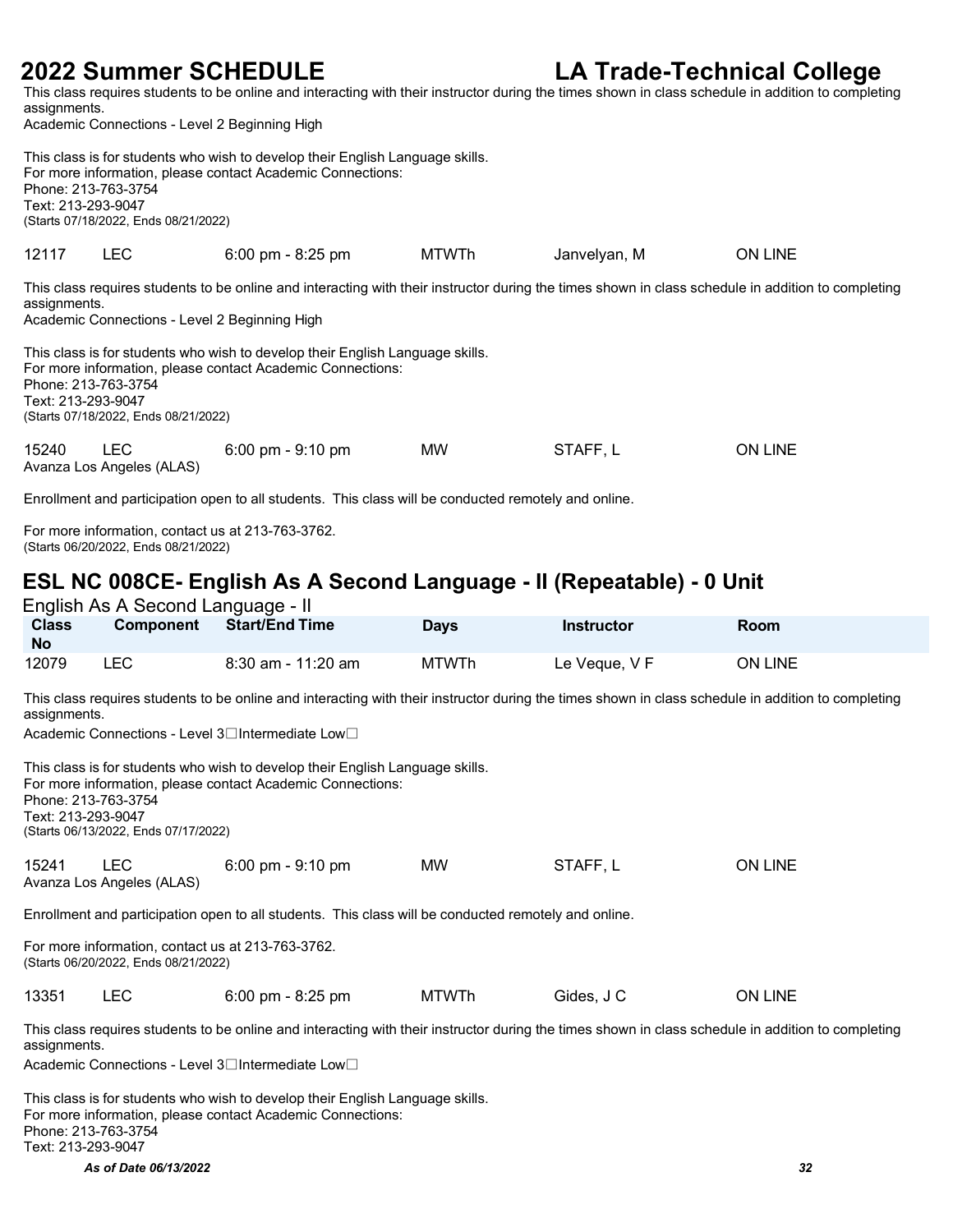This class requires students to be online and interacting with their instructor during the times shown in class schedule in addition to completing assignments.

Academic Connections - Level 2 Beginning High

|                                                                                                                                                                                                                                                                                                                                                                                                                                                         | This class is for students who wish to develop their English Language skills.<br>For more information, please contact Academic Connections:<br>Phone: 213-763-3754<br>Text: 213-293-9047<br>(Starts 07/18/2022, Ends 08/21/2022) |                                     |              |              |                |  |  |  |  |
|---------------------------------------------------------------------------------------------------------------------------------------------------------------------------------------------------------------------------------------------------------------------------------------------------------------------------------------------------------------------------------------------------------------------------------------------------------|----------------------------------------------------------------------------------------------------------------------------------------------------------------------------------------------------------------------------------|-------------------------------------|--------------|--------------|----------------|--|--|--|--|
| 12117                                                                                                                                                                                                                                                                                                                                                                                                                                                   | <b>LEC</b>                                                                                                                                                                                                                       | $6:00 \text{ pm} - 8:25 \text{ pm}$ | <b>MTWTh</b> | Janvelyan, M | <b>ON LINE</b> |  |  |  |  |
| This class requires students to be online and interacting with their instructor during the times shown in class schedule in addition to completing<br>assignments.<br>Academic Connections - Level 2 Beginning High<br>This class is for students who wish to develop their English Language skills.<br>For more information, please contact Academic Connections:<br>Phone: 213-763-3754<br>Text: 213-293-9047<br>(Starts 07/18/2022, Ends 08/21/2022) |                                                                                                                                                                                                                                  |                                     |              |              |                |  |  |  |  |
| 15240                                                                                                                                                                                                                                                                                                                                                                                                                                                   | <b>LEC</b><br>Avanza Los Angeles (ALAS)                                                                                                                                                                                          | $6:00 \text{ pm} - 9:10 \text{ pm}$ | <b>MW</b>    | STAFF, L     | ON LINE        |  |  |  |  |
|                                                                                                                                                                                                                                                                                                                                                                                                                                                         |                                                                                                                                                                                                                                  |                                     |              |              |                |  |  |  |  |

Enrollment and participation open to all students. This class will be conducted remotely and online.

For more information, contact us at 213-763-3762. (Starts 06/20/2022, Ends 08/21/2022)

### **ESL NC 008CE- English As A Second Language - II (Repeatable) - 0 Unit**  $Endich$  As A Second Language

| <b>Class</b><br><b>No</b> | <b>Component</b> | <b>Start/End Time</b> | <b>Days</b> | <b>Instructor</b> | Room    |
|---------------------------|------------------|-----------------------|-------------|-------------------|---------|
| 12079                     | LEC              | $8:30$ am - 11:20 am  | MTWTh       | Le Veque, V F     | ON LINE |

This class requires students to be online and interacting with their instructor during the times shown in class schedule in addition to completing assignments.

Academic Connections - Level 3<sup>1</sup>Intermediate Low

| Phone: 213-763-3754<br>Text: 213-293-9047 | (Starts 06/13/2022, Ends 07/17/2022)                                                      | This class is for students who wish to develop their English Language skills.<br>For more information, please contact Academic Connections:       |              |            |                |  |  |  |
|-------------------------------------------|-------------------------------------------------------------------------------------------|---------------------------------------------------------------------------------------------------------------------------------------------------|--------------|------------|----------------|--|--|--|
| 15241                                     | <b>LEC</b><br>Avanza Los Angeles (ALAS)                                                   | $6:00 \text{ pm} - 9:10 \text{ pm}$                                                                                                               | MW.          | STAFF.L    | <b>ON LINE</b> |  |  |  |
|                                           |                                                                                           | Enrollment and participation open to all students. This class will be conducted remotely and online.                                              |              |            |                |  |  |  |
|                                           | For more information, contact us at 213-763-3762.<br>(Starts 06/20/2022, Ends 08/21/2022) |                                                                                                                                                   |              |            |                |  |  |  |
| 13351                                     | <b>LEC</b>                                                                                | $6:00 \text{ pm} - 8:25 \text{ pm}$                                                                                                               | <b>MTWTh</b> | Gides, J C | <b>ON LINE</b> |  |  |  |
|                                           |                                                                                           | This class requires students to be online and interacting with their instructor during the times shown in class schedule in addition to completin |              |            |                |  |  |  |

ures students to be online and interacting with their instructor during the times shown in class schedule in addition to completing assignments.

Academic Connections - Level 3□Intermediate Low□

This class is for students who wish to develop their English Language skills. For more information, please contact Academic Connections: Phone: 213-763-3754 Text: 213-293-9047

*As of Date 06/13/2022 32*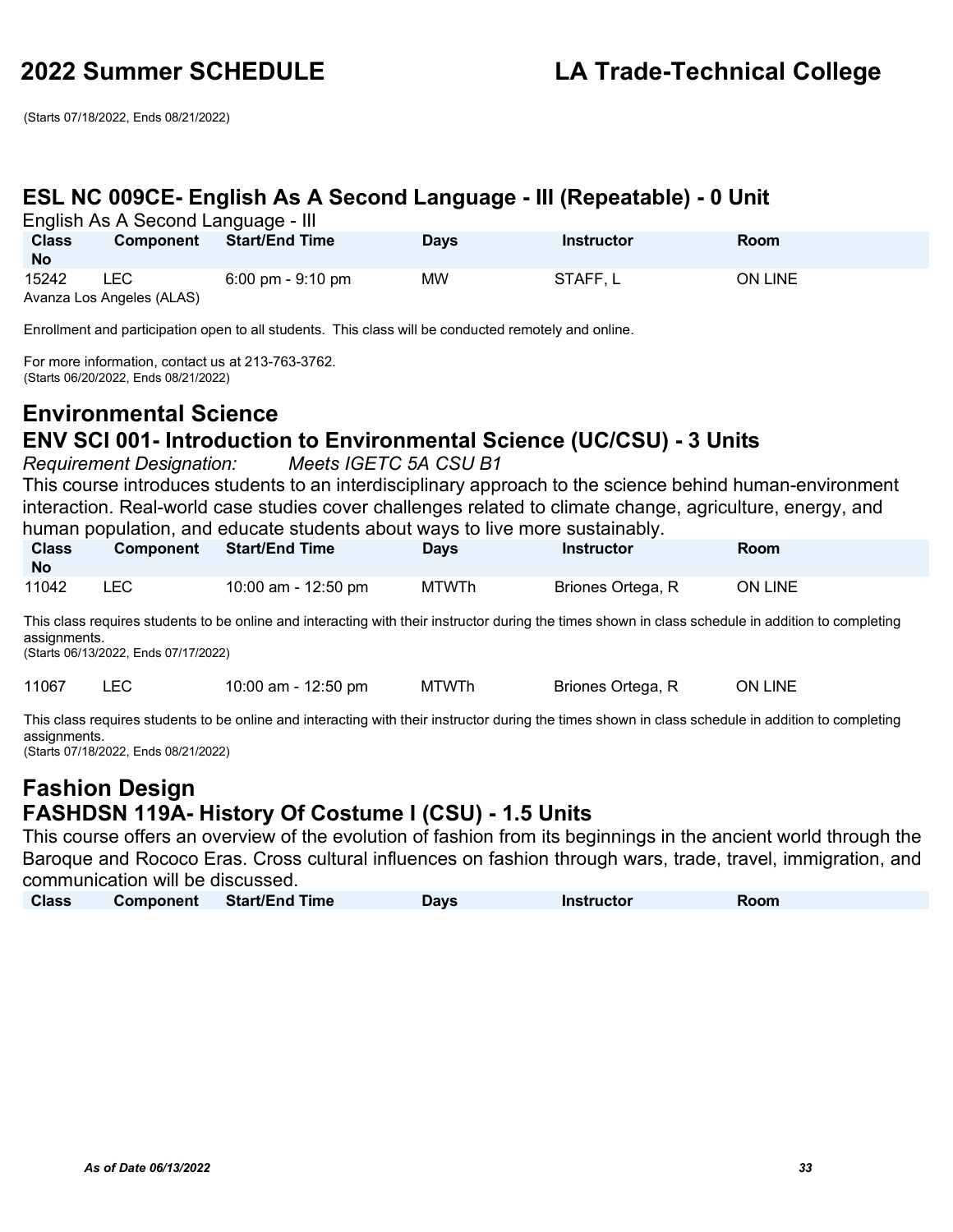(Starts 07/18/2022, Ends 08/21/2022)

### **ESL NC 009CE- English As A Second Language - III (Repeatable) - 0 Unit**

English As A Second Language - III

| <b>Class</b><br><b>No</b> | $L_{11}$ grid in the theoretical correspondence in $L_{21}$<br>Component | <b>Start/End Time</b>               | <b>Days</b> | <b>Instructor</b> | <b>Room</b> |
|---------------------------|--------------------------------------------------------------------------|-------------------------------------|-------------|-------------------|-------------|
| 15242                     | LEC                                                                      | $6:00 \text{ pm} - 9:10 \text{ pm}$ | <b>MW</b>   | STAFF, L          | ON LINE     |
|                           | Avanza Los Angeles (ALAS)                                                |                                     |             |                   |             |

Enrollment and participation open to all students. This class will be conducted remotely and online.

For more information, contact us at 213-763-3762. (Starts 06/20/2022, Ends 08/21/2022)

### **Environmental Science ENV SCI 001- Introduction to Environmental Science (UC/CSU) - 3 Units**

*Requirement Designation: Meets IGETC 5A CSU B1*

This course introduces students to an interdisciplinary approach to the science behind human-environment interaction. Real-world case studies cover challenges related to climate change, agriculture, energy, and human population, and educate students about ways to live more sustainably.

| <b>Class</b><br>- No | <b>Component</b> | <b>Start/End Time</b> | <b>Days</b> | Instructor        | Room           |
|----------------------|------------------|-----------------------|-------------|-------------------|----------------|
| 11042                | LEC.             | 10:00 am - 12:50 pm   | MTWTh       | Briones Ortega, R | <b>ON LINE</b> |

This class requires students to be online and interacting with their instructor during the times shown in class schedule in addition to completing assignments.

(Starts 06/13/2022, Ends 07/17/2022)

11067 LEC 10:00 am - 12:50 pm MTWTh Briones Ortega, R ON LINE

This class requires students to be online and interacting with their instructor during the times shown in class schedule in addition to completing assignments.

(Starts 07/18/2022, Ends 08/21/2022)

### **Fashion Design FASHDSN 119A- History Of Costume I (CSU) - 1.5 Units**

This course offers an overview of the evolution of fashion from its beginnings in the ancient world through the Baroque and Rococo Eras. Cross cultural influences on fashion through wars, trade, travel, immigration, and communication will be discussed.

| <b>Class</b> | Component | <b>Start/End Time</b> | Days | <b>Instructor</b> | Room |
|--------------|-----------|-----------------------|------|-------------------|------|
|--------------|-----------|-----------------------|------|-------------------|------|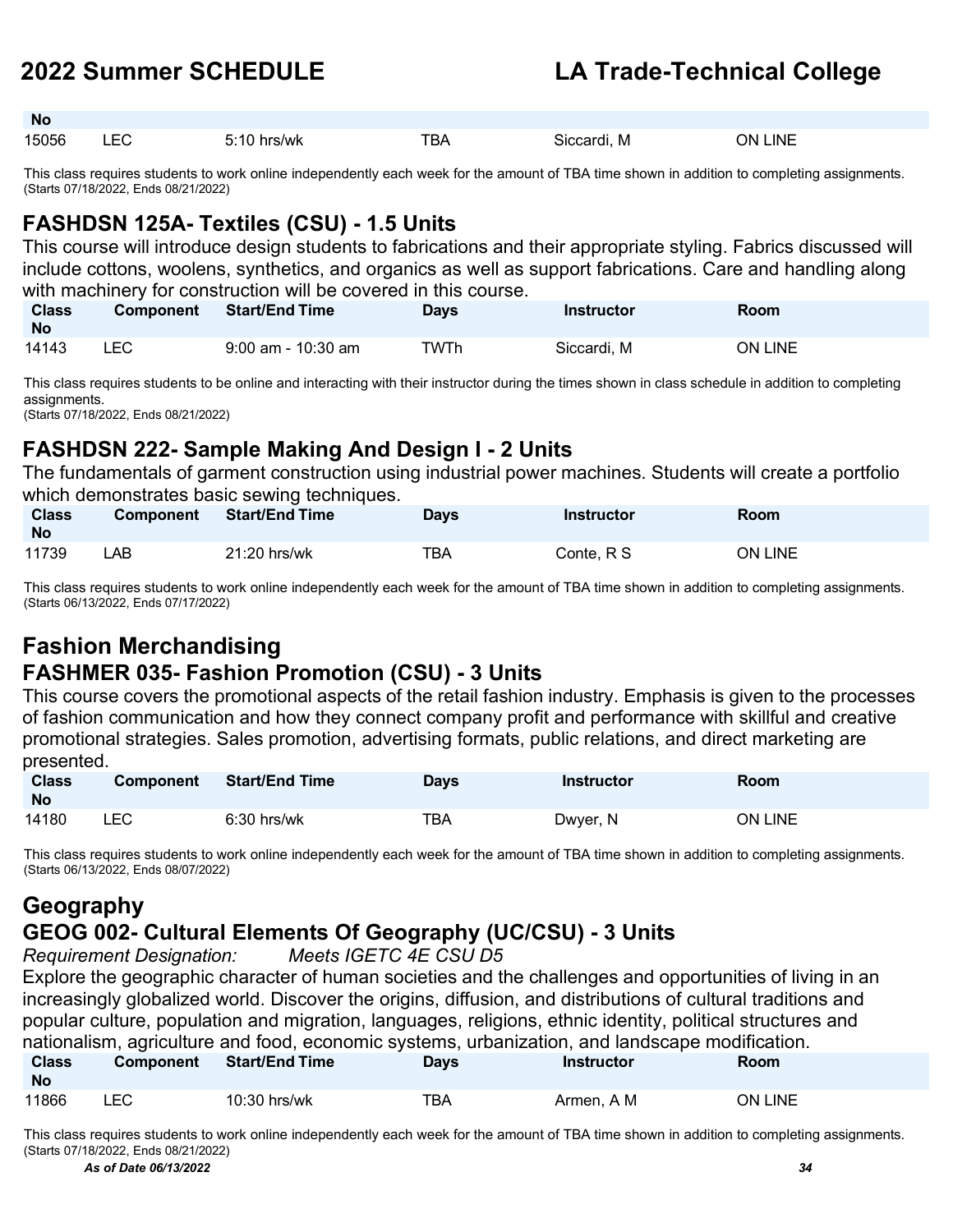**No**

### **2022 Summer SCHEDULE LA Trade-Technical College**

| 15056 | $ -$<br>--- | 5:10<br>hrs/wk | <b>TBA</b> | M<br>Siccardi. | <b>LINE</b><br>NC. |
|-------|-------------|----------------|------------|----------------|--------------------|

This class requires students to work online independently each week for the amount of TBA time shown in addition to completing assignments. (Starts 07/18/2022, Ends 08/21/2022)

### **FASHDSN 125A- Textiles (CSU) - 1.5 Units**

This course will introduce design students to fabrications and their appropriate styling. Fabrics discussed will include cottons, woolens, synthetics, and organics as well as support fabrications. Care and handling along with machinery for construction will be covered in this course.

| <b>Class</b><br><b>No</b> | <b>Component</b> | <b>Start/End Time</b> | Days | <b>Instructor</b> | Room           |
|---------------------------|------------------|-----------------------|------|-------------------|----------------|
| 14143                     | ∟EC              | $9:00$ am - 10:30 am  | TWTh | Siccardi. M       | <b>ON LINE</b> |

This class requires students to be online and interacting with their instructor during the times shown in class schedule in addition to completing assignments.

(Starts 07/18/2022, Ends 08/21/2022)

### **FASHDSN 222- Sample Making And Design I - 2 Units**

The fundamentals of garment construction using industrial power machines. Students will create a portfolio which demonstrates basic sewing techniques.

| <b>Class</b><br><b>No</b> | <b>Component</b> | <b>Start/End Time</b> | <b>Days</b> | <b>Instructor</b> | <b>Room</b> |
|---------------------------|------------------|-----------------------|-------------|-------------------|-------------|
| 11739                     | _AB_             | 21:20 hrs/wk          | TBA         | Conte. R S        | ON LINE     |

This class requires students to work online independently each week for the amount of TBA time shown in addition to completing assignments. (Starts 06/13/2022, Ends 07/17/2022)

### **Fashion Merchandising FASHMER 035- Fashion Promotion (CSU) - 3 Units**

This course covers the promotional aspects of the retail fashion industry. Emphasis is given to the processes of fashion communication and how they connect company profit and performance with skillful and creative promotional strategies. Sales promotion, advertising formats, public relations, and direct marketing are presented.

| <b>Class</b><br><b>No</b> | <b>Component</b> | <b>Start/End Time</b> | <b>Days</b> | <b>Instructor</b> | <b>Room</b>    |
|---------------------------|------------------|-----------------------|-------------|-------------------|----------------|
| 14180                     | LEC              | $6:30$ hrs/wk         | TBA         | Dwyer, N          | <b>ON LINE</b> |

This class requires students to work online independently each week for the amount of TBA time shown in addition to completing assignments. (Starts 06/13/2022, Ends 08/07/2022)

### **Geography**

### **GEOG 002- Cultural Elements Of Geography (UC/CSU) - 3 Units**

*Requirement Designation: Meets IGETC 4E CSU D5*

Explore the geographic character of human societies and the challenges and opportunities of living in an increasingly globalized world. Discover the origins, diffusion, and distributions of cultural traditions and popular culture, population and migration, languages, religions, ethnic identity, political structures and nationalism, agriculture and food, economic systems, urbanization, and landscape modification.

| <b>Class</b><br><b>No</b> | <b>Component</b> | <b>Start/End Time</b> | Days | <b>Instructor</b> | <b>Room</b> |
|---------------------------|------------------|-----------------------|------|-------------------|-------------|
| 11866                     | LEC              | 10:30 hrs/wk          | ТВА  | Armen. A M        | ON LINE     |

*As of Date 06/13/2022 34* This class requires students to work online independently each week for the amount of TBA time shown in addition to completing assignments. (Starts 07/18/2022, Ends 08/21/2022)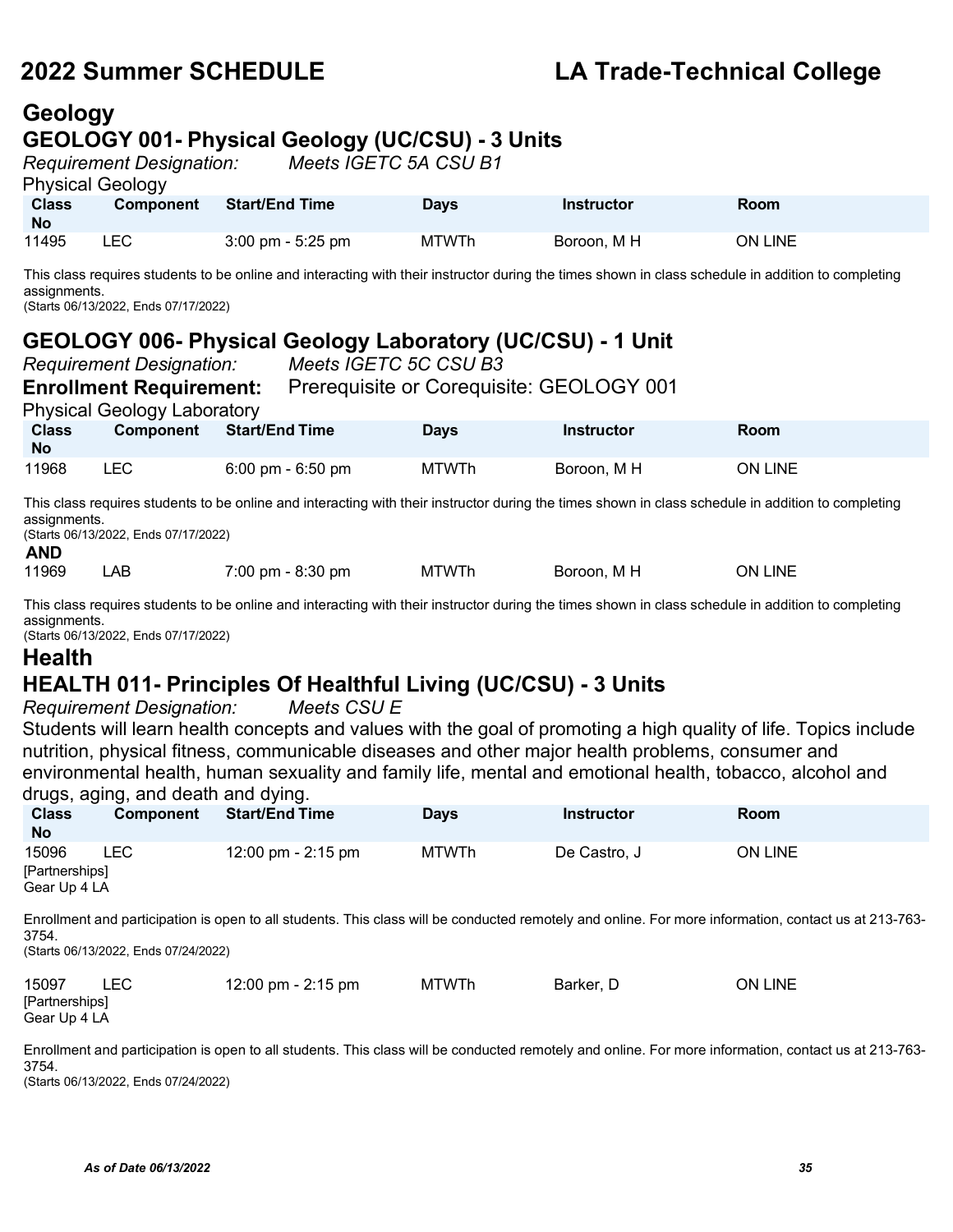### **Geology GEOLOGY 001- Physical Geology (UC/CSU) - 3 Units**

|                           | <b>Requirement Designation:</b> | Meets IGETC 5A CSU B1               |              |             |         |
|---------------------------|---------------------------------|-------------------------------------|--------------|-------------|---------|
| <b>Physical Geology</b>   |                                 |                                     |              |             |         |
| <b>Class</b><br><b>No</b> | <b>Component</b>                | <b>Start/End Time</b>               | <b>Davs</b>  | Instructor  | Room    |
| 11495                     | LEC.                            | $3:00 \text{ pm} - 5:25 \text{ pm}$ | <b>MTWTh</b> | Boroon, M H | ON LINE |

This class requires students to be online and interacting with their instructor during the times shown in class schedule in addition to completing assignments.

(Starts 06/13/2022, Ends 07/17/2022)

### **GEOLOGY 006- Physical Geology Laboratory (UC/CSU) - 1 Unit**

| <b>Requirement Designation:</b> |                                      |                       | Meets IGETC 5C CSU B3               |              |                                          |                                                                                                                                                    |  |
|---------------------------------|--------------------------------------|-----------------------|-------------------------------------|--------------|------------------------------------------|----------------------------------------------------------------------------------------------------------------------------------------------------|--|
|                                 | <b>Enrollment Requirement:</b>       |                       |                                     |              | Prerequisite or Corequisite: GEOLOGY 001 |                                                                                                                                                    |  |
|                                 | <b>Physical Geology Laboratory</b>   |                       |                                     |              |                                          |                                                                                                                                                    |  |
| <b>Class</b><br><b>No</b>       | Component                            | <b>Start/End Time</b> |                                     | <b>Days</b>  | <b>Instructor</b>                        | Room                                                                                                                                               |  |
| 11968                           | <b>LEC</b>                           |                       | $6:00 \text{ pm} - 6:50 \text{ pm}$ | MTWTh        | Boroon. M H                              | <b>ON LINE</b>                                                                                                                                     |  |
| assignments.<br><b>AND</b>      | (Starts 06/13/2022, Ends 07/17/2022) |                       |                                     |              |                                          | This class requires students to be online and interacting with their instructor during the times shown in class schedule in addition to completing |  |
| 11969                           | LAB                                  |                       | $7:00 \text{ pm} - 8:30 \text{ pm}$ | <b>MTWTh</b> | Boroon. M H                              | <b>ON LINE</b>                                                                                                                                     |  |

This class requires students to be online and interacting with their instructor during the times shown in class schedule in addition to completing assignments.

(Starts 06/13/2022, Ends 07/17/2022)

### **Health**

### **HEALTH 011- Principles Of Healthful Living (UC/CSU) - 3 Units**

*Requirement Designation: Meets CSU E* 

Students will learn health concepts and values with the goal of promoting a high quality of life. Topics include nutrition, physical fitness, communicable diseases and other major health problems, consumer and environmental health, human sexuality and family life, mental and emotional health, tobacco, alcohol and drugs, aging, and death and dying.

| <b>Class</b><br><b>No</b>               | <b>Component</b> | <b>Start/End Time</b> | <b>Days</b>  | <b>Instructor</b> | <b>Room</b> |
|-----------------------------------------|------------------|-----------------------|--------------|-------------------|-------------|
| 15096<br>[Partnerships]<br>Gear Up 4 LA | LEC              | 12:00 pm - 2:15 pm    | <b>MTWTh</b> | De Castro, J      | ON LINE     |

Enrollment and participation is open to all students. This class will be conducted remotely and online. For more information, contact us at 213-763- 3754.

(Starts 06/13/2022, Ends 07/24/2022)

| 15097          | LEC | 12:00 pm - 2:15 pm | MTWTh | Barker, D | <b>ON LINE</b> |
|----------------|-----|--------------------|-------|-----------|----------------|
| [Partnerships] |     |                    |       |           |                |
| Gear Up 4 LA   |     |                    |       |           |                |

Enrollment and participation is open to all students. This class will be conducted remotely and online. For more information, contact us at 213-763- 3754.

(Starts 06/13/2022, Ends 07/24/2022)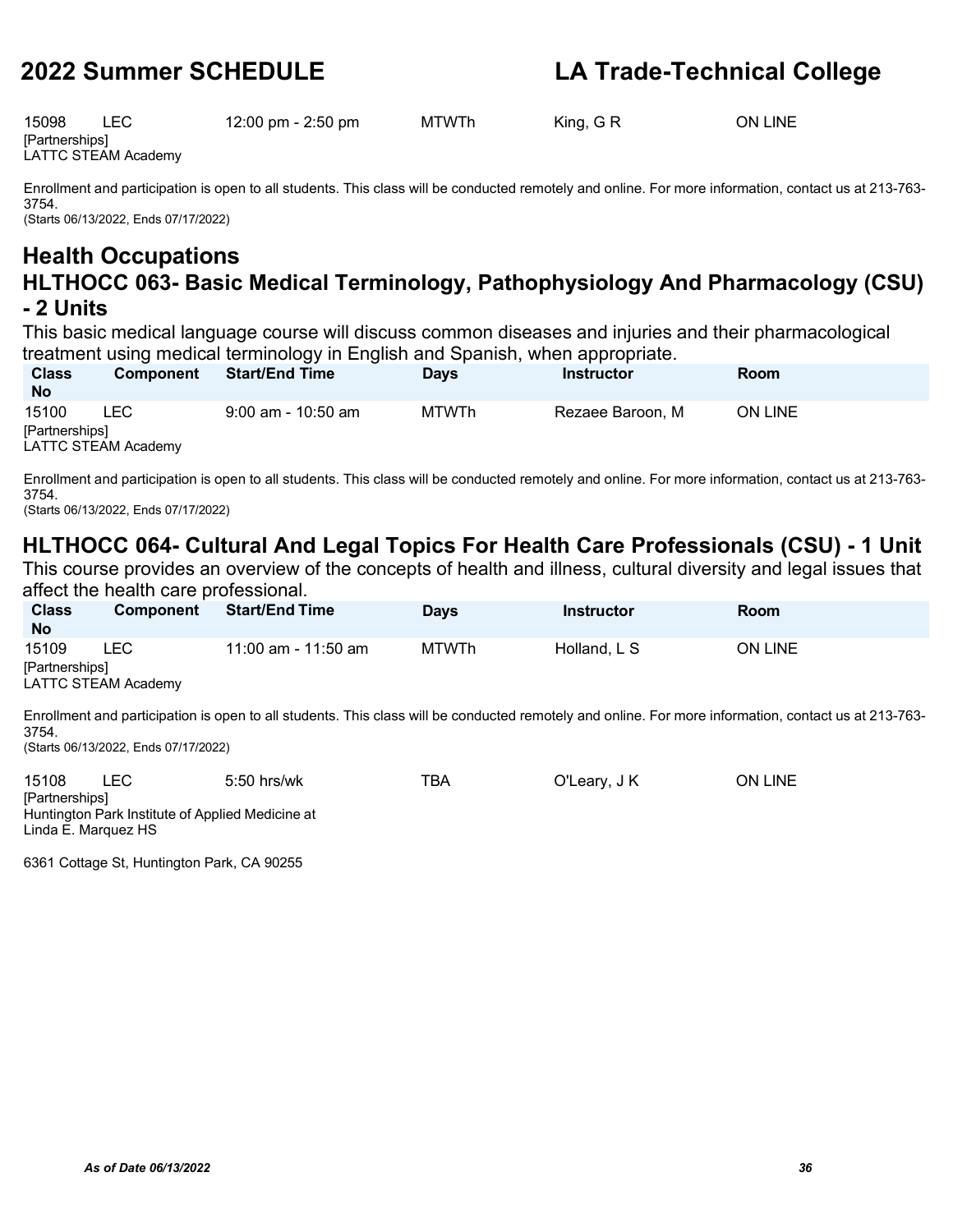15098 LEC 12:00 pm - 2:50 pm MTWTh King, G R ON LINE **[Partnerships]** 

LATTC STEAM Academy

Enrollment and participation is open to all students. This class will be conducted remotely and online. For more information, contact us at 213-763- 3754. (Starts 06/13/2022, Ends 07/17/2022)

**Health Occupations HLTHOCC 063- Basic Medical Terminology, Pathophysiology And Pharmacology (CSU) - 2 Units**

This basic medical language course will discuss common diseases and injuries and their pharmacological treatment using medical terminology in English and Spanish, when appropriate.

| <b>Class</b><br><b>No</b> | <b>Component</b>           | <b>Start/End Time</b> | Davs  | <b>Instructor</b> | <b>Room</b>    |
|---------------------------|----------------------------|-----------------------|-------|-------------------|----------------|
| 15100                     | LEC                        | $9:00$ am - 10:50 am  | MTWTh | Rezaee Baroon, M  | <b>ON LINE</b> |
| [Partnerships]            |                            |                       |       |                   |                |
|                           | <b>LATTC STEAM Academy</b> |                       |       |                   |                |

Enrollment and participation is open to all students. This class will be conducted remotely and online. For more information, contact us at 213-763- 3754.

(Starts 06/13/2022, Ends 07/17/2022)

### **HLTHOCC 064- Cultural And Legal Topics For Health Care Professionals (CSU) - 1 Unit**

This course provides an overview of the concepts of health and illness, cultural diversity and legal issues that affect the health care professional.

| <b>Class</b><br><b>No</b> | <b>Component</b>            | <b>Start/End Time</b>                                                                                                                                | <b>Davs</b> | <b>Instructor</b> | Room           |  |
|---------------------------|-----------------------------|------------------------------------------------------------------------------------------------------------------------------------------------------|-------------|-------------------|----------------|--|
| 15109<br>[Partnerships]   | LEC.<br>LATTC STEAM Academy | 11:00 am - 11:50 am                                                                                                                                  | MTWTh       | Holland, L S      | <b>ON LINE</b> |  |
| 3754.                     |                             | Enrollment and participation is open to all students. This class will be conducted remotely and online. For more information, contact us at 213-763- |             |                   |                |  |

(Starts 06/13/2022, Ends 07/17/2022)

| 15108          | LEC.                | $5:50$ hrs/wk                                    | TBA | O'Leary, J K | <b>ON LINE</b> |
|----------------|---------------------|--------------------------------------------------|-----|--------------|----------------|
| [Partnerships] |                     |                                                  |     |              |                |
|                |                     | Huntington Park Institute of Applied Medicine at |     |              |                |
|                | Linda E. Marquez HS |                                                  |     |              |                |

6361 Cottage St, Huntington Park, CA 90255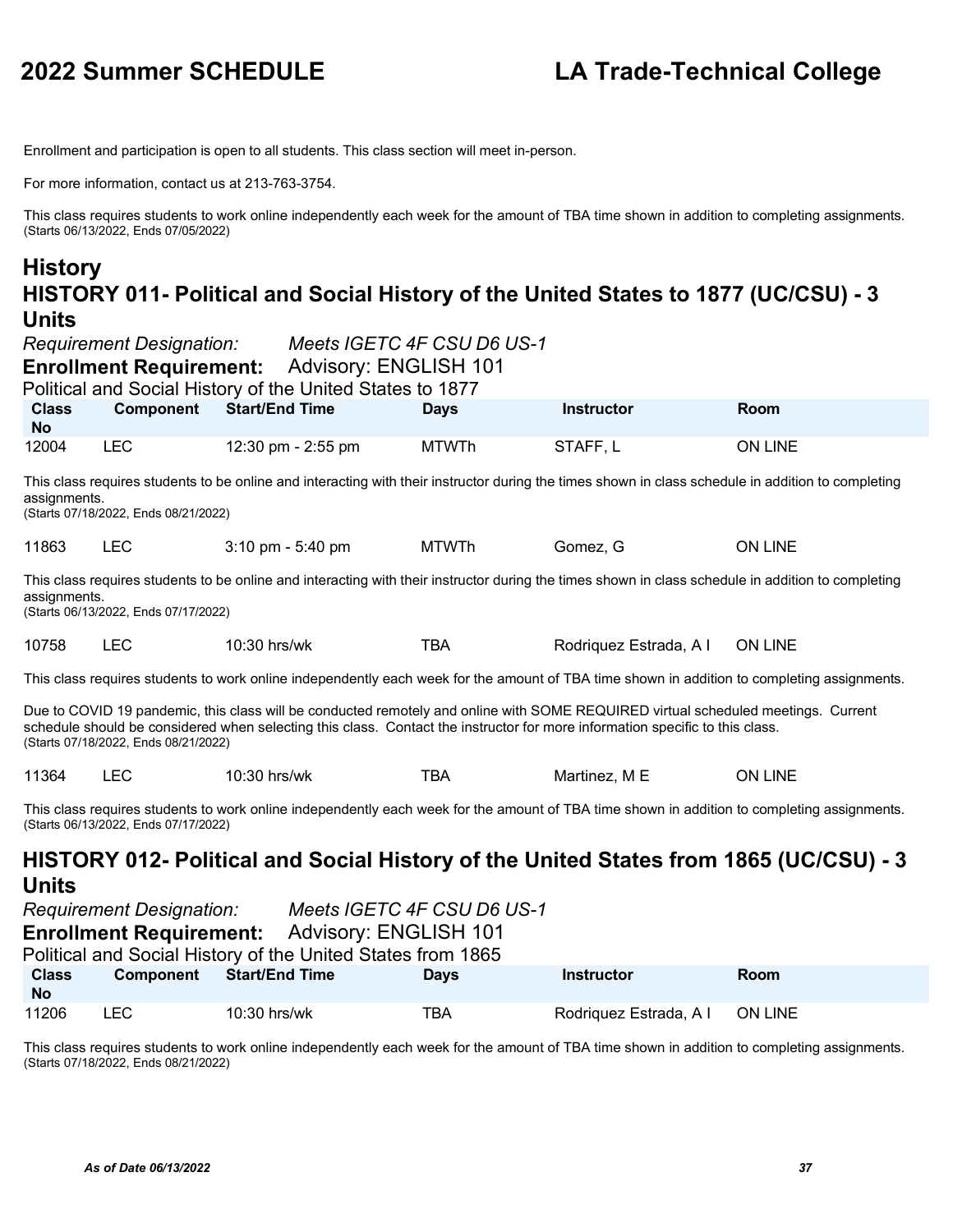Enrollment and participation is open to all students. This class section will meet in-person.

For more information, contact us at 213-763-3754.

This class requires students to work online independently each week for the amount of TBA time shown in addition to completing assignments. (Starts 06/13/2022, Ends 07/05/2022)

### **History HISTORY 011- Political and Social History of the United States to 1877 (UC/CSU) - 3 Units**

|                           | <b>Requirement Designation:</b><br><b>Enrollment Requirement:</b> | <b>Advisory: ENGLISH 101</b><br>Political and Social History of the United States to 1877                                 | Meets IGETC 4F CSU D6 US-1 |                                                                                                                                                                                                                                                                   |                |
|---------------------------|-------------------------------------------------------------------|---------------------------------------------------------------------------------------------------------------------------|----------------------------|-------------------------------------------------------------------------------------------------------------------------------------------------------------------------------------------------------------------------------------------------------------------|----------------|
| <b>Class</b><br><b>No</b> | <b>Component</b>                                                  | <b>Start/End Time</b>                                                                                                     | <b>Days</b>                | Instructor                                                                                                                                                                                                                                                        | Room           |
| 12004                     | <b>LEC</b>                                                        | 12:30 pm - 2:55 pm                                                                                                        | <b>MTWTh</b>               | STAFF, L                                                                                                                                                                                                                                                          | <b>ON LINE</b> |
| assignments.              | (Starts 07/18/2022, Ends 08/21/2022)                              |                                                                                                                           |                            | This class requires students to be online and interacting with their instructor during the times shown in class schedule in addition to completing                                                                                                                |                |
| 11863                     | <b>LEC</b>                                                        | $3:10 \text{ pm} - 5:40 \text{ pm}$                                                                                       | <b>MTWTh</b>               | Gomez, G                                                                                                                                                                                                                                                          | <b>ON LINE</b> |
| assignments.              | (Starts 06/13/2022, Ends 07/17/2022)                              |                                                                                                                           |                            | This class requires students to be online and interacting with their instructor during the times shown in class schedule in addition to completing                                                                                                                |                |
| 10758                     | <b>LEC</b>                                                        | 10:30 hrs/wk                                                                                                              | <b>TBA</b>                 | Rodriquez Estrada, A I                                                                                                                                                                                                                                            | <b>ON LINE</b> |
|                           |                                                                   |                                                                                                                           |                            | This class requires students to work online independently each week for the amount of TBA time shown in addition to completing assignments.                                                                                                                       |                |
|                           | (Starts 07/18/2022, Ends 08/21/2022)                              |                                                                                                                           |                            | Due to COVID 19 pandemic, this class will be conducted remotely and online with SOME REQUIRED virtual scheduled meetings. Current<br>schedule should be considered when selecting this class. Contact the instructor for more information specific to this class. |                |
| 11364                     | <b>LEC</b>                                                        | 10:30 hrs/wk                                                                                                              | <b>TBA</b>                 | Martinez, M E                                                                                                                                                                                                                                                     | <b>ON LINE</b> |
|                           | (Starts 06/13/2022, Ends 07/17/2022)                              |                                                                                                                           |                            | This class requires students to work online independently each week for the amount of TBA time shown in addition to completing assignments.                                                                                                                       |                |
| <b>Units</b>              |                                                                   |                                                                                                                           |                            | HISTORY 012- Political and Social History of the United States from 1865 (UC/CSU) - 3                                                                                                                                                                             |                |
|                           | <b>Requirement Designation:</b><br><b>Enrollment Requirement:</b> | Meets IGETC 4F CSU D6 US-1<br><b>Advisory: ENGLISH 101</b><br>Political and Social History of the United States from 1865 |                            |                                                                                                                                                                                                                                                                   |                |
| <b>Class</b><br><b>No</b> | Component                                                         | <b>Start/End Time</b>                                                                                                     | <b>Days</b>                | <b>Instructor</b>                                                                                                                                                                                                                                                 | Room           |
| 11206                     | <b>LEC</b>                                                        | 10:30 hrs/wk                                                                                                              | <b>TBA</b>                 | Rodriquez Estrada, A I                                                                                                                                                                                                                                            | <b>ON LINE</b> |

This class requires students to work online independently each week for the amount of TBA time shown in addition to completing assignments. (Starts 07/18/2022, Ends 08/21/2022)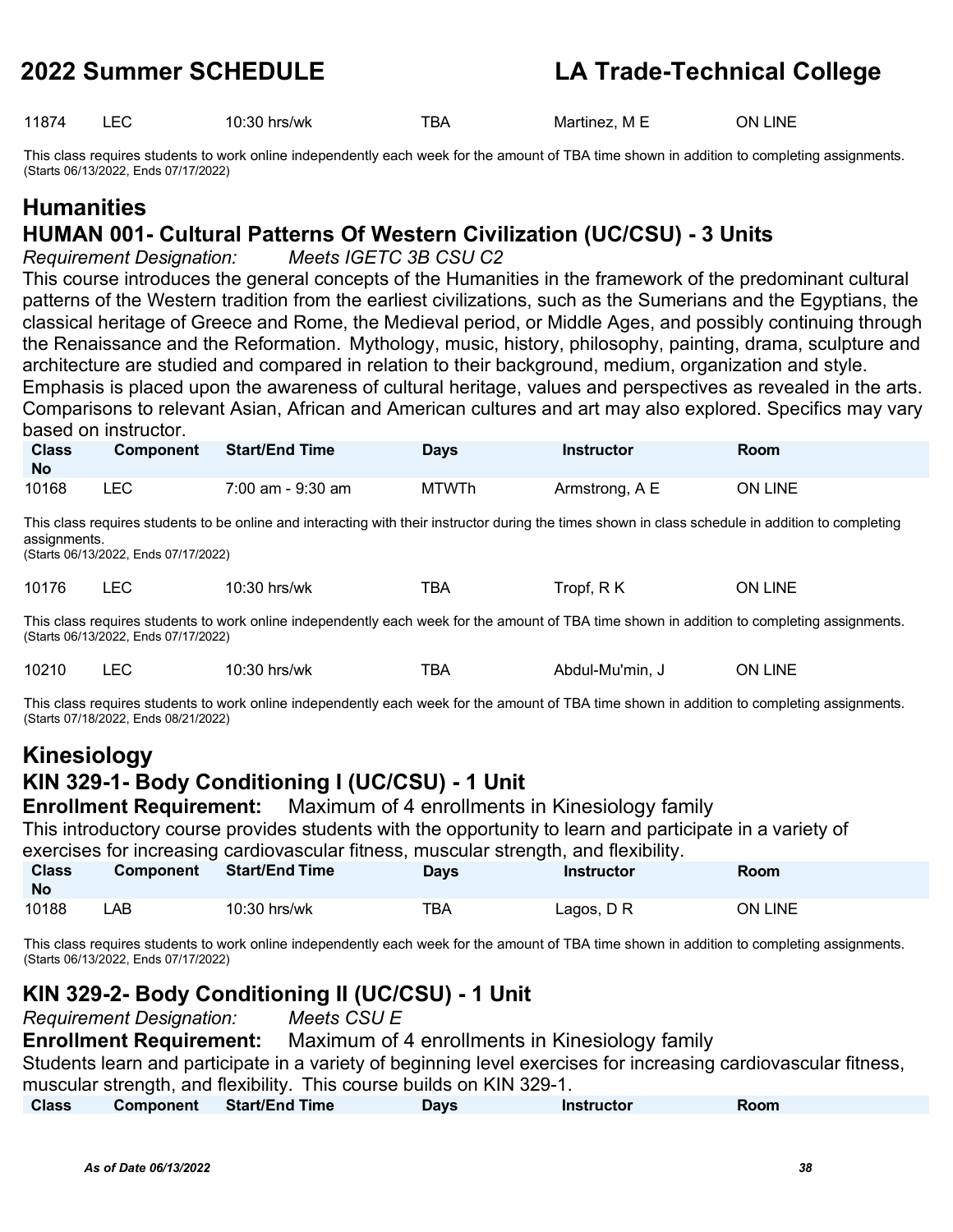11874 LEC 10:30 hrs/wk TBA Martinez, M E ON LINE

This class requires students to work online independently each week for the amount of TBA time shown in addition to completing assignments. (Starts 06/13/2022, Ends 07/17/2022)

## **Humanities**

### **HUMAN 001- Cultural Patterns Of Western Civilization (UC/CSU) - 3 Units**

*Requirement Designation: Meets IGETC 3B CSU C2*

This course introduces the general concepts of the Humanities in the framework of the predominant cultural patterns of the Western tradition from the earliest civilizations, such as the Sumerians and the Egyptians, the classical heritage of Greece and Rome, the Medieval period, or Middle Ages, and possibly continuing through the Renaissance and the Reformation. Mythology, music, history, philosophy, painting, drama, sculpture and architecture are studied and compared in relation to their background, medium, organization and style. Emphasis is placed upon the awareness of cultural heritage, values and perspectives as revealed in the arts.

Comparisons to relevant Asian, African and American cultures and art may also explored. Specifics may vary based on instructor.

| <b>Class</b><br><b>No</b> | <b>Component</b> | <b>Start/End Time</b> | Days         | <b>Instructor</b> | Room           |
|---------------------------|------------------|-----------------------|--------------|-------------------|----------------|
| 10168                     | ∟EC              | 7:00 am - 9:30 am     | <b>MTWTh</b> | Armstrong, A E    | <b>ON LINE</b> |

This class requires students to be online and interacting with their instructor during the times shown in class schedule in addition to completing assignments.

(Starts 06/13/2022, Ends 07/17/2022)

|  | 10176 |  | 10:30 hrs/wk | TBA | Tropf, RK | <b>ON LINE</b> |
|--|-------|--|--------------|-----|-----------|----------------|
|--|-------|--|--------------|-----|-----------|----------------|

This class requires students to work online independently each week for the amount of TBA time shown in addition to completing assignments. (Starts 06/13/2022, Ends 07/17/2022)

| 10210 | ററ<br>10:30 .<br>hrs/wk | В۶ | Abdul-Mu'min. | INF<br>ЭN |
|-------|-------------------------|----|---------------|-----------|
|       |                         |    |               |           |

This class requires students to work online independently each week for the amount of TBA time shown in addition to completing assignments. (Starts 07/18/2022, Ends 08/21/2022)

### **Kinesiology**

### **KIN 329-1- Body Conditioning I (UC/CSU) - 1 Unit**

**Enrollment Requirement:** Maximum of 4 enrollments in Kinesiology family

This introductory course provides students with the opportunity to learn and participate in a variety of

exercises for increasing cardiovascular fitness, muscular strength, and flexibility.

| Class<br><b>No</b> | <b>Component</b> | <b>Start/End Time</b> | <b>Days</b> | <b>Instructor</b> | Room    |
|--------------------|------------------|-----------------------|-------------|-------------------|---------|
| 10188              | _AB_             | 10:30 hrs/wk          | TBA         | Lagos, D R        | ON LINE |

This class requires students to work online independently each week for the amount of TBA time shown in addition to completing assignments. (Starts 06/13/2022, Ends 07/17/2022)

### **KIN 329-2- Body Conditioning II (UC/CSU) - 1 Unit**

|              | Requirement Designation:<br>Meets CSU E                                                                         |                       |             |                   |      |  |  |  |
|--------------|-----------------------------------------------------------------------------------------------------------------|-----------------------|-------------|-------------------|------|--|--|--|
|              | Maximum of 4 enrollments in Kinesiology family<br><b>Enrollment Requirement:</b>                                |                       |             |                   |      |  |  |  |
|              | Students learn and participate in a variety of beginning level exercises for increasing cardiovascular fitness, |                       |             |                   |      |  |  |  |
|              | muscular strength, and flexibility. This course builds on KIN 329-1.                                            |                       |             |                   |      |  |  |  |
| <b>Class</b> | Component                                                                                                       | <b>Start/End Time</b> | <b>Days</b> | <b>Instructor</b> | Room |  |  |  |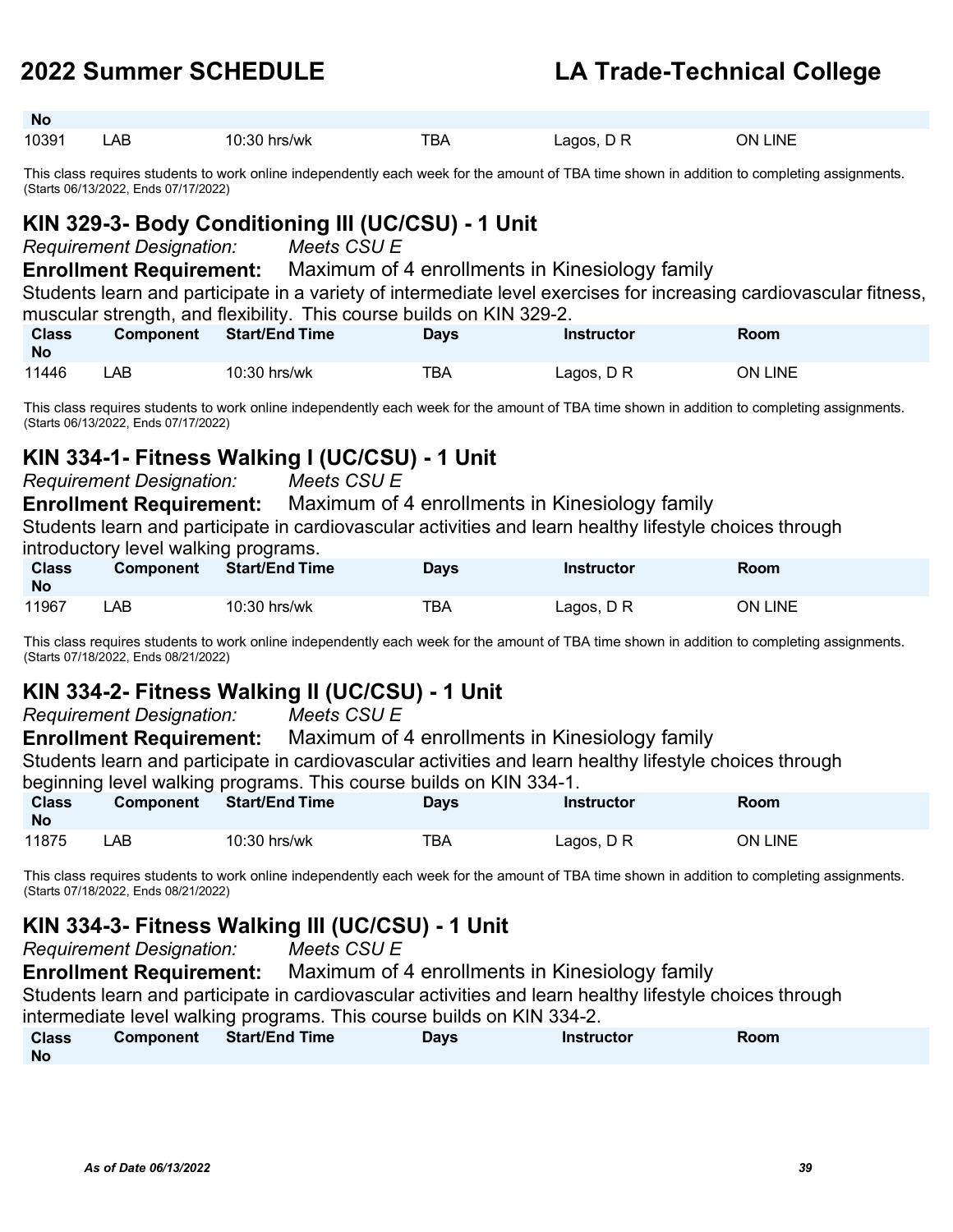**No**

### **2022 Summer SCHEDULE LA Trade-Technical College**

| 10391 | АE | s/wk<br>۰U۰<br>ור | --<br>. D/ | anns | _INE<br>าผ∙ |
|-------|----|-------------------|------------|------|-------------|

This class requires students to work online independently each week for the amount of TBA time shown in addition to completing assignments. (Starts 06/13/2022, Ends 07/17/2022)

### **KIN 329-3- Body Conditioning III (UC/CSU) - 1 Unit**

*Requirement Designation: Meets CSU E* 

**Enrollment Requirement:** Maximum of 4 enrollments in Kinesiology family

Students learn and participate in a variety of intermediate level exercises for increasing cardiovascular fitness, muscular strength, and flexibility. This course builds on KIN 329-2.

| Class<br><b>No</b> | <b>Component</b> | <b>Start/End Time</b> | Days | Instructor | <b>Room</b>    |  |
|--------------------|------------------|-----------------------|------|------------|----------------|--|
| 11446              | _AB              | 10:30 hrs/wk          | TBA  | Lagos, D R | <b>ON LINE</b> |  |

This class requires students to work online independently each week for the amount of TBA time shown in addition to completing assignments. (Starts 06/13/2022, Ends 07/17/2022)

### **KIN 334-1- Fitness Walking I (UC/CSU) - 1 Unit**

*Requirement Designation: Meets CSU E* 

**Enrollment Requirement:** Maximum of 4 enrollments in Kinesiology family

Students learn and participate in cardiovascular activities and learn healthy lifestyle choices through

introductory level walking programs.

| <b>Class</b><br><b>No</b> | <b>Component</b> | <b>Start/End Time</b> | Davs | Instructor | Room           |
|---------------------------|------------------|-----------------------|------|------------|----------------|
| 11967                     | _AB_             | 10:30 hrs/wk          | TBA  | Lagos, D R | <b>ON LINE</b> |

This class requires students to work online independently each week for the amount of TBA time shown in addition to completing assignments. (Starts 07/18/2022, Ends 08/21/2022)

### **KIN 334-2- Fitness Walking II (UC/CSU) - 1 Unit**

*Requirement Designation: Meets CSU E* 

**Enrollment Requirement:** Maximum of 4 enrollments in Kinesiology family

Students learn and participate in cardiovascular activities and learn healthy lifestyle choices through

beginning level walking programs. This course builds on KIN 334-1.

| <b>Class</b><br><b>No</b> | <b>Component</b> | <b>Start/End Time</b> | Days | <b>Instructor</b> | <b>Room</b> |
|---------------------------|------------------|-----------------------|------|-------------------|-------------|
| 11875                     | LAB.             | 10:30 hrs/wk          | TBA  | Lagos, D R        | ON LINE     |

This class requires students to work online independently each week for the amount of TBA time shown in addition to completing assignments. (Starts 07/18/2022, Ends 08/21/2022)

### **KIN 334-3- Fitness Walking III (UC/CSU) - 1 Unit**

*Requirement Designation: Meets CSU E* 

**Enrollment Requirement:** Maximum of 4 enrollments in Kinesiology family Students learn and participate in cardiovascular activities and learn healthy lifestyle choices through intermediate level walking programs. This course builds on KIN 334-2.

| <b>Class</b> | Component | <b>Start/End Time</b> | <b>Days</b> | <b>Instructor</b> | Room |
|--------------|-----------|-----------------------|-------------|-------------------|------|
| <b>No</b>    |           |                       |             |                   |      |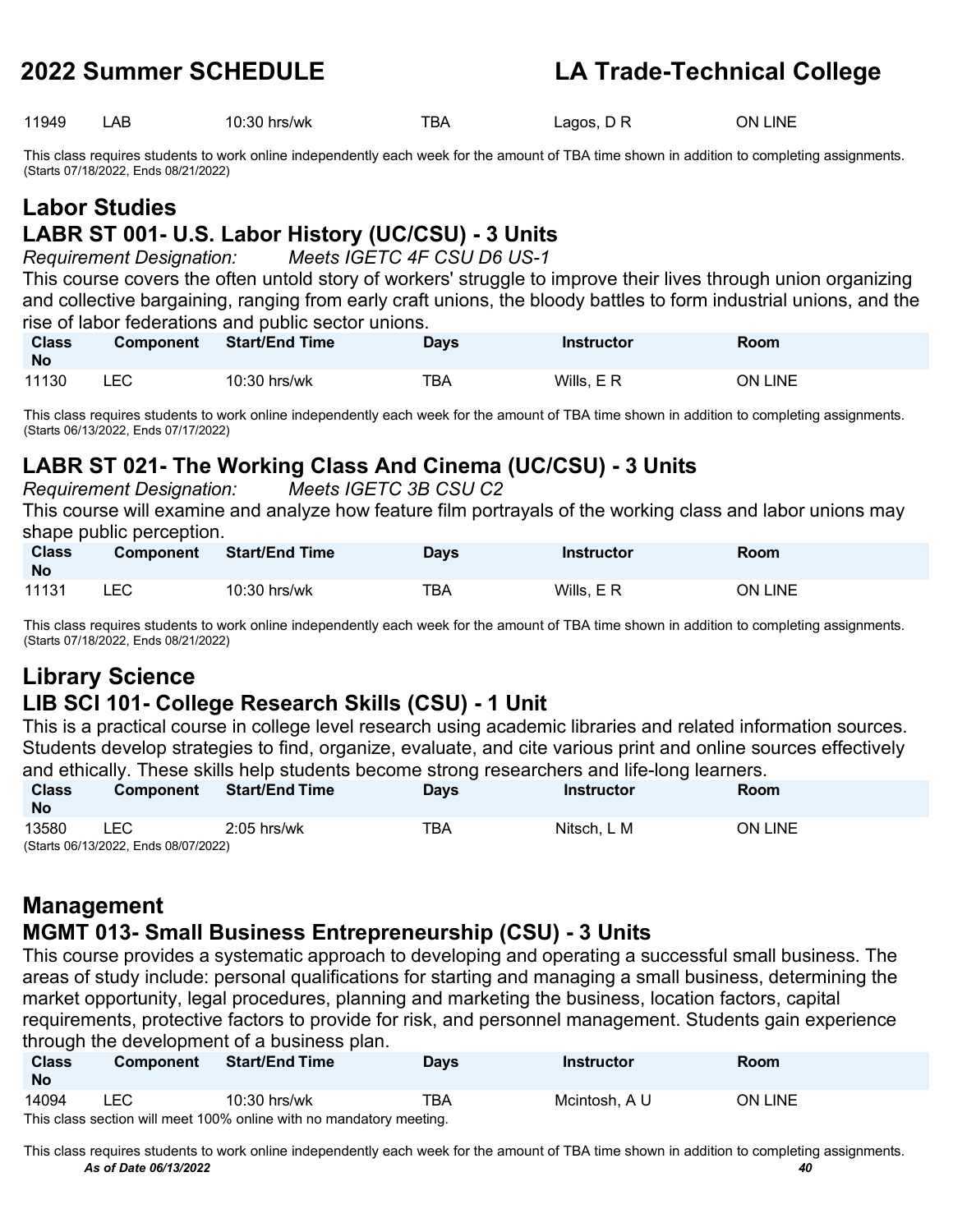11949 LAB 10:30 hrs/wk TBA Lagos, D R ON LINE

This class requires students to work online independently each week for the amount of TBA time shown in addition to completing assignments. (Starts 07/18/2022, Ends 08/21/2022)

# **Labor Studies**

### **LABR ST 001- U.S. Labor History (UC/CSU) - 3 Units** *Requirement Designation: Meets IGETC 4F CSU D6 US-1*

This course covers the often untold story of workers' struggle to improve their lives through union organizing and collective bargaining, ranging from early craft unions, the bloody battles to form industrial unions, and the rise of labor federations and public sector unions.

| <b>Class</b><br><b>No</b> | <b>Component</b> | <b>Start/End Time</b> | Davs | Instructor | Room    |
|---------------------------|------------------|-----------------------|------|------------|---------|
| 11130                     | LEC              | $10:30$ hrs/wk        | TBA  | Wills, ER  | ON LINE |

This class requires students to work online independently each week for the amount of TBA time shown in addition to completing assignments. (Starts 06/13/2022, Ends 07/17/2022)

### **LABR ST 021- The Working Class And Cinema (UC/CSU) - 3 Units** *Requirement Designation:*

| This course will examine and analyze how feature film portrayals of the working class and labor unions may<br>shape public perception. |           |                |             |                   |                |  |  |  |
|----------------------------------------------------------------------------------------------------------------------------------------|-----------|----------------|-------------|-------------------|----------------|--|--|--|
| <b>Class</b><br><b>No</b>                                                                                                              | Component | Start/End Time | <b>Davs</b> | <b>Instructor</b> | Room           |  |  |  |
| 11131                                                                                                                                  | LEC.      | $10:30$ hrs/wk | ТВА         | Wills, $E$ R      | <b>ON LINE</b> |  |  |  |

This class requires students to work online independently each week for the amount of TBA time shown in addition to completing assignments. (Starts 07/18/2022, Ends 08/21/2022)

## **Library Science**

### **LIB SCI 101- College Research Skills (CSU) - 1 Unit**

This is a practical course in college level research using academic libraries and related information sources. Students develop strategies to find, organize, evaluate, and cite various print and online sources effectively and ethically. These skills help students become strong researchers and life-long learners.

| <b>Class</b><br><b>No</b> | <b>Component</b>                     | <b>Start/End Time</b> | <b>Days</b> | Instructor  | Room    |
|---------------------------|--------------------------------------|-----------------------|-------------|-------------|---------|
| 13580                     | _EC                                  | $2:05$ hrs/wk         | TBA         | Nitsch. L M | ON LINE |
|                           | (Starts 06/13/2022, Ends 08/07/2022) |                       |             |             |         |

### **Management MGMT 013- Small Business Entrepreneurship (CSU) - 3 Units**

This course provides a systematic approach to developing and operating a successful small business. The areas of study include: personal qualifications for starting and managing a small business, determining the market opportunity, legal procedures, planning and marketing the business, location factors, capital requirements, protective factors to provide for risk, and personnel management. Students gain experience through the development of a business plan.

| <b>Class</b><br><b>No</b> | <b>Component</b> | <b>Start/End Time</b>                                               | <b>Days</b> | Instructor    | Room    |
|---------------------------|------------------|---------------------------------------------------------------------|-------------|---------------|---------|
| 14094                     | LEC              | 10:30 hrs/wk                                                        | TBA         | Mcintosh. A U | ON LINE |
|                           |                  | This class section will meet 100% online with no mandatory meeting. |             |               |         |

*As of Date 06/13/2022 40* This class requires students to work online independently each week for the amount of TBA time shown in addition to completing assignments.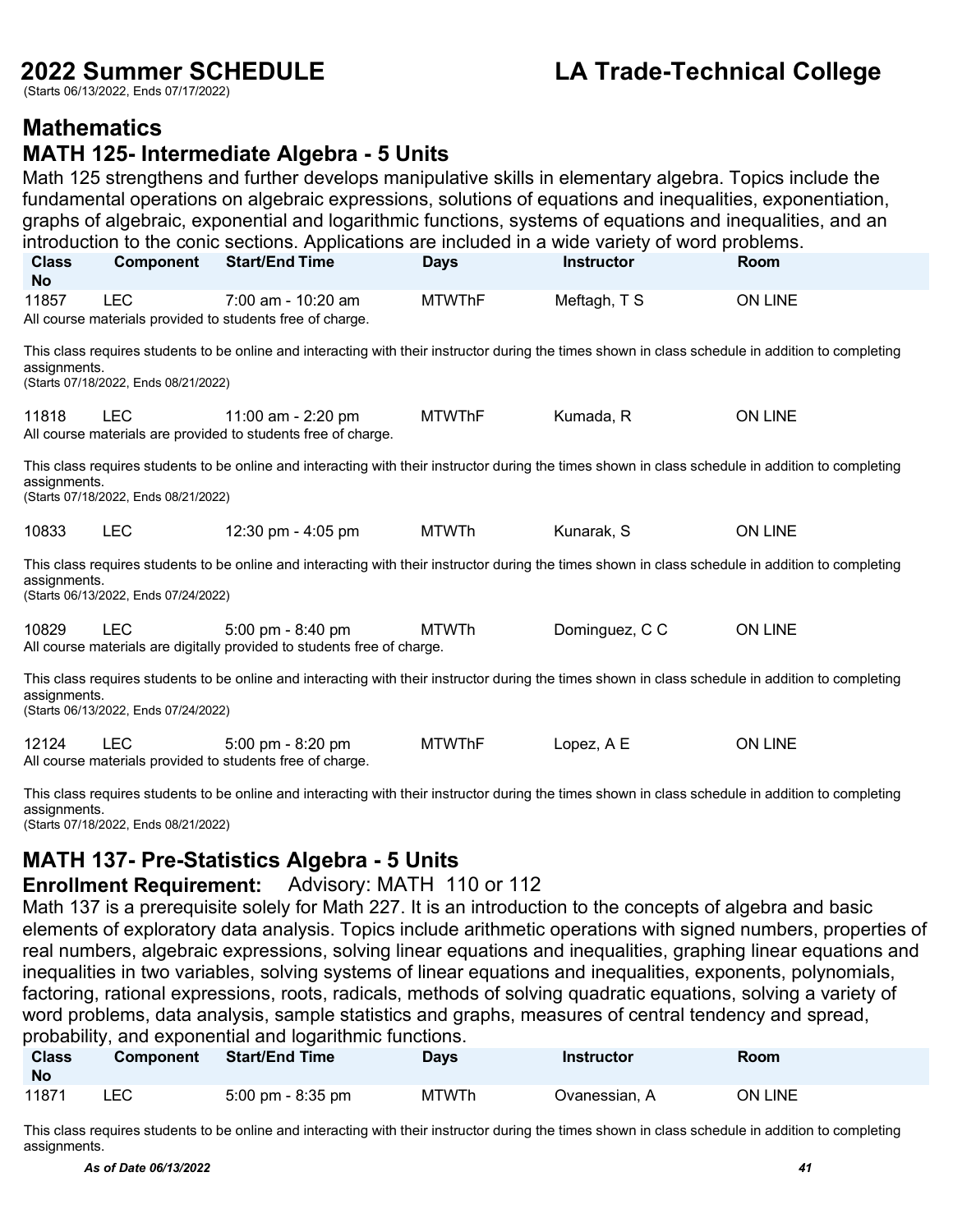(Starts 06/13/2022, Ends 07/17/2022)

### **2022 Summer SCHEDULE LA Trade-Technical College**

### **Mathematics**

### **MATH 125- Intermediate Algebra - 5 Units**

Math 125 strengthens and further develops manipulative skills in elementary algebra. Topics include the fundamental operations on algebraic expressions, solutions of equations and inequalities, exponentiation, graphs of algebraic, exponential and logarithmic functions, systems of equations and inequalities, and an introduction to the conic sections. Applications are included in a wide variety of word problems.

| <b>Class</b><br><b>No</b>                                                                                                                                                                                  | <b>Component</b>                                                                                                                                                                                           | <b>Start/End Time</b>                                                                                                                              | <b>Days</b>   | <b>Instructor</b> | <b>Room</b>    |  |  |  |  |  |
|------------------------------------------------------------------------------------------------------------------------------------------------------------------------------------------------------------|------------------------------------------------------------------------------------------------------------------------------------------------------------------------------------------------------------|----------------------------------------------------------------------------------------------------------------------------------------------------|---------------|-------------------|----------------|--|--|--|--|--|
| 11857                                                                                                                                                                                                      | <b>LEC</b>                                                                                                                                                                                                 | 7:00 am - 10:20 am<br>All course materials provided to students free of charge.                                                                    | <b>MTWThF</b> | Meftagh, T S      | <b>ON LINE</b> |  |  |  |  |  |
|                                                                                                                                                                                                            | This class requires students to be online and interacting with their instructor during the times shown in class schedule in addition to completing<br>assignments.<br>(Starts 07/18/2022, Ends 08/21/2022) |                                                                                                                                                    |               |                   |                |  |  |  |  |  |
| 11818                                                                                                                                                                                                      | <b>LEC</b>                                                                                                                                                                                                 | 11:00 am - 2:20 pm<br>All course materials are provided to students free of charge.                                                                | <b>MTWThF</b> | Kumada, R         | <b>ON LINE</b> |  |  |  |  |  |
|                                                                                                                                                                                                            | This class requires students to be online and interacting with their instructor during the times shown in class schedule in addition to completing<br>assignments.<br>(Starts 07/18/2022, Ends 08/21/2022) |                                                                                                                                                    |               |                   |                |  |  |  |  |  |
| 10833                                                                                                                                                                                                      | <b>LEC</b>                                                                                                                                                                                                 | 12:30 pm - 4:05 pm                                                                                                                                 | <b>MTWTh</b>  | Kunarak, S        | <b>ON LINE</b> |  |  |  |  |  |
| assignments.                                                                                                                                                                                               | (Starts 06/13/2022, Ends 07/24/2022)                                                                                                                                                                       | This class requires students to be online and interacting with their instructor during the times shown in class schedule in addition to completing |               |                   |                |  |  |  |  |  |
| 10829                                                                                                                                                                                                      | <b>LEC</b>                                                                                                                                                                                                 | $5:00 \text{ pm} - 8:40 \text{ pm}$<br>All course materials are digitally provided to students free of charge.                                     | <b>MTWTh</b>  | Dominguez, C C    | <b>ON LINE</b> |  |  |  |  |  |
| This class requires students to be online and interacting with their instructor during the times shown in class schedule in addition to completing<br>assignments.<br>(Starts 06/13/2022, Ends 07/24/2022) |                                                                                                                                                                                                            |                                                                                                                                                    |               |                   |                |  |  |  |  |  |
| 12124                                                                                                                                                                                                      | <b>LEC</b>                                                                                                                                                                                                 | 5:00 pm - 8:20 pm<br>All course materials provided to students free of charge.                                                                     | <b>MTWThF</b> | Lopez, A E        | <b>ON LINE</b> |  |  |  |  |  |

This class requires students to be online and interacting with their instructor during the times shown in class schedule in addition to completing assignments. (Starts 07/18/2022, Ends 08/21/2022)

### **MATH 137- Pre-Statistics Algebra - 5 Units**

### **Enrollment Requirement:** Advisory: MATH 110 or 112

Math 137 is a prerequisite solely for Math 227. It is an introduction to the concepts of algebra and basic elements of exploratory data analysis. Topics include arithmetic operations with signed numbers, properties of real numbers, algebraic expressions, solving linear equations and inequalities, graphing linear equations and inequalities in two variables, solving systems of linear equations and inequalities, exponents, polynomials, factoring, rational expressions, roots, radicals, methods of solving quadratic equations, solving a variety of word problems, data analysis, sample statistics and graphs, measures of central tendency and spread, probability, and exponential and logarithmic functions.

| <b>Class</b><br><b>No</b> | <b>Component</b> | <b>Start/End Time</b>               | <b>Days</b> | <b>Instructor</b> | <b>Room</b> |
|---------------------------|------------------|-------------------------------------|-------------|-------------------|-------------|
| 11871                     | LEC.             | $5:00 \text{ pm} - 8:35 \text{ pm}$ | MTWTh       | Ovanessian. A     | ON LINE     |

This class requires students to be online and interacting with their instructor during the times shown in class schedule in addition to completing assignments.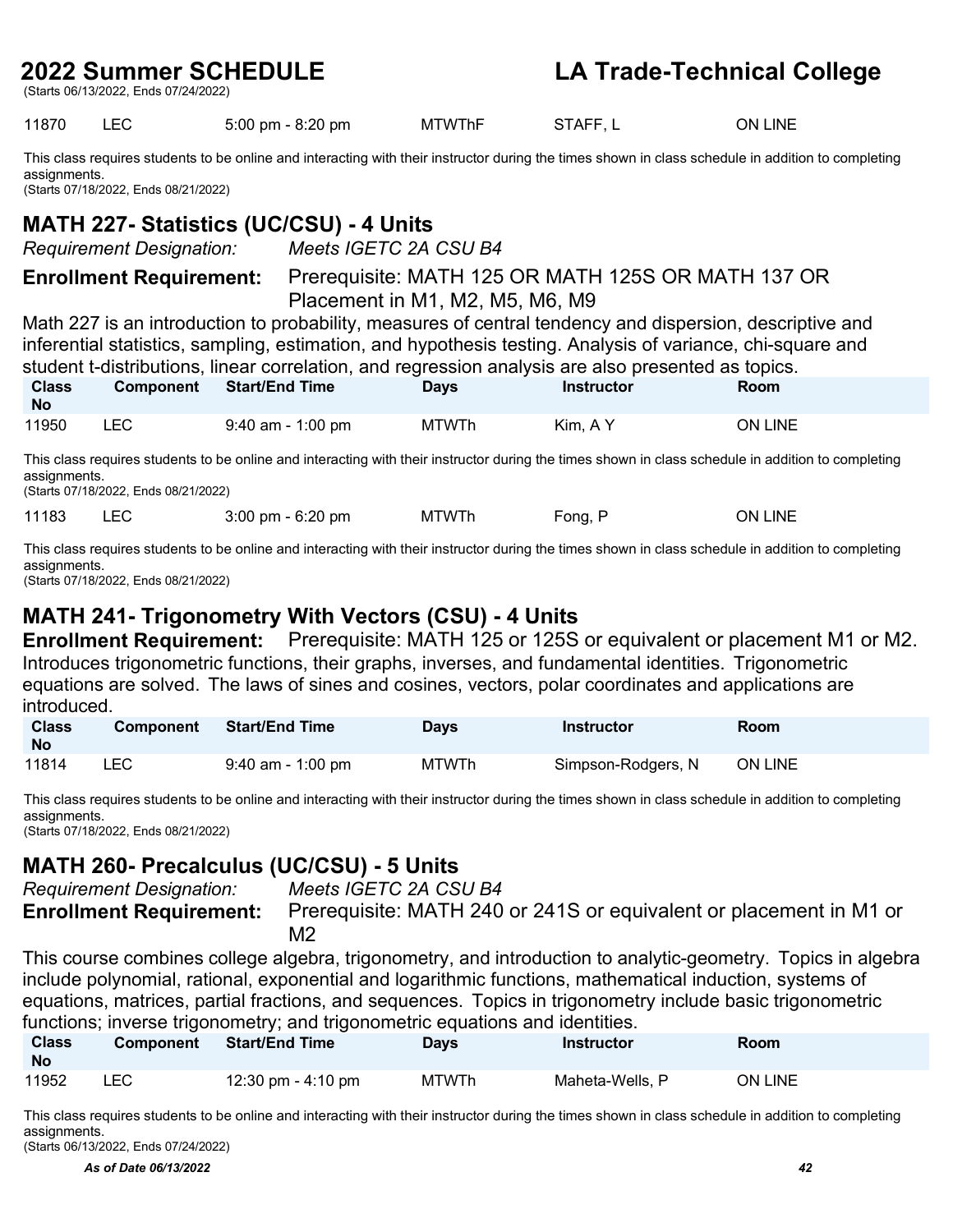(Starts 06/13/2022, Ends 07/24/2022)

### **2022 Summer SCHEDULE LA Trade-Technical College**

11870 LEC 5:00 pm - 8:20 pm MTWThF STAFF, L ON LINE

This class requires students to be online and interacting with their instructor during the times shown in class schedule in addition to completing assignments. (Starts 07/18/2022, Ends 08/21/2022)

### **MATH 227- Statistics (UC/CSU) - 4 Units**

*Requirement Designation: Meets IGETC 2A CSU B4*

**Enrollment Requirement:** Prerequisite: MATH 125 OR MATH 125S OR MATH 137 OR Placement in M1, M2, M5, M6, M9

Math 227 is an introduction to probability, measures of central tendency and dispersion, descriptive and inferential statistics, sampling, estimation, and hypothesis testing. Analysis of variance, chi-square and student t-distributions, linear correlation, and regression analysis are also presented as topics.

| <b>Class</b><br><b>No</b> | <b>Component</b> | <b>Start/End Time</b> | Davs         | <b>Instructor</b> | <b>Room</b> |
|---------------------------|------------------|-----------------------|--------------|-------------------|-------------|
| 11950                     | ∟EC              | $9:40$ am - 1:00 pm   | <b>MTWTh</b> | Kim, A Y          | ON LINE     |

This class requires students to be online and interacting with their instructor during the times shown in class schedule in addition to completing assignments.

(Starts 07/18/2022, Ends 08/21/2022)

11183 LEC 3:00 pm - 6:20 pm MTWTh Fong, P ON LINE

This class requires students to be online and interacting with their instructor during the times shown in class schedule in addition to completing assignments.

(Starts 07/18/2022, Ends 08/21/2022)

### **MATH 241- Trigonometry With Vectors (CSU) - 4 Units**

**Enrollment Requirement:** Prerequisite: MATH 125 or 125S or equivalent or placement M1 or M2. Introduces trigonometric functions, their graphs, inverses, and fundamental identities. Trigonometric equations are solved. The laws of sines and cosines, vectors, polar coordinates and applications are introduced.

| <b>Class</b><br>- No | <b>Component</b> | <b>Start/End Time</b> | <b>Days</b>  | Instructor         | <b>Room</b>    |
|----------------------|------------------|-----------------------|--------------|--------------------|----------------|
| 11814                | LEC.             | $9:40$ am - 1:00 pm   | <b>MTWTh</b> | Simpson-Rodgers, N | <b>ON LINE</b> |

This class requires students to be online and interacting with their instructor during the times shown in class schedule in addition to completing assignments.

(Starts 07/18/2022, Ends 08/21/2022)

### **MATH 260- Precalculus (UC/CSU) - 5 Units**

*Requirement Designation: Meets IGETC 2A CSU B4*

**Enrollment Requirement:** Prerequisite: MATH 240 or 241S or equivalent or placement in M1 or  $M<sub>2</sub>$ 

This course combines college algebra, trigonometry, and introduction to analytic-geometry. Topics in algebra include polynomial, rational, exponential and logarithmic functions, mathematical induction, systems of equations, matrices, partial fractions, and sequences. Topics in trigonometry include basic trigonometric functions; inverse trigonometry; and trigonometric equations and identities.

| <b>Class</b><br>- No | <b>Component</b> | <b>Start/End Time</b> | Days  | <b>Instructor</b> | Room    |
|----------------------|------------------|-----------------------|-------|-------------------|---------|
| 11952                | LEC              | 12:30 pm - $4:10$ pm  | MTWTh | Maheta-Wells, P   | ON LINE |

This class requires students to be online and interacting with their instructor during the times shown in class schedule in addition to completing assignments. (Starts 06/13/2022, Ends 07/24/2022)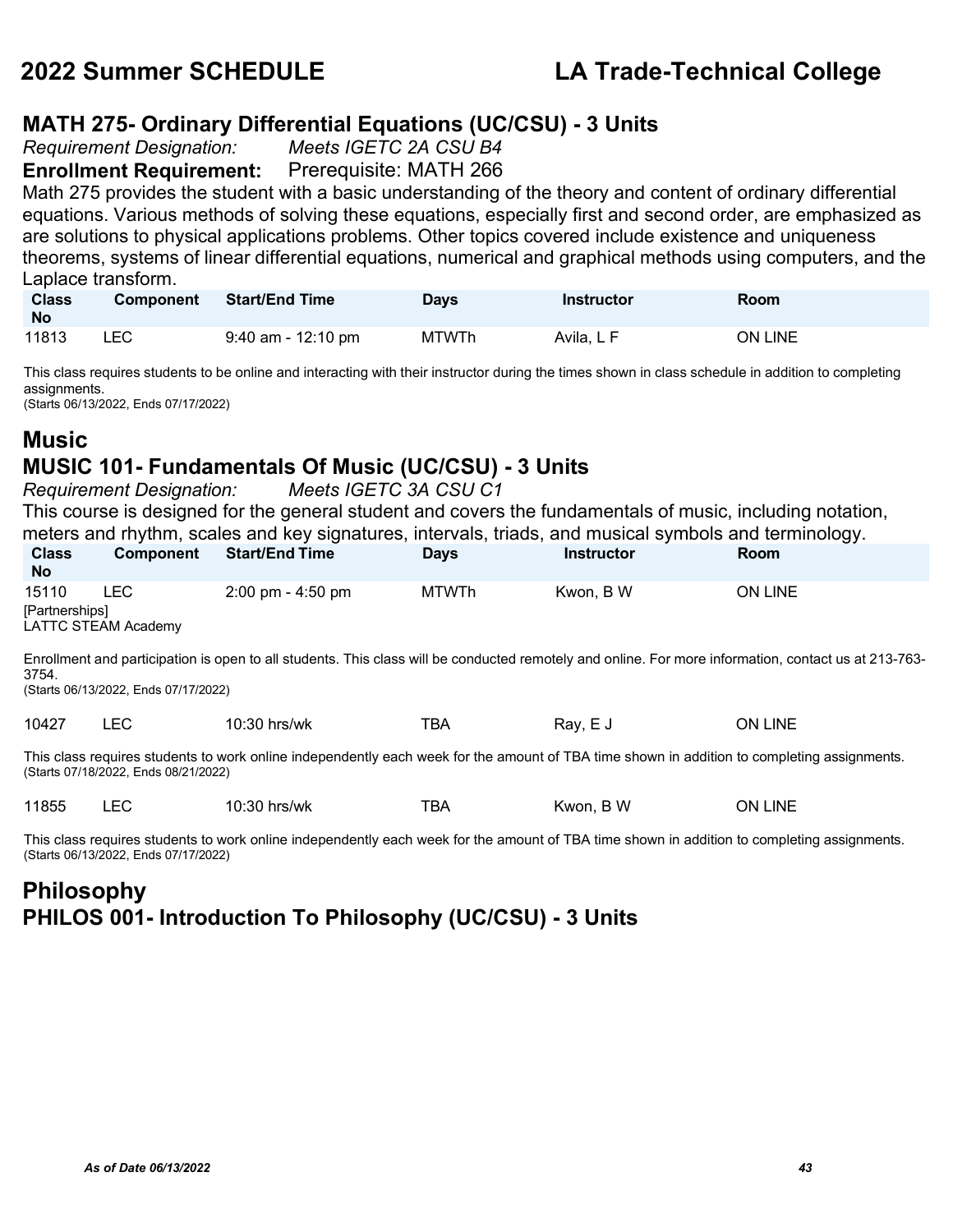## **MATH 275- Ordinary Differential Equations (UC/CSU) - 3 Units**

*Requirement Designation:* 

**Enrollment Requirement:** Prerequisite: MATH 266

Math 275 provides the student with a basic understanding of the theory and content of ordinary differential equations. Various methods of solving these equations, especially first and second order, are emphasized as are solutions to physical applications problems. Other topics covered include existence and uniqueness theorems, systems of linear differential equations, numerical and graphical methods using computers, and the Laplace transform.

| <b>Class</b><br>- No | <b>Component</b> | Start/End Time       | <b>Days</b>  | Instructor | <b>Room</b> |
|----------------------|------------------|----------------------|--------------|------------|-------------|
| 11813                | <b>LEC</b>       | $9:40$ am - 12:10 pm | <b>MTWTh</b> | Avila. L F | ON LINE     |

This class requires students to be online and interacting with their instructor during the times shown in class schedule in addition to completing assignments.

(Starts 06/13/2022, Ends 07/17/2022)

### **Music**

### **MUSIC 101- Fundamentals Of Music (UC/CSU) - 3 Units**

*Requirement Designation: Meets IGETC 3A CSU C1*

This course is designed for the general student and covers the fundamentals of music, including notation, meters and rhythm, scales and key signatures, intervals, triads, and musical symbols and terminology.

| <b>Class</b><br>No.                                                                                                                                                                                   | <b>Component</b>    | <b>Start/End Time</b> | <b>Days</b>  | <b>Instructor</b> | <b>Room</b>    |  |  |
|-------------------------------------------------------------------------------------------------------------------------------------------------------------------------------------------------------|---------------------|-----------------------|--------------|-------------------|----------------|--|--|
| 15110                                                                                                                                                                                                 | <b>LEC</b>          | 2:00 pm - 4:50 pm     | <b>MTWTh</b> | Kwon, B W         | <b>ON LINE</b> |  |  |
| [Partnerships]                                                                                                                                                                                        |                     |                       |              |                   |                |  |  |
|                                                                                                                                                                                                       | LATTC STEAM Academy |                       |              |                   |                |  |  |
| Enrollment and participation is open to all students. This class will be conducted remotely and online. For more information, contact us at 213-763-<br>3754.<br>(Starts 06/13/2022, Ends 07/17/2022) |                     |                       |              |                   |                |  |  |
| 10427                                                                                                                                                                                                 | LEC.                | $10:30$ hrs/wk        | TBA          | Ray, E J          | <b>ON LINE</b> |  |  |
| This class requires students to work online independently each week for the amount of TBA time shown in addition to completing assignments.<br>(Starts 07/18/2022, Ends 08/21/2022)                   |                     |                       |              |                   |                |  |  |
| 11855                                                                                                                                                                                                 | LEC                 | $10:30$ hrs/wk        | TBA          | Kwon, B W         | <b>ON LINE</b> |  |  |

This class requires students to work online independently each week for the amount of TBA time shown in addition to completing assignments. (Starts 06/13/2022, Ends 07/17/2022)

### **Philosophy PHILOS 001- Introduction To Philosophy (UC/CSU) - 3 Units**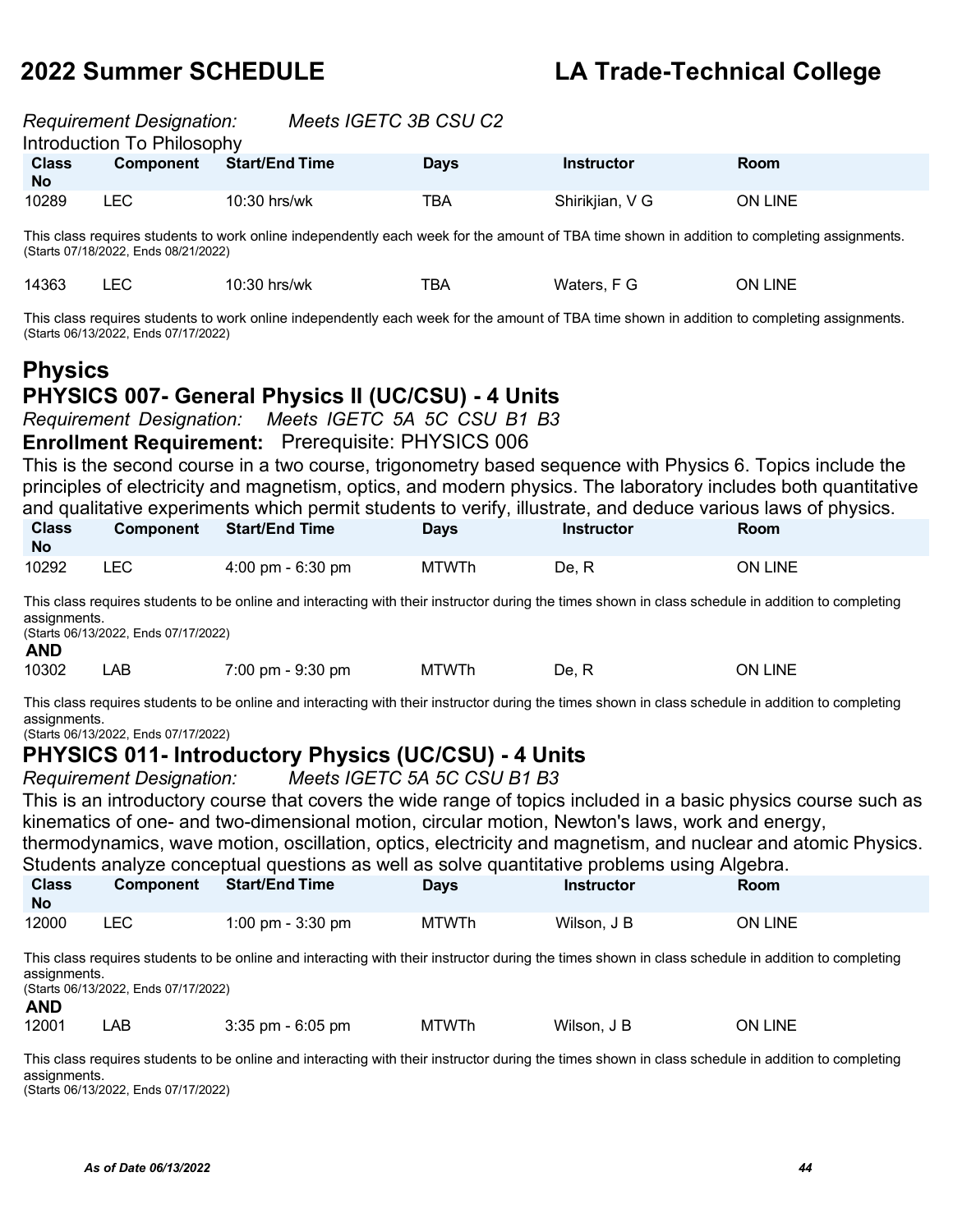|                           | <b>Requirement Designation:</b><br>Introduction To Philosophy | Meets IGETC 3B CSU C2 |             |                   |         |
|---------------------------|---------------------------------------------------------------|-----------------------|-------------|-------------------|---------|
| <b>Class</b><br><b>No</b> | <b>Component</b>                                              | <b>Start/End Time</b> | <b>Days</b> | <b>Instructor</b> | Room    |
| 10289                     | ∟EC                                                           | $10:30$ hrs/wk        | TBA         | Shirikjian, V G   | ON LINE |
|                           |                                                               |                       |             |                   |         |

This class requires students to work online independently each week for the amount of TBA time shown in addition to completing assignments. (Starts 07/18/2022, Ends 08/21/2022)

|  | 14363 | ᆸᄂ | $10:30$ hrs/wk | тва | Waters. F G | LINE<br>ЭN |
|--|-------|----|----------------|-----|-------------|------------|
|--|-------|----|----------------|-----|-------------|------------|

This class requires students to work online independently each week for the amount of TBA time shown in addition to completing assignments. (Starts 06/13/2022, Ends 07/17/2022)

### **Physics PHYSICS 007- General Physics II (UC/CSU) - 4 Units**

*Requirement Designation: Meets IGETC 5A 5C CSU B1 B3* 

**Enrollment Requirement:** Prerequisite: PHYSICS 006

This is the second course in a two course, trigonometry based sequence with Physics 6. Topics include the principles of electricity and magnetism, optics, and modern physics. The laboratory includes both quantitative and qualitative experiments which permit students to verify, illustrate, and deduce various laws of physics.

| <b>Class</b><br><b>No</b> | <b>Component</b> | <b>Start/End Time</b> | Days         | <b>Instructor</b> | Room    |  |
|---------------------------|------------------|-----------------------|--------------|-------------------|---------|--|
| 10292                     | <b>LEC</b>       | 4:00 pm - $6:30$ pm   | <b>MTWTh</b> | De. R             | ON LINE |  |

This class requires students to be online and interacting with their instructor during the times shown in class schedule in addition to completing assignments.

(Starts 06/13/2022, Ends 07/17/2022)

| I |
|---|
|---|

| 10302<br>LAB | $7:00 \text{ pm} - 9:30 \text{ pm}$ | <b>MTWTh</b> | De. . | <b>LINE</b><br>ON. |
|--------------|-------------------------------------|--------------|-------|--------------------|
|--------------|-------------------------------------|--------------|-------|--------------------|

This class requires students to be online and interacting with their instructor during the times shown in class schedule in addition to completing assignments.

(Starts 06/13/2022, Ends 07/17/2022)

### **PHYSICS 011- Introductory Physics (UC/CSU) - 4 Units**

*Requirement Designation: Meets IGETC 5A 5C CSU B1 B3*

This is an introductory course that covers the wide range of topics included in a basic physics course such as kinematics of one- and two-dimensional motion, circular motion, Newton's laws, work and energy,

thermodynamics, wave motion, oscillation, optics, electricity and magnetism, and nuclear and atomic Physics. Students analyze conceptual questions as well as solve quantitative problems using Algebra.

| <b>Class</b><br><b>No</b> | <b>Component</b> | Start/End Time    | Days         | Instructor  | Room    |
|---------------------------|------------------|-------------------|--------------|-------------|---------|
| 12000                     | LEC              | 1:00 pm - 3:30 pm | <b>MTWTh</b> | Wilson, J B | ON LINE |

This class requires students to be online and interacting with their instructor during the times shown in class schedule in addition to completing assignments. (Starts 06/13/2022, Ends 07/17/2022)

**AND**

12001 LAB 3:35 pm - 6:05 pm MTWTh Wilson, J B ON LINE

This class requires students to be online and interacting with their instructor during the times shown in class schedule in addition to completing assignments.

(Starts 06/13/2022, Ends 07/17/2022)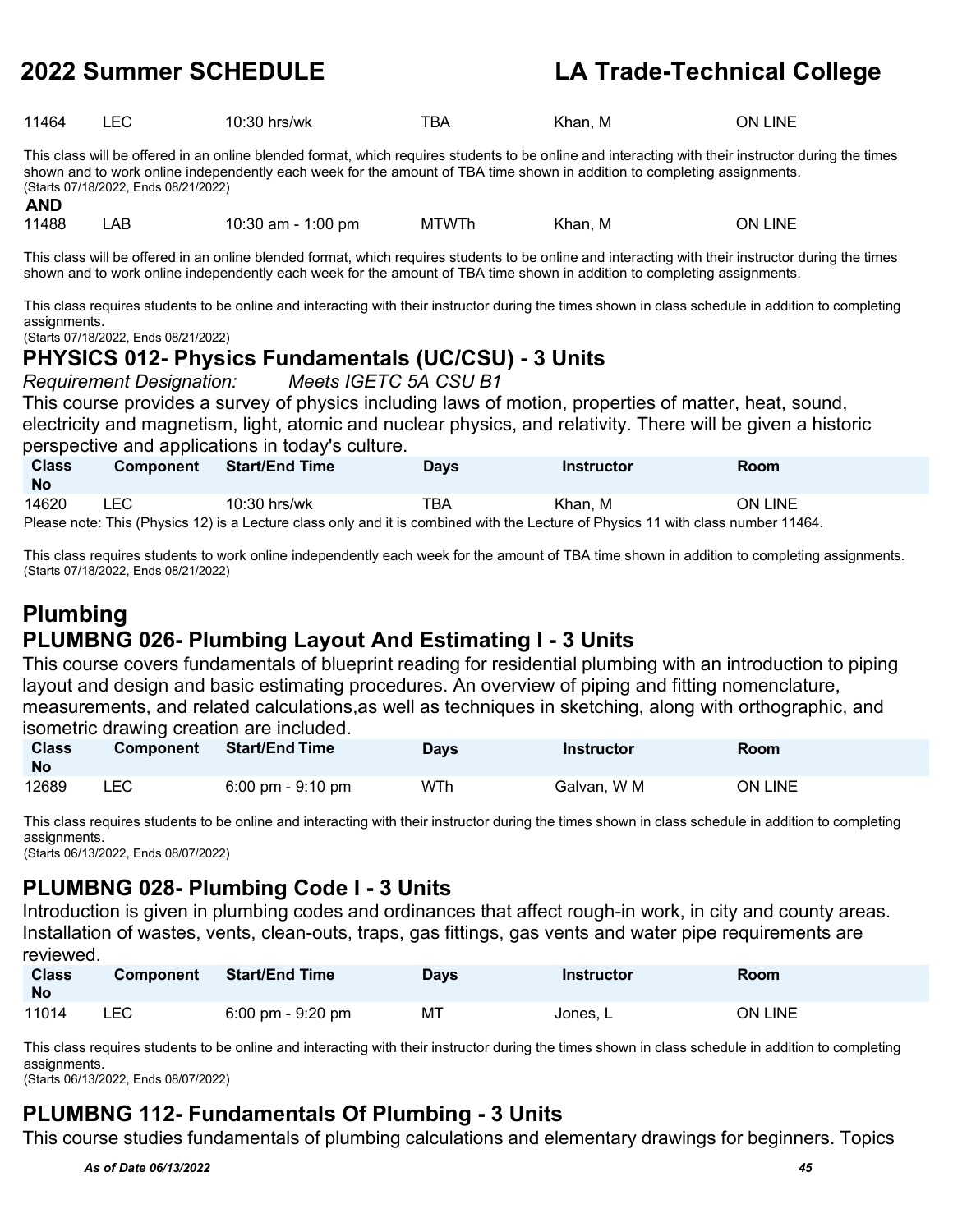| 11464 | $ \sim$<br>--~ | 10:30 hrs/wk | тва | M<br>'Khan. | <b>INE</b><br>ЭN |
|-------|----------------|--------------|-----|-------------|------------------|
|       |                |              |     |             |                  |

This class will be offered in an online blended format, which requires students to be online and interacting with their instructor during the times shown and to work online independently each week for the amount of TBA time shown in addition to completing assignments. (Starts 07/18/2022, Ends 08/21/2022)

**AND**

11488 LAB 10:30 am - 1:00 pm MTWTh Khan, M ON LINE

This class will be offered in an online blended format, which requires students to be online and interacting with their instructor during the times shown and to work online independently each week for the amount of TBA time shown in addition to completing assignments.

This class requires students to be online and interacting with their instructor during the times shown in class schedule in addition to completing assignments.

(Starts 07/18/2022, Ends 08/21/2022)

### **PHYSICS 012- Physics Fundamentals (UC/CSU) - 3 Units**

*Requirement Designation: Meets IGETC 5A CSU B1*

This course provides a survey of physics including laws of motion, properties of matter, heat, sound, electricity and magnetism, light, atomic and nuclear physics, and relativity. There will be given a historic perspective and applications in today's culture.

| <b>Class</b><br>- No | <b>Component</b> | <b>Start/End Time</b> | Days | Instructor                                                                                                     | Room           |  |
|----------------------|------------------|-----------------------|------|----------------------------------------------------------------------------------------------------------------|----------------|--|
| 14620                | ∟EC              | 10:30 hrs/wk          | TBA  | Khan. M                                                                                                        | <b>ON LINE</b> |  |
|                      |                  |                       |      | 1444 - 145 - 146 - 147 - 148 - 149 - 149 - 149 - 149 - 149 - 149 - 149 - 149 - 149 - 149 - 149 - 149 - 149 - 1 |                |  |

Please note: This (Physics 12) is a Lecture class only and it is combined with the Lecture of Physics 11 with class number 11464.

This class requires students to work online independently each week for the amount of TBA time shown in addition to completing assignments. (Starts 07/18/2022, Ends 08/21/2022)

### **Plumbing PLUMBNG 026- Plumbing Layout And Estimating I - 3 Units**

This course covers fundamentals of blueprint reading for residential plumbing with an introduction to piping layout and design and basic estimating procedures. An overview of piping and fitting nomenclature, measurements, and related calculations,as well as techniques in sketching, along with orthographic, and isometric drawing creation are included.

| <b>Class</b><br><b>No</b> | <b>Component</b> | <b>Start/End Time</b>               | Days | <b>Instructor</b> | <b>Room</b> |
|---------------------------|------------------|-------------------------------------|------|-------------------|-------------|
| 12689                     | ∟EC              | $6:00 \text{ pm} - 9:10 \text{ pm}$ | WTh  | Galvan, W M       | ON LINE     |

This class requires students to be online and interacting with their instructor during the times shown in class schedule in addition to completing assignments.

(Starts 06/13/2022, Ends 08/07/2022)

### **PLUMBNG 028- Plumbing Code I - 3 Units**

Introduction is given in plumbing codes and ordinances that affect rough-in work, in city and county areas. Installation of wastes, vents, clean-outs, traps, gas fittings, gas vents and water pipe requirements are reviewed.

| <b>Class</b><br><b>No</b> | <b>Component</b> | <b>Start/End Time</b>               | <b>Days</b> | <b>Instructor</b> | <b>Room</b> |
|---------------------------|------------------|-------------------------------------|-------------|-------------------|-------------|
| 11014                     | LEC              | $6:00 \text{ pm} - 9:20 \text{ pm}$ | МT          | Jones. L          | ON LINE     |

This class requires students to be online and interacting with their instructor during the times shown in class schedule in addition to completing assignments.

(Starts 06/13/2022, Ends 08/07/2022)

### **PLUMBNG 112- Fundamentals Of Plumbing - 3 Units**

This course studies fundamentals of plumbing calculations and elementary drawings for beginners. Topics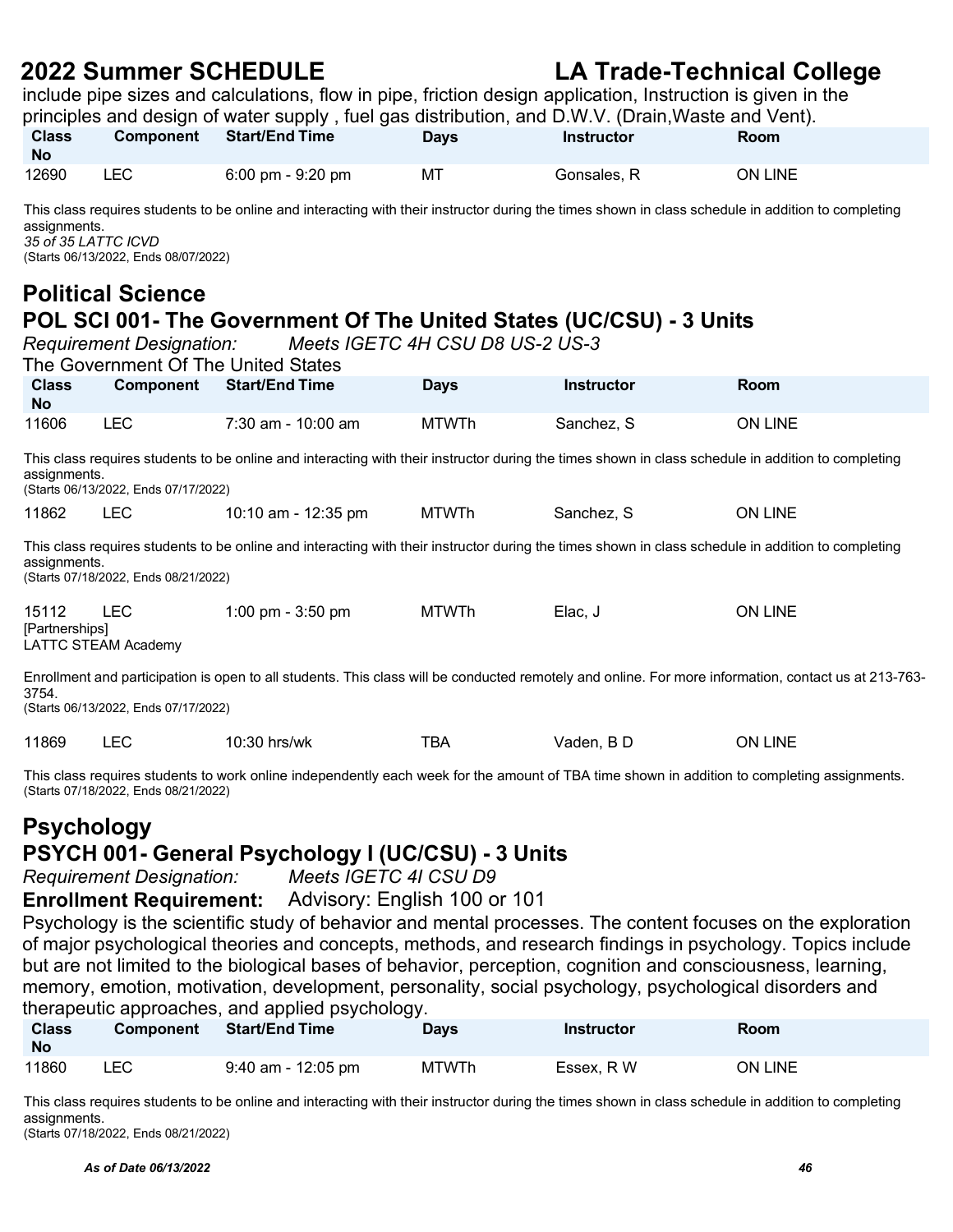include pipe sizes and calculations, flow in pipe, friction design application, Instruction is given in the

|                                                                                                                                                                                                                                                                                                                                                                                                                                                   |                                      | principles and design of water supply, fuel gas distribution, and D.W.V. (Drain, Waste and Vent).                                                  |              |                   |                |  |
|---------------------------------------------------------------------------------------------------------------------------------------------------------------------------------------------------------------------------------------------------------------------------------------------------------------------------------------------------------------------------------------------------------------------------------------------------|--------------------------------------|----------------------------------------------------------------------------------------------------------------------------------------------------|--------------|-------------------|----------------|--|
| <b>Class</b><br>No                                                                                                                                                                                                                                                                                                                                                                                                                                | Component                            | <b>Start/End Time</b>                                                                                                                              | <b>Days</b>  | <b>Instructor</b> | <b>Room</b>    |  |
| 12690                                                                                                                                                                                                                                                                                                                                                                                                                                             | <b>LEC</b>                           | 6:00 pm - 9:20 pm                                                                                                                                  | МT           | Gonsales, R       | ON LINE        |  |
| This class requires students to be online and interacting with their instructor during the times shown in class schedule in addition to completing<br>assignments.<br>35 of 35 LATTC ICVD<br>(Starts 06/13/2022, Ends 08/07/2022)<br><b>Political Science</b><br>POL SCI 001- The Government Of The United States (UC/CSU) - 3 Units<br>Meets IGETC 4H CSU D8 US-2 US-3<br><b>Requirement Designation:</b><br>The Government Of The United States |                                      |                                                                                                                                                    |              |                   |                |  |
|                                                                                                                                                                                                                                                                                                                                                                                                                                                   |                                      |                                                                                                                                                    |              |                   |                |  |
| <b>Class</b><br>No.                                                                                                                                                                                                                                                                                                                                                                                                                               | Component                            | <b>Start/End Time</b>                                                                                                                              | <b>Days</b>  | <b>Instructor</b> | Room           |  |
| 11606                                                                                                                                                                                                                                                                                                                                                                                                                                             | <b>LEC</b>                           | $7:30$ am - $10:00$ am                                                                                                                             | <b>MTWTh</b> | Sanchez, S        | ON LINE        |  |
| assignments.                                                                                                                                                                                                                                                                                                                                                                                                                                      | (Starts 06/13/2022, Ends 07/17/2022) | This class requires students to be online and interacting with their instructor during the times shown in class schedule in addition to completing |              |                   |                |  |
| 11862                                                                                                                                                                                                                                                                                                                                                                                                                                             | <b>LEC</b>                           | 10:10 am - 12:35 pm                                                                                                                                | <b>MTWTh</b> | Sanchez, S        | <b>ON LINE</b> |  |

assignments. (Starts 07/18/2022, Ends 08/21/2022)

| 15112          | LEC.                | 1:00 pm - 3:50 pm | <b>MTWTh</b> | Elac, J | <b>ON LINE</b> |
|----------------|---------------------|-------------------|--------------|---------|----------------|
| [Partnerships] |                     |                   |              |         |                |
|                | LATTC STEAM Academy |                   |              |         |                |

Enrollment and participation is open to all students. This class will be conducted remotely and online. For more information, contact us at 213-763- 3754.

(Starts 06/13/2022, Ends 07/17/2022)

|  | 11869 |  | 10:30 hrs/wk | TBA | Vaden. B D | LINE<br>.)N |
|--|-------|--|--------------|-----|------------|-------------|
|--|-------|--|--------------|-----|------------|-------------|

This class requires students to work online independently each week for the amount of TBA time shown in addition to completing assignments. (Starts 07/18/2022, Ends 08/21/2022)

## **Psychology PSYCH 001- General Psychology I (UC/CSU) - 3 Units**

*Requirement Designation:* 

### **Enrollment Requirement:** Advisory: English 100 or 101

Psychology is the scientific study of behavior and mental processes. The content focuses on the exploration of major psychological theories and concepts, methods, and research findings in psychology. Topics include but are not limited to the biological bases of behavior, perception, cognition and consciousness, learning, memory, emotion, motivation, development, personality, social psychology, psychological disorders and therapeutic approaches, and applied psychology.

| <b>Class</b><br>No | <b>Component</b> | <b>Start/End Time</b> | Days         | <b>Instructor</b> | <b>Room</b> |
|--------------------|------------------|-----------------------|--------------|-------------------|-------------|
| 11860              | LEC              | $9:40$ am - 12:05 pm  | <b>MTWTh</b> | Essex. R W        | ON LINE     |

This class requires students to be online and interacting with their instructor during the times shown in class schedule in addition to completing assignments.

(Starts 07/18/2022, Ends 08/21/2022)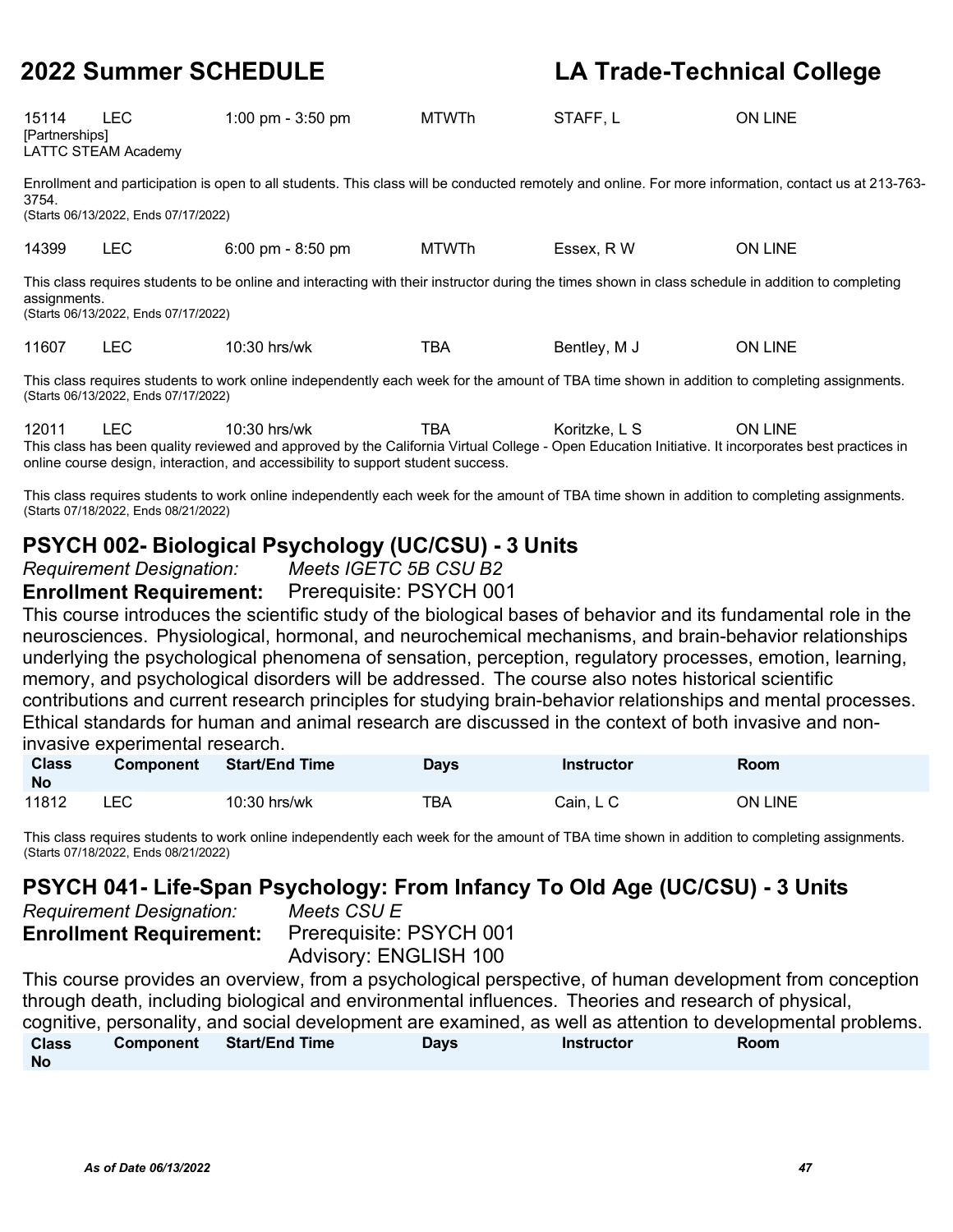| 15114<br>[Partnerships] | <b>LEC</b><br>LATTC STEAM Academy    | 1:00 pm - $3:50$ pm                                                                                                                                | <b>MTWTh</b> | STAFF, L     | <b>ON LINE</b>                                                                                                                                       |
|-------------------------|--------------------------------------|----------------------------------------------------------------------------------------------------------------------------------------------------|--------------|--------------|------------------------------------------------------------------------------------------------------------------------------------------------------|
| 3754.                   | (Starts 06/13/2022, Ends 07/17/2022) |                                                                                                                                                    |              |              | Enrollment and participation is open to all students. This class will be conducted remotely and online. For more information, contact us at 213-763- |
| 14399                   | <b>LEC</b>                           | $6:00 \text{ pm} - 8:50 \text{ pm}$                                                                                                                | <b>MTWTh</b> | Essex. R W   | <b>ON LINE</b>                                                                                                                                       |
| assignments.            | (Starts 06/13/2022, Ends 07/17/2022) | This class requires students to be online and interacting with their instructor during the times shown in class schedule in addition to completing |              |              |                                                                                                                                                      |
| 11607                   | <b>LEC</b>                           | $10:30$ hrs/wk                                                                                                                                     | <b>TBA</b>   | Bentley, M J | <b>ON LINE</b>                                                                                                                                       |

This class requires students to work online independently each week for the amount of TBA time shown in addition to completing assignments. (Starts 06/13/2022, Ends 07/17/2022)

12011 LEC 10:30 hrs/wk TBA Koritzke, L S ON LINE This class has been quality reviewed and approved by the California Virtual College - Open Education Initiative. It incorporates best practices in online course design, interaction, and accessibility to support student success.

This class requires students to work online independently each week for the amount of TBA time shown in addition to completing assignments. (Starts 07/18/2022, Ends 08/21/2022)

### **PSYCH 002- Biological Psychology (UC/CSU) - 3 Units**

*Requirement Designation: Meets IGETC 5B CSU B2* 

**Enrollment Requirement:** Prerequisite: PSYCH 001

This course introduces the scientific study of the biological bases of behavior and its fundamental role in the neurosciences. Physiological, hormonal, and neurochemical mechanisms, and brain-behavior relationships underlying the psychological phenomena of sensation, perception, regulatory processes, emotion, learning, memory, and psychological disorders will be addressed. The course also notes historical scientific contributions and current research principles for studying brain-behavior relationships and mental processes. Ethical standards for human and animal research are discussed in the context of both invasive and noninvasive experimental research.

| <b>Class</b><br><b>No</b> | <b>Component</b> | <b>Start/End Time</b> | <b>Days</b> | <b>Instructor</b> | <b>Room</b> |
|---------------------------|------------------|-----------------------|-------------|-------------------|-------------|
| 11812                     | _EC              | 10:30 hrs/wk          | тва         | Cain. L C         | ON LINE     |

This class requires students to work online independently each week for the amount of TBA time shown in addition to completing assignments. (Starts 07/18/2022, Ends 08/21/2022)

## **PSYCH 041- Life-Span Psychology: From Infancy To Old Age (UC/CSU) - 3 Units**

 $R$ equirement Designation: **Enrollment Requirement:** Prerequisite: PSYCH 001

Advisory: ENGLISH 100

This course provides an overview, from a psychological perspective, of human development from conception through death, including biological and environmental influences. Theories and research of physical, cognitive, personality, and social development are examined, as well as attention to developmental problems. **Class No Component Start/End Time Days Instructor Room**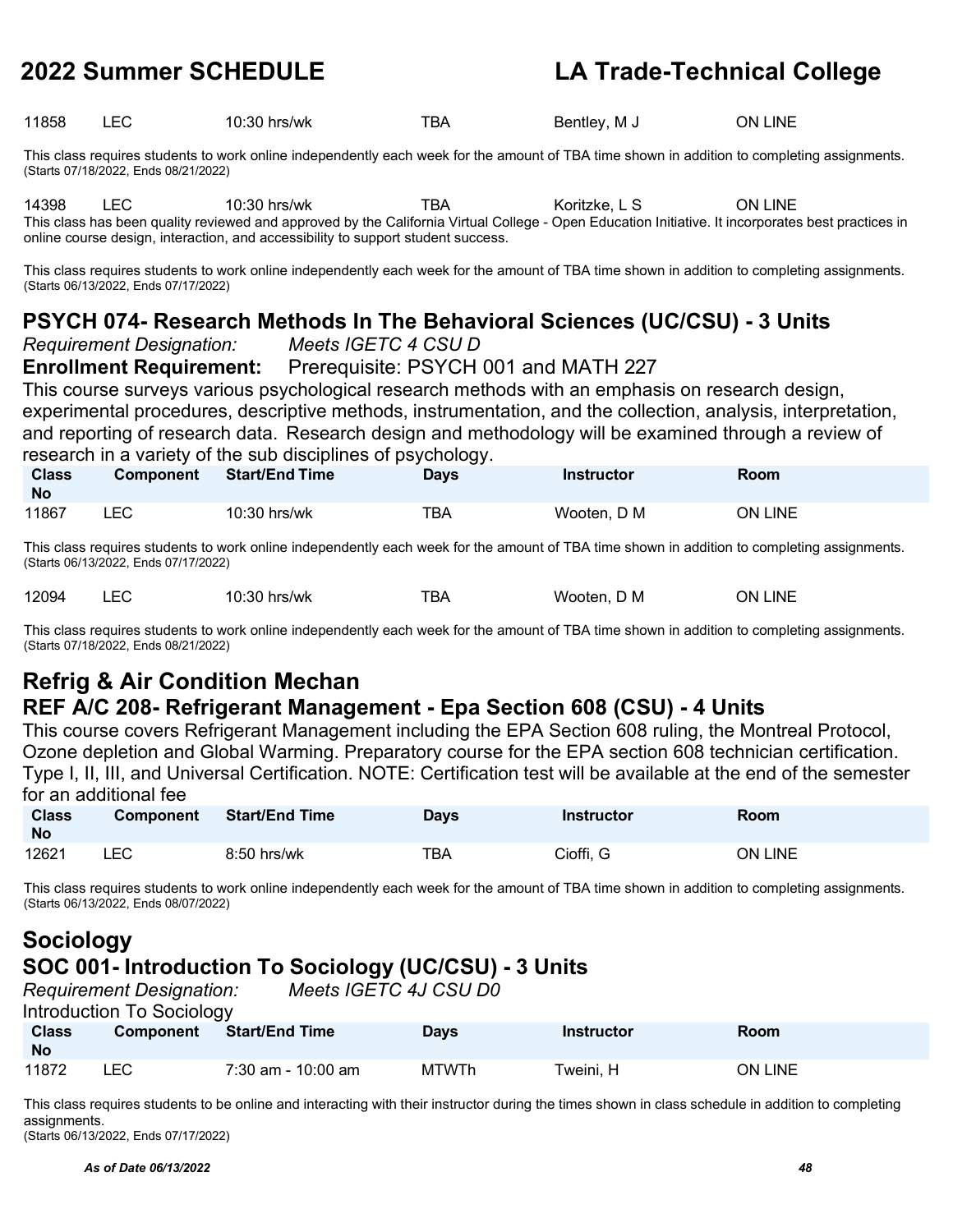|  | 11858 |  | 10:30 hrs/wk | TBA | Bentley, M J | ON LINE |
|--|-------|--|--------------|-----|--------------|---------|
|--|-------|--|--------------|-----|--------------|---------|

This class requires students to work online independently each week for the amount of TBA time shown in addition to completing assignments. (Starts 07/18/2022, Ends 08/21/2022)

14398 LEC 10:30 hrs/wk TBA Koritzke, L S ON LINE This class has been quality reviewed and approved by the California Virtual College - Open Education Initiative. It incorporates best practices in

This class requires students to work online independently each week for the amount of TBA time shown in addition to completing assignments. (Starts 06/13/2022, Ends 07/17/2022)

### **PSYCH 074- Research Methods In The Behavioral Sciences (UC/CSU) - 3 Units**

*Requirement Designation: Meets IGETC 4 CSU D* 

online course design, interaction, and accessibility to support student success.

**Enrollment Requirement:** Prerequisite: PSYCH 001 and MATH 227

This course surveys various psychological research methods with an emphasis on research design, experimental procedures, descriptive methods, instrumentation, and the collection, analysis, interpretation, and reporting of research data. Research design and methodology will be examined through a review of research in a variety of the sub disciplines of psychology.

| <b>Class</b><br><b>No</b> | <b>Component</b> | <b>Start/End Time</b> | ---<br><b>Days</b> | <b>Instructor</b> | Room           |
|---------------------------|------------------|-----------------------|--------------------|-------------------|----------------|
| 11867                     | ∟EC              | 10:30 hrs/wk          | тва                | Wooten, D M       | <b>ON LINE</b> |

This class requires students to work online independently each week for the amount of TBA time shown in addition to completing assignments. (Starts 06/13/2022, Ends 07/17/2022)

| 12094 | _____ | 10:30 hrs/wk | TBA | Wooten, D M | ON LINE |
|-------|-------|--------------|-----|-------------|---------|
|       |       |              |     |             |         |

This class requires students to work online independently each week for the amount of TBA time shown in addition to completing assignments. (Starts 07/18/2022, Ends 08/21/2022)

### **Refrig & Air Condition Mechan REF A/C 208- Refrigerant Management - Epa Section 608 (CSU) - 4 Units**

This course covers Refrigerant Management including the EPA Section 608 ruling, the Montreal Protocol, Ozone depletion and Global Warming. Preparatory course for the EPA section 608 technician certification. Type I, II, III, and Universal Certification. NOTE: Certification test will be available at the end of the semester for an additional fee

| <b>Class</b><br><b>No</b> | <b>Component</b> | <b>Start/End Time</b> | <b>Days</b> | Instructor | Room           |
|---------------------------|------------------|-----------------------|-------------|------------|----------------|
| 12621                     | LEC              | 8:50 hrs/wk           | TBA         | Cioffi, G  | <b>ON LINE</b> |

This class requires students to work online independently each week for the amount of TBA time shown in addition to completing assignments. (Starts 06/13/2022, Ends 08/07/2022)

### **Sociology SOC 001- Introduction To Sociology (UC/CSU) - 3 Units**

|                           | <b>Requirement Designation:</b><br>Introduction To Sociology | Meets IGETC 4J CSU D0 |             |                   |                |
|---------------------------|--------------------------------------------------------------|-----------------------|-------------|-------------------|----------------|
| <b>Class</b><br><b>No</b> | <b>Component</b>                                             | <b>Start/End Time</b> | <b>Davs</b> | <b>Instructor</b> | Room           |
| 11872                     | LEC.                                                         | 7:30 am - 10:00 am    | MTWTh       | Tweini. H         | <b>ON LINE</b> |

This class requires students to be online and interacting with their instructor during the times shown in class schedule in addition to completing assignments.

(Starts 06/13/2022, Ends 07/17/2022)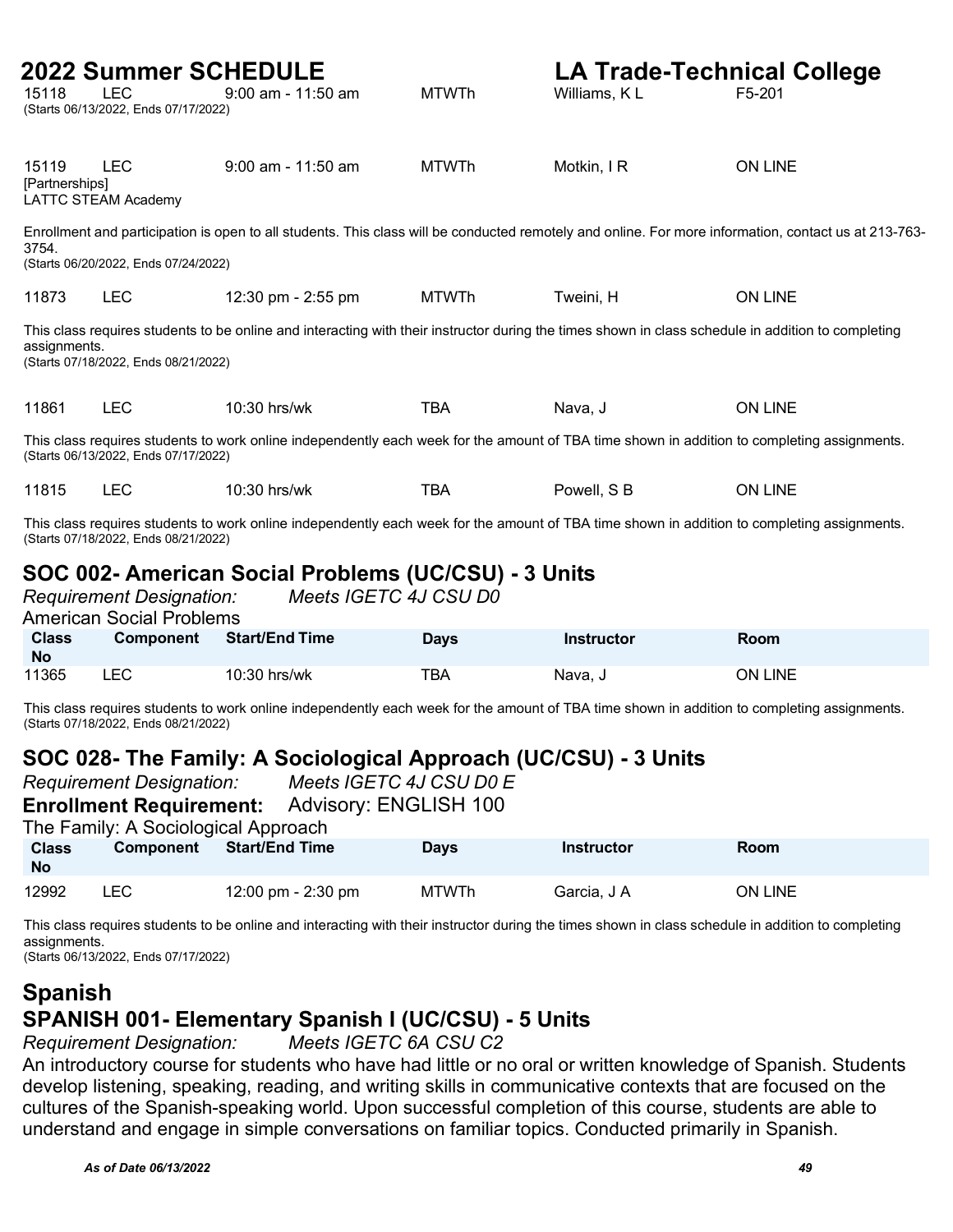| 15118                                                                                                                                                                               | <b>2022 Summer SCHEDULE</b><br><b>LEC</b><br>(Starts 06/13/2022, Ends 07/17/2022) | $9:00$ am - 11:50 am                                                                                                                               | <b>MTWTh</b> | <b>LA Trade-Technical College</b><br>Williams, KL | F5-201                                                                                                                                               |
|-------------------------------------------------------------------------------------------------------------------------------------------------------------------------------------|-----------------------------------------------------------------------------------|----------------------------------------------------------------------------------------------------------------------------------------------------|--------------|---------------------------------------------------|------------------------------------------------------------------------------------------------------------------------------------------------------|
| 15119<br>[Partnerships]                                                                                                                                                             | <b>LEC</b><br><b>LATTC STEAM Academy</b>                                          | $9:00$ am - 11:50 am                                                                                                                               | <b>MTWTh</b> | Motkin, I R                                       | <b>ON LINE</b>                                                                                                                                       |
| 3754.                                                                                                                                                                               | (Starts 06/20/2022, Ends 07/24/2022)                                              |                                                                                                                                                    |              |                                                   | Enrollment and participation is open to all students. This class will be conducted remotely and online. For more information, contact us at 213-763- |
| 11873                                                                                                                                                                               | <b>LEC</b>                                                                        | 12:30 pm - 2:55 pm                                                                                                                                 | <b>MTWTh</b> | Tweini, H                                         | <b>ON LINE</b>                                                                                                                                       |
| assignments.                                                                                                                                                                        | (Starts 07/18/2022, Ends 08/21/2022)                                              | This class requires students to be online and interacting with their instructor during the times shown in class schedule in addition to completing |              |                                                   |                                                                                                                                                      |
| 11861                                                                                                                                                                               | <b>LEC</b>                                                                        | $10:30$ hrs/wk                                                                                                                                     | <b>TBA</b>   | Nava, J                                           | <b>ON LINE</b>                                                                                                                                       |
|                                                                                                                                                                                     | (Starts 06/13/2022, Ends 07/17/2022)                                              | This class requires students to work online independently each week for the amount of TBA time shown in addition to completing assignments.        |              |                                                   |                                                                                                                                                      |
| 11815                                                                                                                                                                               | <b>LEC</b>                                                                        | $10:30$ hrs/wk                                                                                                                                     | <b>TBA</b>   | Powell, S B                                       | <b>ON LINE</b>                                                                                                                                       |
| This class requires students to work online independently each week for the amount of TBA time shown in addition to completing assignments.<br>(Starts 07/18/2022, Ends 08/21/2022) |                                                                                   |                                                                                                                                                    |              |                                                   |                                                                                                                                                      |
| SOC 002- American Social Problems (UC/CSU) - 3 Units<br>Meets IGETC 4J CSU D0<br><b>Requirement Designation:</b><br><b>American Social Problems</b>                                 |                                                                                   |                                                                                                                                                    |              |                                                   |                                                                                                                                                      |

| <b>Class</b><br><b>No</b> | <b>Component</b> | <b>Start/End Time</b> | Days | <b>Instructor</b> | <b>Room</b>    |
|---------------------------|------------------|-----------------------|------|-------------------|----------------|
| 11365                     | ∟EC.             | $10:30$ hrs/wk        | TBA  | Nava, J           | <b>ON LINE</b> |

This class requires students to work online independently each week for the amount of TBA time shown in addition to completing assignments. (Starts 07/18/2022, Ends 08/21/2022)

### **SOC 028- The Family: A Sociological Approach (UC/CSU) - 3 Units**

| <b>Requirement Designation:</b> |                                     |                       | Meets IGETC 4J CSU D0 E |                   |                |  |  |
|---------------------------------|-------------------------------------|-----------------------|-------------------------|-------------------|----------------|--|--|
|                                 | <b>Enrollment Requirement:</b>      |                       | Advisory: ENGLISH 100   |                   |                |  |  |
|                                 | The Family: A Sociological Approach |                       |                         |                   |                |  |  |
| <b>Class</b><br><b>No</b>       | Component                           | <b>Start/End Time</b> | <b>Days</b>             | <b>Instructor</b> | Room           |  |  |
| 12992                           | LEC .                               | 12:00 pm $-$ 2:30 pm  | MTWTh                   | Garcia, J A       | <b>ON LINE</b> |  |  |

This class requires students to be online and interacting with their instructor during the times shown in class schedule in addition to completing assignments.

(Starts 06/13/2022, Ends 07/17/2022)

### **Spanish SPANISH 001- Elementary Spanish I (UC/CSU) - 5 Units**

*Requirement Designation: Meets IGETC 6A CSU C2*

An introductory course for students who have had little or no oral or written knowledge of Spanish. Students develop listening, speaking, reading, and writing skills in communicative contexts that are focused on the cultures of the Spanish-speaking world. Upon successful completion of this course, students are able to understand and engage in simple conversations on familiar topics. Conducted primarily in Spanish.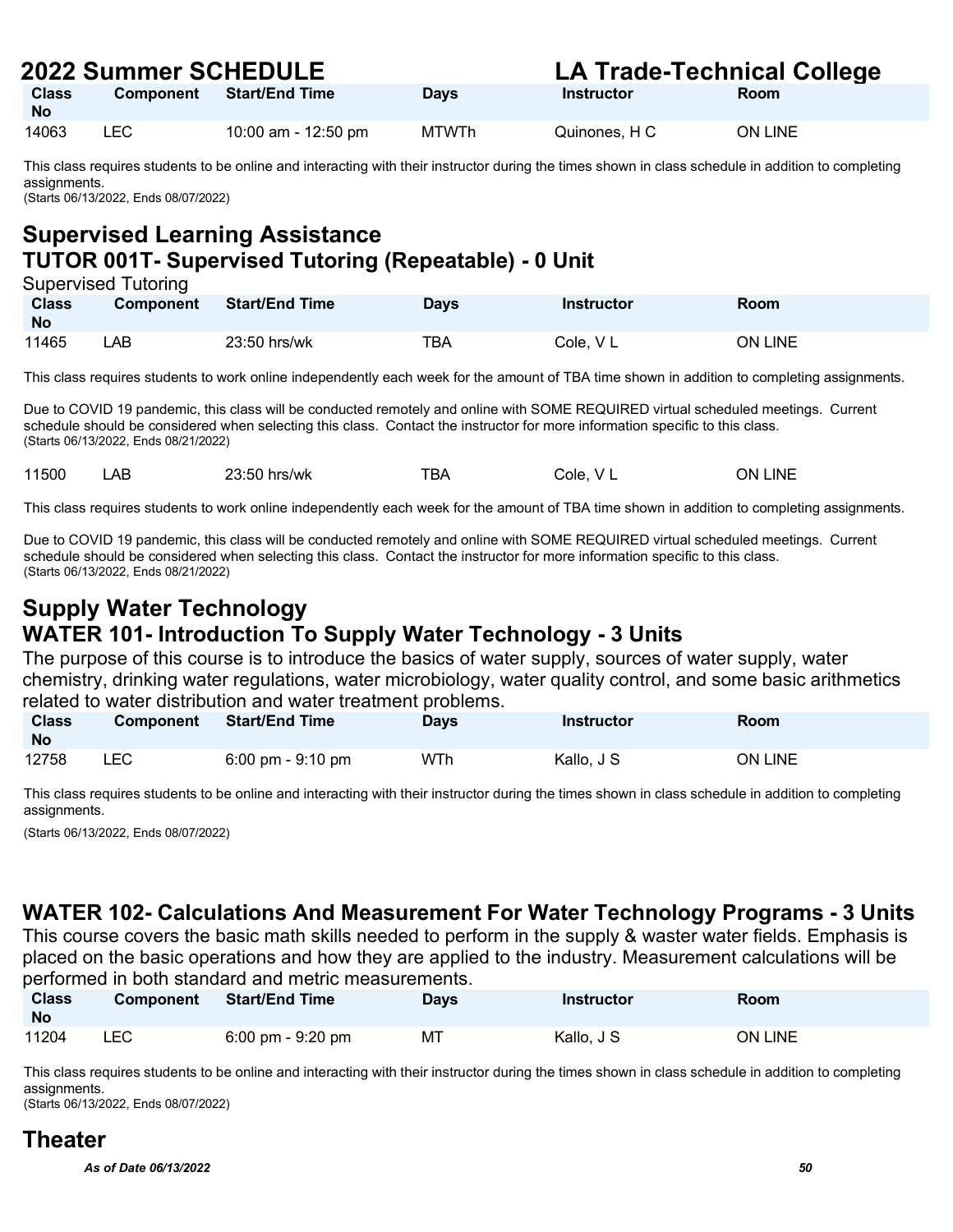| ZUZZ JUIIIIIIEI JUNEDULEI |           |                     |              | LA TIQUE-TECHIICAI COIIEUE |             |  |
|---------------------------|-----------|---------------------|--------------|----------------------------|-------------|--|
| <b>Class</b><br><b>No</b> | Component | Start/End Time      | <b>Davs</b>  | Instructor                 | <b>Room</b> |  |
| 14063                     | LEC.      | 10:00 am - 12:50 pm | <b>MTWTh</b> | Quinones. H C              | ON LINE     |  |

This class requires students to be online and interacting with their instructor during the times shown in class schedule in addition to completing assignments. (Starts 06/13/2022, Ends 08/07/2022)

**Supervised Learning Assistance TUTOR 001T- Supervised Tutoring (Repeatable) - 0 Unit**

| Supervised Tutoring |                  |                       |             |            |         |  |  |
|---------------------|------------------|-----------------------|-------------|------------|---------|--|--|
| <b>Class</b>        | <b>Component</b> | <b>Start/End Time</b> | <b>Days</b> | Instructor | Room    |  |  |
| <b>No</b>           |                  |                       |             |            |         |  |  |
| 11465               | ∟AB⊣             | $23:50$ hrs/wk        | TBA         | Cole, V L  | ON LINE |  |  |

This class requires students to work online independently each week for the amount of TBA time shown in addition to completing assignments.

Due to COVID 19 pandemic, this class will be conducted remotely and online with SOME REQUIRED virtual scheduled meetings. Current schedule should be considered when selecting this class. Contact the instructor for more information specific to this class. (Starts 06/13/2022, Ends 08/21/2022)

| 11500 | ΑB | 23:50 hrs/wk | <b>TBA</b> | V L<br>Cole. | <b>LINE</b><br>ΟN |
|-------|----|--------------|------------|--------------|-------------------|
|-------|----|--------------|------------|--------------|-------------------|

This class requires students to work online independently each week for the amount of TBA time shown in addition to completing assignments.

Due to COVID 19 pandemic, this class will be conducted remotely and online with SOME REQUIRED virtual scheduled meetings. Current schedule should be considered when selecting this class. Contact the instructor for more information specific to this class. (Starts 06/13/2022, Ends 08/21/2022)

### **Supply Water Technology WATER 101- Introduction To Supply Water Technology - 3 Units**

The purpose of this course is to introduce the basics of water supply, sources of water supply, water chemistry, drinking water regulations, water microbiology, water quality control, and some basic arithmetics related to water distribution and water treatment problems.

| <b>Class</b><br><b>No</b> | <b>Component</b> | <b>Start/End Time</b>               | <b>Days</b> | Instructor | Room           |
|---------------------------|------------------|-------------------------------------|-------------|------------|----------------|
| 12758                     | LEC              | $6:00 \text{ pm} - 9:10 \text{ pm}$ | WTh         | Kallo, J S | <b>ON LINE</b> |

This class requires students to be online and interacting with their instructor during the times shown in class schedule in addition to completing assignments.

(Starts 06/13/2022, Ends 08/07/2022)

### **WATER 102- Calculations And Measurement For Water Technology Programs - 3 Units**

This course covers the basic math skills needed to perform in the supply & waster water fields. Emphasis is placed on the basic operations and how they are applied to the industry. Measurement calculations will be performed in both standard and metric measurements.

| <b>Class</b><br><b>No</b> | <b>Component</b> | <b>Start/End Time</b>               | <b>Days</b> | <b>Instructor</b> | Room    |
|---------------------------|------------------|-------------------------------------|-------------|-------------------|---------|
| 11204                     | ∟EC              | $6:00 \text{ pm} - 9:20 \text{ pm}$ | МT          | Kallo, J S        | ON LINE |

This class requires students to be online and interacting with their instructor during the times shown in class schedule in addition to completing assignments.

(Starts 06/13/2022, Ends 08/07/2022)

### **Theater**

*As of Date 06/13/2022 50*